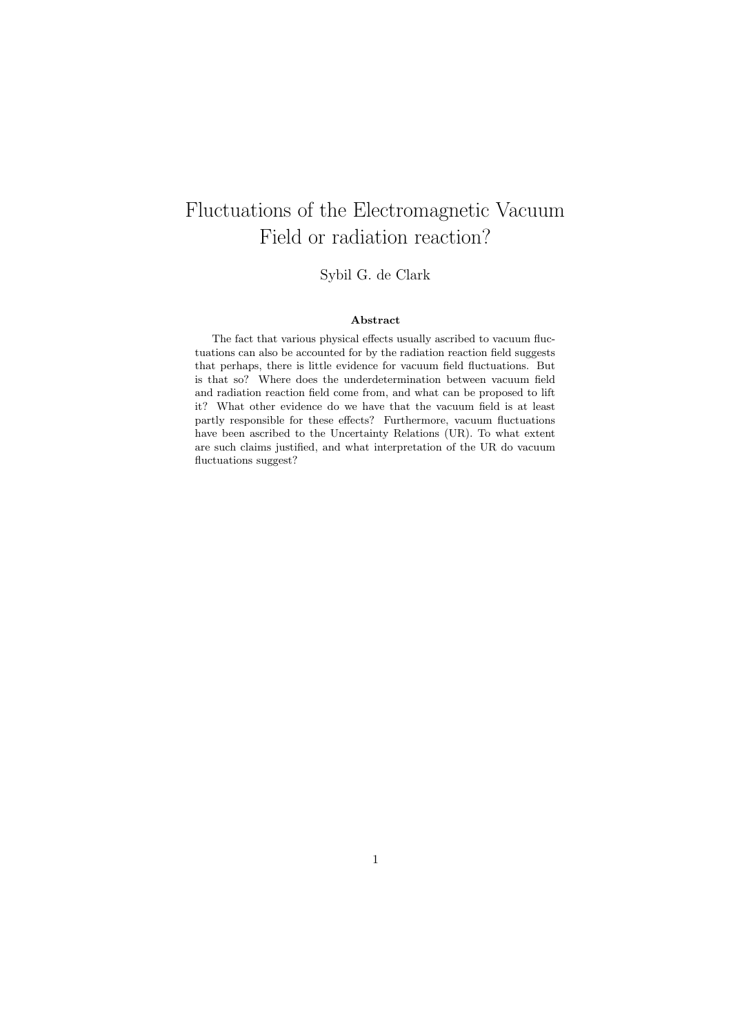# Fluctuations of the Electromagnetic Vacuum Field or radiation reaction?

Sybil G. de Clark

#### Abstract

The fact that various physical effects usually ascribed to vacuum fluctuations can also be accounted for by the radiation reaction field suggests that perhaps, there is little evidence for vacuum field fluctuations. But is that so? Where does the underdetermination between vacuum field and radiation reaction field come from, and what can be proposed to lift it? What other evidence do we have that the vacuum field is at least partly responsible for these effects? Furthermore, vacuum fluctuations have been ascribed to the Uncertainty Relations (UR). To what extent are such claims justified, and what interpretation of the UR do vacuum fluctuations suggest?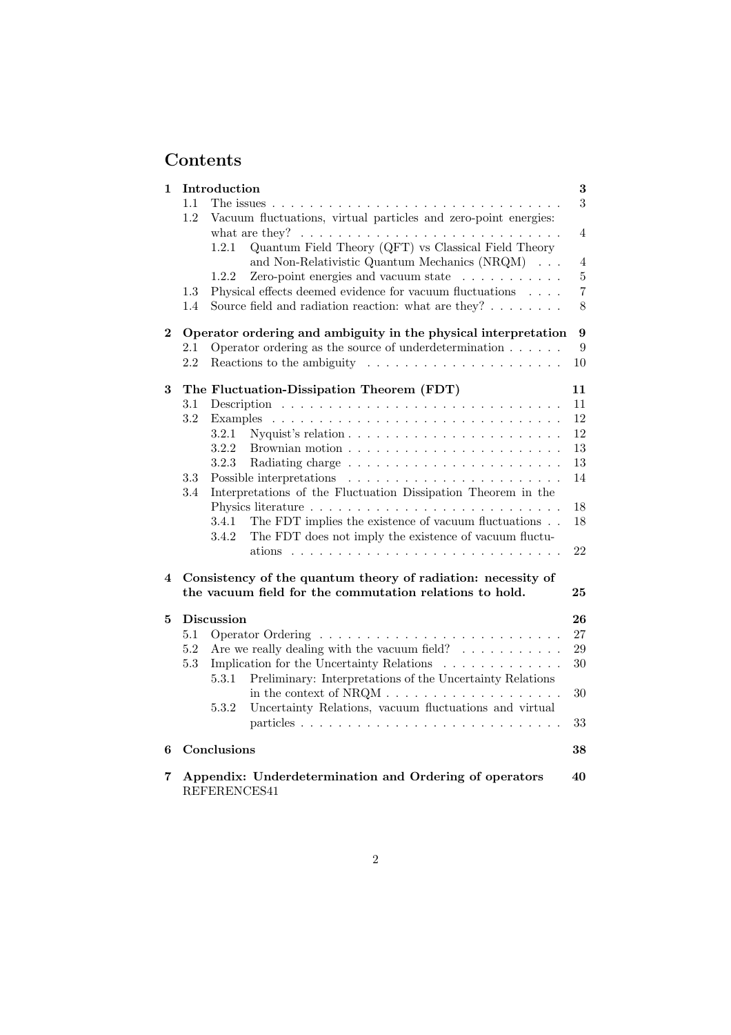# Contents

| 1        |                                                                                                                                                                  | Introduction<br>3<br>3                                                                                                               |                                                                                                                |                |  |  |  |  |  |
|----------|------------------------------------------------------------------------------------------------------------------------------------------------------------------|--------------------------------------------------------------------------------------------------------------------------------------|----------------------------------------------------------------------------------------------------------------|----------------|--|--|--|--|--|
| 1.1      |                                                                                                                                                                  |                                                                                                                                      |                                                                                                                |                |  |  |  |  |  |
|          | Vacuum fluctuations, virtual particles and zero-point energies:<br>1.2<br>what are they? $\ldots \ldots \ldots \ldots \ldots \ldots \ldots \ldots \ldots \ldots$ |                                                                                                                                      |                                                                                                                |                |  |  |  |  |  |
|          |                                                                                                                                                                  |                                                                                                                                      |                                                                                                                |                |  |  |  |  |  |
|          |                                                                                                                                                                  | 1.2.1                                                                                                                                | Quantum Field Theory (QFT) vs Classical Field Theory                                                           |                |  |  |  |  |  |
|          |                                                                                                                                                                  |                                                                                                                                      | and Non-Relativistic Quantum Mechanics (NRQM)                                                                  | $\overline{4}$ |  |  |  |  |  |
|          |                                                                                                                                                                  | 1.2.2                                                                                                                                | Zero-point energies and vacuum state $\ldots \ldots \ldots$                                                    | $\overline{5}$ |  |  |  |  |  |
|          | 1.3                                                                                                                                                              |                                                                                                                                      | Physical effects deemed evidence for vacuum fluctuations                                                       | $\overline{7}$ |  |  |  |  |  |
|          | 1.4                                                                                                                                                              |                                                                                                                                      | Source field and radiation reaction: what are they? $\dots \dots$                                              | 8              |  |  |  |  |  |
| $\bf{2}$ | Operator ordering and ambiguity in the physical interpretation                                                                                                   |                                                                                                                                      |                                                                                                                |                |  |  |  |  |  |
|          | 2.1                                                                                                                                                              |                                                                                                                                      | Operator ordering as the source of underdetermination $\ldots \ldots$                                          | 9              |  |  |  |  |  |
|          | 2.2                                                                                                                                                              |                                                                                                                                      | Reactions to the ambiguity $\dots \dots \dots \dots \dots \dots \dots$                                         | 10             |  |  |  |  |  |
| 3        |                                                                                                                                                                  |                                                                                                                                      | The Fluctuation-Dissipation Theorem (FDT)                                                                      | 11             |  |  |  |  |  |
|          | 3.1                                                                                                                                                              |                                                                                                                                      |                                                                                                                | 11             |  |  |  |  |  |
|          | $3.2\,$                                                                                                                                                          | Examples                                                                                                                             |                                                                                                                | 12             |  |  |  |  |  |
|          |                                                                                                                                                                  | 3.2.1                                                                                                                                |                                                                                                                | 12             |  |  |  |  |  |
|          |                                                                                                                                                                  | 3.2.2                                                                                                                                |                                                                                                                | 13             |  |  |  |  |  |
|          |                                                                                                                                                                  | 3.2.3                                                                                                                                |                                                                                                                | 13             |  |  |  |  |  |
|          | 3.3                                                                                                                                                              |                                                                                                                                      | Possible interpretations                                                                                       | 14             |  |  |  |  |  |
|          | 3.4                                                                                                                                                              |                                                                                                                                      | Interpretations of the Fluctuation Dissipation Theorem in the                                                  |                |  |  |  |  |  |
|          |                                                                                                                                                                  |                                                                                                                                      |                                                                                                                | 18             |  |  |  |  |  |
|          |                                                                                                                                                                  | 3.4.1<br>3.4.2                                                                                                                       | The FDT implies the existence of vacuum fluctuations<br>The FDT does not imply the existence of vacuum fluctu- | 18             |  |  |  |  |  |
|          |                                                                                                                                                                  |                                                                                                                                      | ations $\ldots \ldots \ldots \ldots \ldots \ldots \ldots \ldots \ldots \ldots$                                 | 22             |  |  |  |  |  |
| 4        |                                                                                                                                                                  | Consistency of the quantum theory of radiation: necessity of<br>the vacuum field for the commutation relations to hold.<br>$\bf{25}$ |                                                                                                                |                |  |  |  |  |  |
| 5        |                                                                                                                                                                  | <b>Discussion</b>                                                                                                                    |                                                                                                                | 26             |  |  |  |  |  |
|          | 5.1                                                                                                                                                              |                                                                                                                                      |                                                                                                                | 27             |  |  |  |  |  |
|          | $5.2\,$                                                                                                                                                          | Are we really dealing with the vacuum field? $\ldots \ldots \ldots$                                                                  | 29                                                                                                             |                |  |  |  |  |  |
|          | $5.3\,$                                                                                                                                                          |                                                                                                                                      | Implication for the Uncertainty Relations                                                                      |                |  |  |  |  |  |
|          |                                                                                                                                                                  | 5.3.1                                                                                                                                | Preliminary: Interpretations of the Uncertainty Relations                                                      |                |  |  |  |  |  |
|          |                                                                                                                                                                  |                                                                                                                                      |                                                                                                                | 30             |  |  |  |  |  |
|          |                                                                                                                                                                  | 5.3.2                                                                                                                                | Uncertainty Relations, vacuum fluctuations and virtual                                                         |                |  |  |  |  |  |
|          |                                                                                                                                                                  |                                                                                                                                      |                                                                                                                | 33             |  |  |  |  |  |
| 6        |                                                                                                                                                                  | Conclusions<br>38                                                                                                                    |                                                                                                                |                |  |  |  |  |  |
| 7        | Appendix: Underdetermination and Ordering of operators                                                                                                           |                                                                                                                                      |                                                                                                                |                |  |  |  |  |  |
|          |                                                                                                                                                                  | 40<br>REFERENCES41                                                                                                                   |                                                                                                                |                |  |  |  |  |  |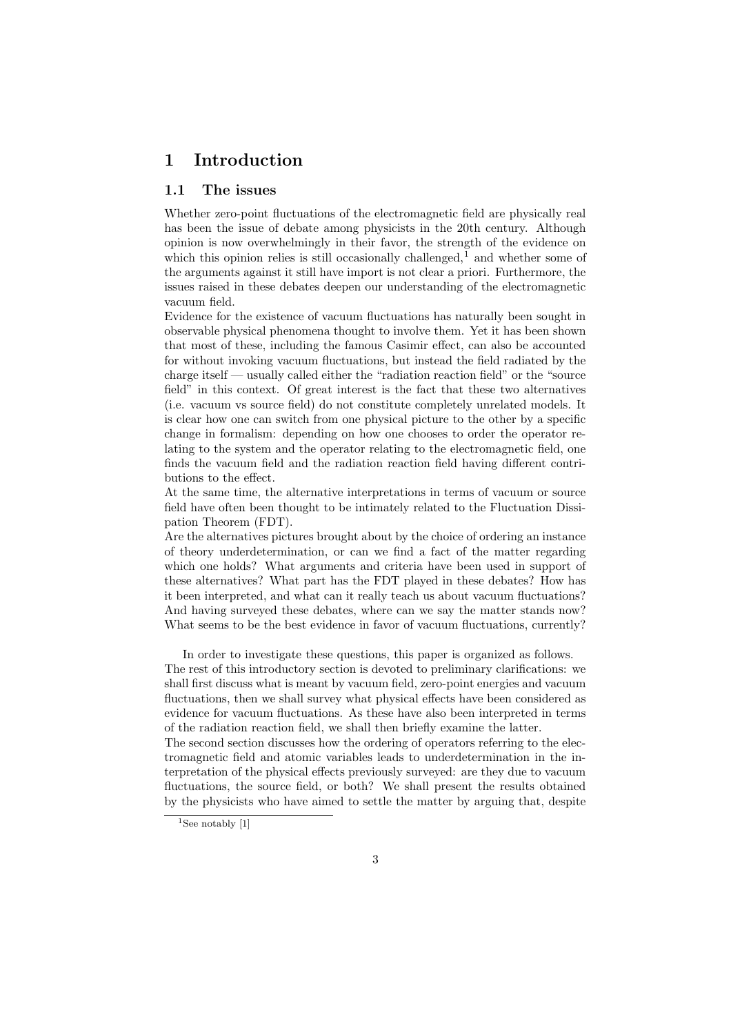## <span id="page-2-0"></span>1 Introduction

#### 1.1 The issues

Whether zero-point fluctuations of the electromagnetic field are physically real has been the issue of debate among physicists in the 20th century. Although opinion is now overwhelmingly in their favor, the strength of the evidence on which this opinion relies is still occasionally challenged, $<sup>1</sup>$  and whether some of</sup> the arguments against it still have import is not clear a priori. Furthermore, the issues raised in these debates deepen our understanding of the electromagnetic vacuum field.

Evidence for the existence of vacuum fluctuations has naturally been sought in observable physical phenomena thought to involve them. Yet it has been shown that most of these, including the famous Casimir effect, can also be accounted for without invoking vacuum fluctuations, but instead the field radiated by the charge itself — usually called either the "radiation reaction field" or the "source field" in this context. Of great interest is the fact that these two alternatives (i.e. vacuum vs source field) do not constitute completely unrelated models. It is clear how one can switch from one physical picture to the other by a specific change in formalism: depending on how one chooses to order the operator relating to the system and the operator relating to the electromagnetic field, one finds the vacuum field and the radiation reaction field having different contributions to the effect.

At the same time, the alternative interpretations in terms of vacuum or source field have often been thought to be intimately related to the Fluctuation Dissipation Theorem (FDT).

Are the alternatives pictures brought about by the choice of ordering an instance of theory underdetermination, or can we find a fact of the matter regarding which one holds? What arguments and criteria have been used in support of these alternatives? What part has the FDT played in these debates? How has it been interpreted, and what can it really teach us about vacuum fluctuations? And having surveyed these debates, where can we say the matter stands now? What seems to be the best evidence in favor of vacuum fluctuations, currently?

In order to investigate these questions, this paper is organized as follows. The rest of this introductory section is devoted to preliminary clarifications: we shall first discuss what is meant by vacuum field, zero-point energies and vacuum fluctuations, then we shall survey what physical effects have been considered as evidence for vacuum fluctuations. As these have also been interpreted in terms of the radiation reaction field, we shall then briefly examine the latter.

The second section discusses how the ordering of operators referring to the electromagnetic field and atomic variables leads to underdetermination in the interpretation of the physical effects previously surveyed: are they due to vacuum fluctuations, the source field, or both? We shall present the results obtained by the physicists who have aimed to settle the matter by arguing that, despite

 $1$ See notably [1]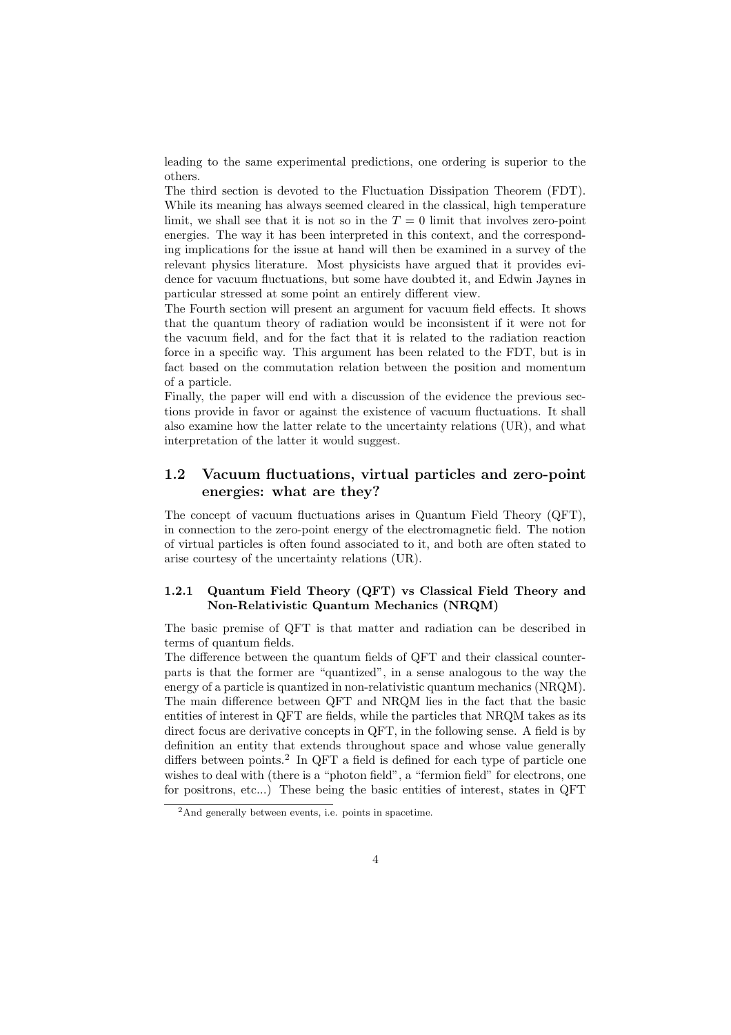<span id="page-3-0"></span>leading to the same experimental predictions, one ordering is superior to the others.

The third section is devoted to the Fluctuation Dissipation Theorem (FDT). While its meaning has always seemed cleared in the classical, high temperature limit, we shall see that it is not so in the  $T = 0$  limit that involves zero-point energies. The way it has been interpreted in this context, and the corresponding implications for the issue at hand will then be examined in a survey of the relevant physics literature. Most physicists have argued that it provides evidence for vacuum fluctuations, but some have doubted it, and Edwin Jaynes in particular stressed at some point an entirely different view.

The Fourth section will present an argument for vacuum field effects. It shows that the quantum theory of radiation would be inconsistent if it were not for the vacuum field, and for the fact that it is related to the radiation reaction force in a specific way. This argument has been related to the FDT, but is in fact based on the commutation relation between the position and momentum of a particle.

Finally, the paper will end with a discussion of the evidence the previous sections provide in favor or against the existence of vacuum fluctuations. It shall also examine how the latter relate to the uncertainty relations (UR), and what interpretation of the latter it would suggest.

## 1.2 Vacuum fluctuations, virtual particles and zero-point energies: what are they?

The concept of vacuum fluctuations arises in Quantum Field Theory (QFT), in connection to the zero-point energy of the electromagnetic field. The notion of virtual particles is often found associated to it, and both are often stated to arise courtesy of the uncertainty relations (UR).

### 1.2.1 Quantum Field Theory (QFT) vs Classical Field Theory and Non-Relativistic Quantum Mechanics (NRQM)

The basic premise of QFT is that matter and radiation can be described in terms of quantum fields.

The difference between the quantum fields of QFT and their classical counterparts is that the former are "quantized", in a sense analogous to the way the energy of a particle is quantized in non-relativistic quantum mechanics (NRQM). The main difference between QFT and NRQM lies in the fact that the basic entities of interest in QFT are fields, while the particles that NRQM takes as its direct focus are derivative concepts in QFT, in the following sense. A field is by definition an entity that extends throughout space and whose value generally differs between points.<sup>2</sup> In QFT a field is defined for each type of particle one wishes to deal with (there is a "photon field", a "fermion field" for electrons, one for positrons, etc...) These being the basic entities of interest, states in QFT

<sup>2</sup>And generally between events, i.e. points in spacetime.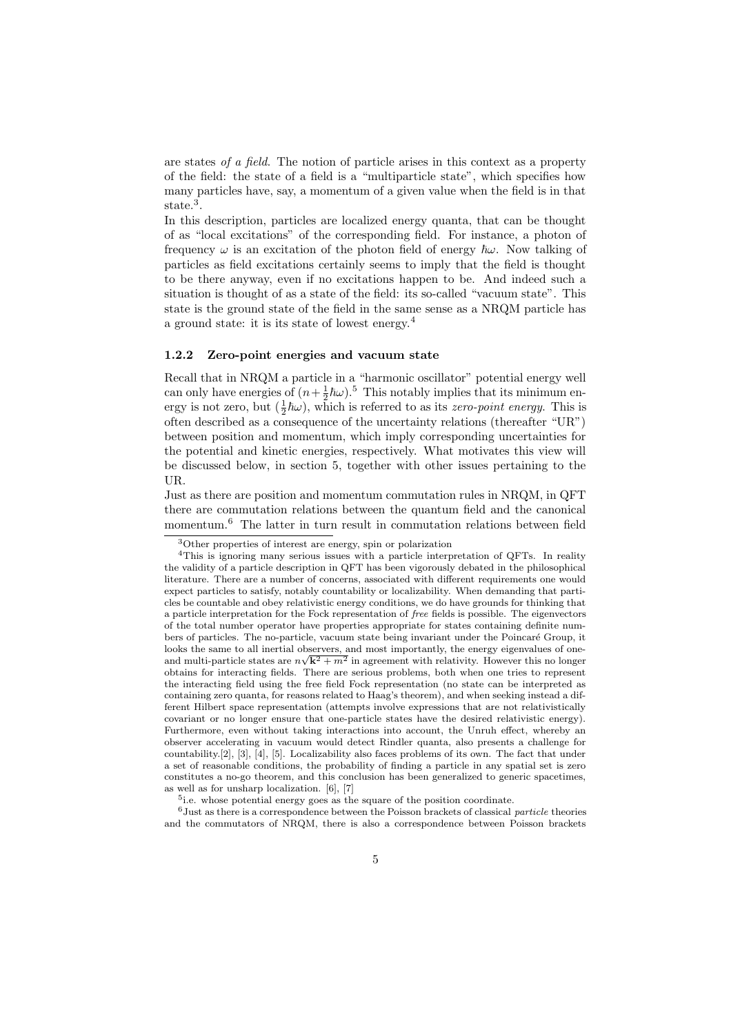<span id="page-4-0"></span>are states of a field. The notion of particle arises in this context as a property of the field: the state of a field is a "multiparticle state", which specifies how many particles have, say, a momentum of a given value when the field is in that state.<sup>3</sup>.

In this description, particles are localized energy quanta, that can be thought of as "local excitations" of the corresponding field. For instance, a photon of frequency  $\omega$  is an excitation of the photon field of energy  $\hbar \omega$ . Now talking of particles as field excitations certainly seems to imply that the field is thought to be there anyway, even if no excitations happen to be. And indeed such a situation is thought of as a state of the field: its so-called "vacuum state". This state is the ground state of the field in the same sense as a NRQM particle has a ground state: it is its state of lowest energy.<sup>4</sup>

#### 1.2.2 Zero-point energies and vacuum state

Recall that in NRQM a particle in a "harmonic oscillator" potential energy well can only have energies of  $(n + \frac{1}{2}\hbar\omega)$ .<sup>5</sup> This notably implies that its minimum energy is not zero, but  $(\frac{1}{2}\hbar\omega)$ , which is referred to as its *zero-point energy*. This is often described as a consequence of the uncertainty relations (thereafter "UR") between position and momentum, which imply corresponding uncertainties for the potential and kinetic energies, respectively. What motivates this view will be discussed below, in section 5, together with other issues pertaining to the UR.

Just as there are position and momentum commutation rules in NRQM, in QFT there are commutation relations between the quantum field and the canonical momentum. $6$  The latter in turn result in commutation relations between field

<sup>5</sup>i.e. whose potential energy goes as the square of the position coordinate.

 $^6$ Just as t[he](#page-41-0)re [is](#page-41-0) a [c](#page-41-0)or[re](#page-41-0)spondence between the Poisson brackets of classical *particle* theories and the commutators of NRQM, there is also a correspondence between Poisson brackets

<sup>3</sup>Other properties of interest are energy, spin or polarization

<sup>4</sup>This is ignoring many serious issues with a particle interpretation of QFTs. In reality the validity of a particle description in QFT has been vigorously debated in the philosophical literature. There are a number of concerns, associated with different requirements one would expect particles to satisfy, notably countability or localizability. When demanding that particles be countable and obey relativistic energy conditions, we do have grounds for thinking that a particle interpretation for the Fock representation of free fields is possible. The eigenvectors of the total number operator have properties appropriate for states containing definite numbers of particles. The no-particle, vacuum state being invariant under the Poincaré Group, it looks the same to all inertial observers, and most importantly, the energy eigenvalues of oneand multi-particle states are  $n\sqrt{k^2 + m^2}$  in agreement with relativity. However this no longer obtains for interacting fields. There are serious problems, both when one tries to represent the interacting field using the free field Fock representation (no state can be interpreted as containing zero quanta, for reasons related to Haag's theorem), and when seeking instead a different Hilbert space representation (attempts involve expressions that are not relativistically covariant or no longer ensure that one-particle states have the desired relativistic energy). Furthermore, even without taking interactions into account, the Unruh effect, whereby an observer accelerating in vacuum would detect Rindler quanta, also presents a challenge for countability.[2], [3], [4], [5]. Localizability also faces problems of its own. The fact that under a set of reasonable conditions, the probability of finding a particle in any spatial set is zero constitutes a no-go theorem, and this conclusion has been generalized to generic spacetimes, as well as for unsharp localization. [6], [7]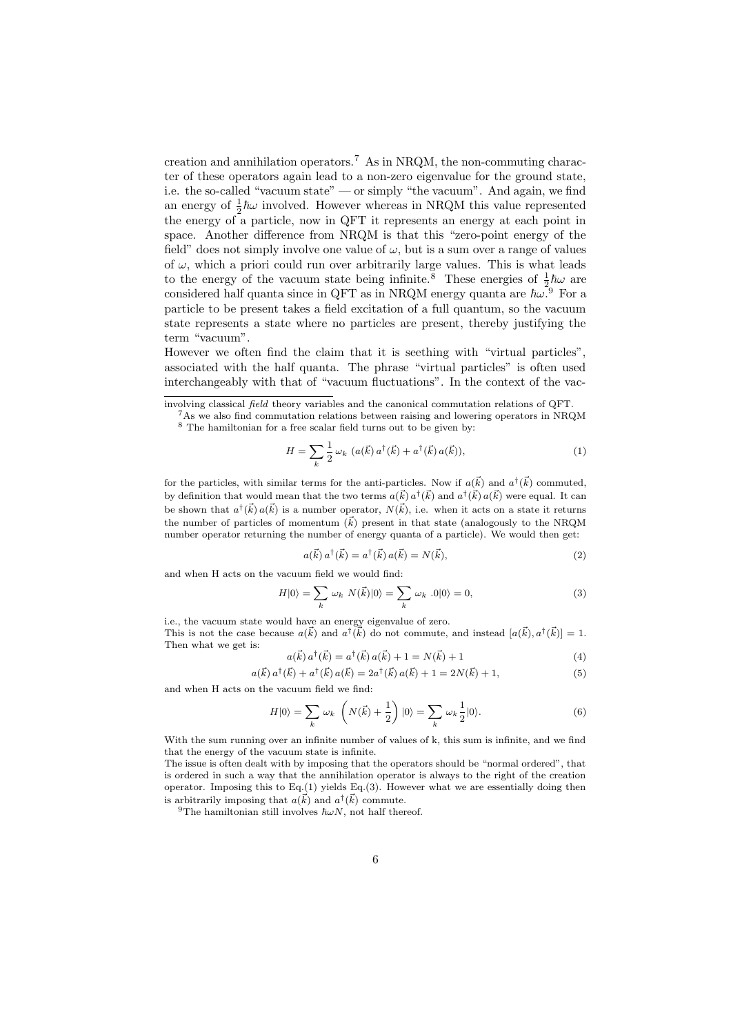creation and annihilation operators.<sup>7</sup> As in NRQM, the non-commuting character of these operators again lead to a non-zero eigenvalue for the ground state, i.e. the so-called "vacuum state" — or simply "the vacuum". And again, we find an energy of  $\frac{1}{2}\hbar\omega$  involved. However whereas in NRQM this value represented the energy of a particle, now in QFT it represents an energy at each point in space. Another difference from NRQM is that this "zero-point energy of the field" does not simply involve one value of  $\omega$ , but is a sum over a range of values of  $\omega$ , which a priori could run over arbitrarily large values. This is what leads to the energy of the vacuum state being infinite.<sup>8</sup> These energies of  $\frac{1}{2}\hbar\omega$  are considered half quanta since in QFT as in NRQM energy quanta are  $\hbar\omega^2$  For a particle to be present takes a field excitation of a full quantum, so the vacuum state represents a state where no particles are present, thereby justifying the term "vacuum".

However we often find the claim that it is seething with "virtual particles", associated with the half quanta. The phrase "virtual particles" is often used interchangeably with that of "vacuum fluctuations". In the context of the vac-

$$
H = \sum_{k} \frac{1}{2} \omega_k \, (a(\vec{k}) \, a^{\dagger}(\vec{k}) + a^{\dagger}(\vec{k}) \, a(\vec{k})), \tag{1}
$$

for the particles, with similar terms for the anti-particles. Now if  $a(\vec{k})$  and  $a^{\dagger}(\vec{k})$  commuted, by definition that would mean that the two terms  $a(\vec{k}) a^{\dagger}(\vec{k})$  and  $a^{\dagger}(\vec{k}) a(\vec{k})$  were equal. It can be shown that  $a^{\dagger}(\vec{k}) a(\vec{k})$  is a number operator,  $N(\vec{k})$ , i.e. when it acts on a state it returns the number of particles of momentum  $(\vec{k})$  present in that state (analogously to the NRQM number operator returning the number of energy quanta of a particle). We would then get:

$$
a(\vec{k}) a^{\dagger}(\vec{k}) = a^{\dagger}(\vec{k}) a(\vec{k}) = N(\vec{k}), \qquad (2)
$$

and when H acts on the vacuum field we would find:

$$
H|0\rangle = \sum_{k} \omega_k N(\vec{k})|0\rangle = \sum_{k} \omega_k .0|0\rangle = 0,
$$
\n(3)

i.e., the vacuum state would have an energy eigenvalue of zero. This is not the case because  $a(\vec{k})$  and  $a^{\dagger}(\vec{k})$  do not commute, and instead  $[a(\vec{k}), a^{\dagger}(\vec{k})] = 1$ . Then what we get is:

$$
a(\vec{k}) a^{\dagger}(\vec{k}) = a^{\dagger}(\vec{k}) a(\vec{k}) + 1 = N(\vec{k}) + 1
$$
\n(4)

$$
a(\vec{k}) a^{\dagger}(\vec{k}) + a^{\dagger}(\vec{k}) a(\vec{k}) = 2a^{\dagger}(\vec{k}) a(\vec{k}) + 1 = 2N(\vec{k}) + 1,
$$
\n(5)

and when H acts on the vacuum field we find:

$$
H|0\rangle = \sum_{k} \omega_k \left( N(\vec{k}) + \frac{1}{2} \right) |0\rangle = \sum_{k} \omega_k \frac{1}{2} |0\rangle.
$$
 (6)

With the sum running over an infinite number of values of k, this sum is infinite, and we find that the energy of the vacuum state is infinite.

The issue is often dealt with by imposing that the operators should be "normal ordered", that is ordered in such a way that the annihilation operator is always to the right of the creation operator. Imposing this to  $Eq.(1)$  yields  $Eq.(3)$ . However what we are essentially doing then is arbitrarily imposing that  $a(\vec{k})$  and  $a^{\dagger}(\vec{k})$  commute.

<sup>9</sup>The hamiltonian still involves  $\hbar \omega N$ , not half thereof.

involving classical field theory variables and the canonical commutation relations of QFT.

<sup>&</sup>lt;sup>7</sup>As we also find commutation relations between raising and lowering operators in NRQM  $^8$  The hamiltonian for a free scalar field turns out to be given by: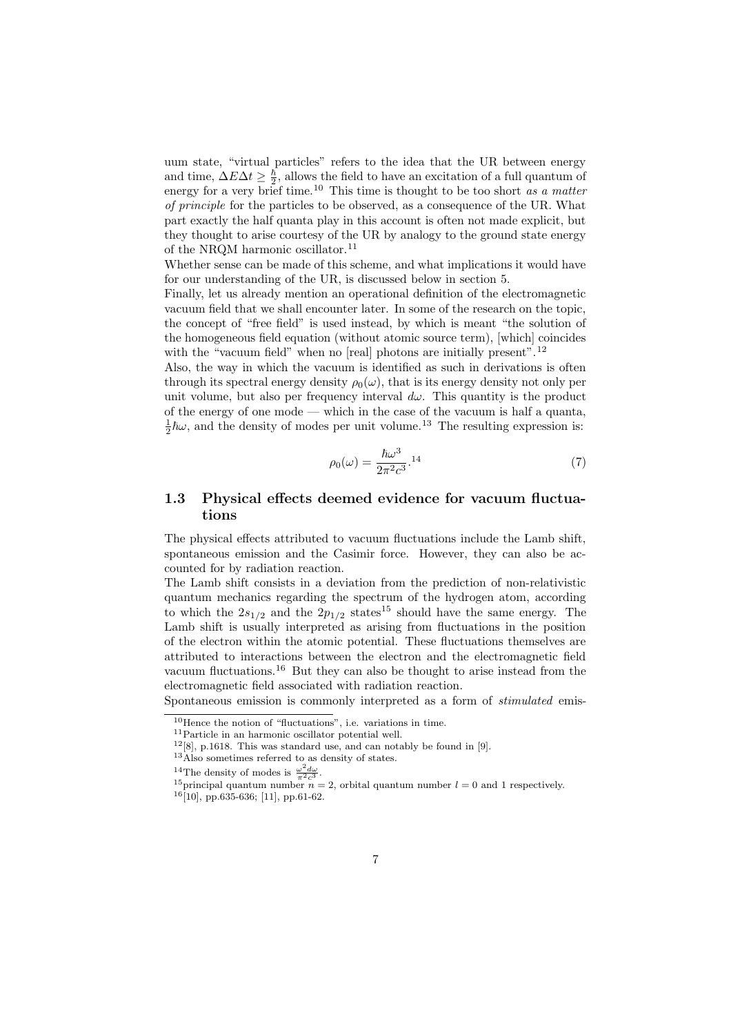<span id="page-6-0"></span>uum state, "virtual particles" refers to the idea that the UR between energy and time,  $\Delta E \Delta t \geq \frac{\hbar}{2}$ , allows the field to have an excitation of a full quantum of energy for a very brief time.<sup>10</sup> This time is thought to be too short as a matter of principle for the particles to be observed, as a consequence of the UR. What part exactly the half quanta play in this account is often not made explicit, but they thought to arise courtesy of the UR by analogy to the ground state energy of the NRQM harmonic oscillator.<sup>11</sup>

Whether sense can be made of this scheme, and what implications it would have for our understanding of the UR, is discussed below in section 5.

Finally, let us already mention an operational definition of the electromagnetic vacuum field that we shall encounter later. In some of the research on the topic, the concept of "free field" is used instead, by which is meant "the solution of the homogeneous field equation (without atomic source term), [which] coincides with the "vacuum field" when no [real] photons are initially present".<sup>12</sup>

Also, the way in which the vacuum is identified as such in derivations is often through its spectral energy density  $\rho_0(\omega)$ , that is its energy density not only per unit volume, but also per frequency interval  $d\omega$ . This quantity is the product of the energy of one mode — which in the case of the vacuum is half a quanta,  $\frac{1}{2}\hbar\omega$ , and the density of modes per unit volume.<sup>13</sup> The resulting expression is:

$$
\rho_0(\omega) = \frac{\hbar\omega^3}{2\pi^2 c^3} \cdot {}^{14} \tag{7}
$$

## 1.3 Physical effects deemed evidence for vacuum fluctuations

The physical effects attributed to vacuum fluctuations include the Lamb shift, spontaneous emission and the Casimir force. However, they can also be accounted for by radiation reaction.

The Lamb shift consists in a deviation from the prediction of non-relativistic quantum mechanics regarding the spectrum of the hydrogen atom, according to which the  $2s_{1/2}$  and the  $2p_{1/2}$  states<sup>15</sup> should have the same energy. The Lamb shift is usually interpreted as arising from fluctuations in the position of the electron within the atomic potential. These fluctuations themselves are attributed to interactions between the electron and the electromagnetic field vacuum fluctuations.<sup>16</sup> But they can also be thought to arise instead from the electromagnetic field associated with radiation reaction.

Spontaneous emission is commonly interpreted as a form of stimulated emis-

<sup>10</sup>Hence the notion of "fluctuations", i.e. variations in time.

<sup>11</sup>Particle in an harmonic oscillator potential well.

 $12[8]$ , p.1618. This was standard use, and can notably be found in [9].

<sup>13</sup>Also sometimes referred to as density of states.

<sup>&</sup>lt;sup>14</sup>The density of modes is  $\frac{\omega^2 d\omega}{\pi^2 c^3}$ .

<sup>&</sup>lt;sup>15</sup>principal quantum number  $n = 2$ , orbital quantum number  $l = 0$  and 1 respectively.

<sup>16</sup>[10], pp.635-636; [11], pp.61-62.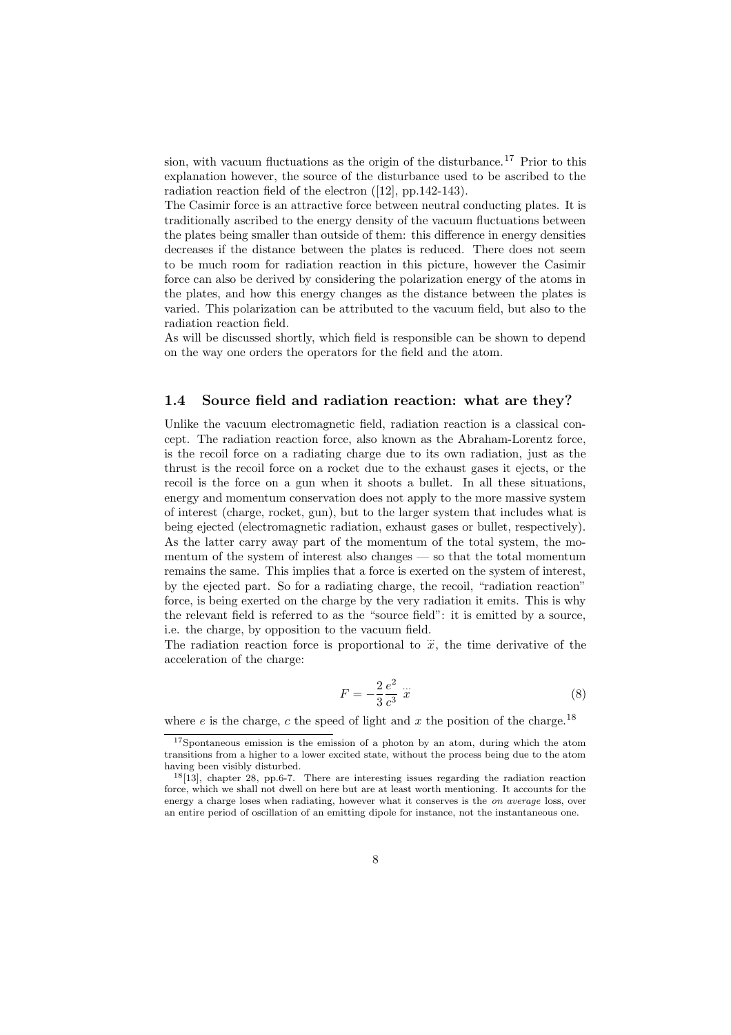<span id="page-7-0"></span>sion, with vacuum fluctuations as the origin of the disturbance.<sup>17</sup> Prior to this explanation however, the source of the disturbance used to be ascribed to the radiation reaction field of the electron ([12], pp.142-143).

The Casimir force is an attractive force between neutral conducting plates. It is traditionally ascribed to the energy density of the vacuum fluctuations between the plates being smaller than outside of them: this difference in energy densities decreases if the distance between the p[late](#page-41-0)s is reduced. There does not seem to be much room for radiation reaction in this picture, however the Casimir force can also be derived by considering the polarization energy of the atoms in the plates, and how this energy changes as the distance between the plates is varied. This polarization can be attributed to the vacuum field, but also to the radiation reaction field.

As will be discussed shortly, which field is responsible can be shown to depend on the way one orders the operators for the field and the atom.

#### 1.4 Source field and radiation reaction: what are they?

Unlike the vacuum electromagnetic field, radiation reaction is a classical concept. The radiation reaction force, also known as the Abraham-Lorentz force, is the recoil force on a radiating charge due to its own radiation, just as the thrust is the recoil force on a rocket due to the exhaust gases it ejects, or the recoil is the force on a gun when it shoots a bullet. In all these situations, energy and momentum conservation does not apply to the more massive system of interest (charge, rocket, gun), but to the larger system that includes what is being ejected (electromagnetic radiation, exhaust gases or bullet, respectively). As the latter carry away part of the momentum of the total system, the momentum of the system of interest also changes — so that the total momentum remains the same. This implies that a force is exerted on the system of interest, by the ejected part. So for a radiating charge, the recoil, "radiation reaction" force, is being exerted on the charge by the very radiation it emits. This is why the relevant field is referred to as the "source field": it is emitted by a source, i.e. the charge, by opposition to the vacuum field.

The radiation reaction force is proportional to  $\dddot{x}$ , the time derivative of the acceleration of the charge:

$$
F = -\frac{2}{3}\frac{e^2}{c^3}\ddot{x} \tag{8}
$$

where e is the charge, c the speed of light and x the position of the charge.<sup>18</sup>

<sup>17</sup>Spontaneous emission is the emission of a photon by an atom, during which the atom transitions from a higher to a lower excited state, without the process being due to the atom having been visibly disturbed.

<sup>18</sup>[13], chapter 28, pp.6-7. There are interesting issues regarding the radiation reaction force, which we shall not dwell on here but are at least worth mentioning. It accounts for the energy a charge loses when radiating, however what it conserves is the *on average* loss, over an entire period of oscillation of an emitting dipole for instance, not the instantaneous one.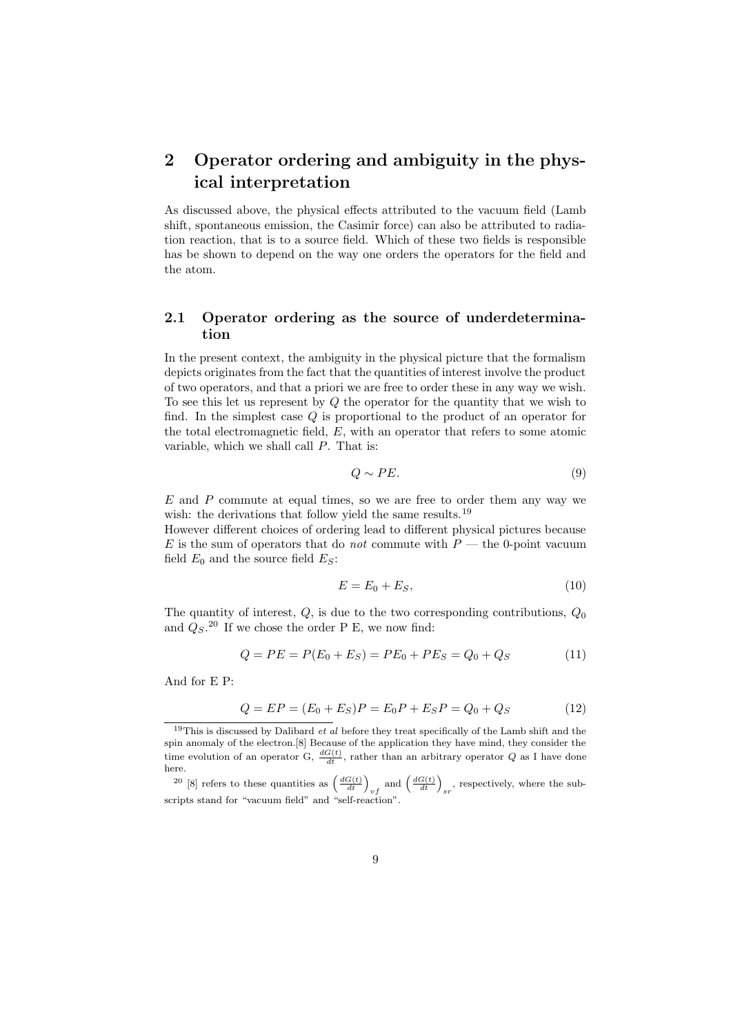## <span id="page-8-0"></span>2 Operator ordering and ambiguity in the physical interpretation

As discussed above, the physical effects attributed to the vacuum field (Lamb shift, spontaneous emission, the Casimir force) can also be attributed to radiation reaction, that is to a source field. Which of these two fields is responsible has be shown to depend on the way one orders the operators for the field and the atom.

## 2.1 Operator ordering as the source of underdetermination

In the present context, the ambiguity in the physical picture that the formalism depicts originates from the fact that the quantities of interest involve the product of two operators, and that a priori we are free to order these in any way we wish. To see this let us represent by Q the operator for the quantity that we wish to find. In the simplest case Q is proportional to the product of an operator for the total electromagnetic field, E, with an operator that refers to some atomic variable, which we shall call P. That is:

$$
Q \sim PE. \tag{9}
$$

 $E$  and  $P$  commute at equal times, so we are free to order them any way we wish: the derivations that follow yield the same results.<sup>19</sup>

However different choices of ordering lead to different physical pictures because  $E$  is the sum of operators that do *not* commute with  $P$  — the 0-point vacuum field  $E_0$  and the source field  $E_S$ :

$$
E = E_0 + E_S,\t\t(10)
$$

The quantity of interest,  $Q$ , is due to the two corresponding contributions,  $Q_0$ and  $Q_S$ .<sup>20</sup> If we chose the order P E, we now find:

$$
Q = PE = P(E_0 + E_S) = PE_0 + PE_S = Q_0 + Q_S \tag{11}
$$

And for E P:

$$
Q = EP = (E_0 + E_S)P = E_0P + E_SP = Q_0 + Q_S
$$
\n(12)

<sup>20</sup> [8] refers to these quantities as  $\left(\frac{dG(t)}{dt}\right)_{vf}$  and  $\left(\frac{dG(t)}{dt}\right)_{sr}$ , respectively, where the subscripts stand for "vacuum fiel[d](#page-41-0)" and "self-reaction".

 $19$ This is discussed by Dalibard *et al* before they treat specifically of the Lamb shift and the spin anomaly of the electron.[8] Because of the application they have mind, they consider the time evolution of an operator G,  $\frac{dG(t)}{dt}$ , rather than an arbitrary operator Q as I have done here.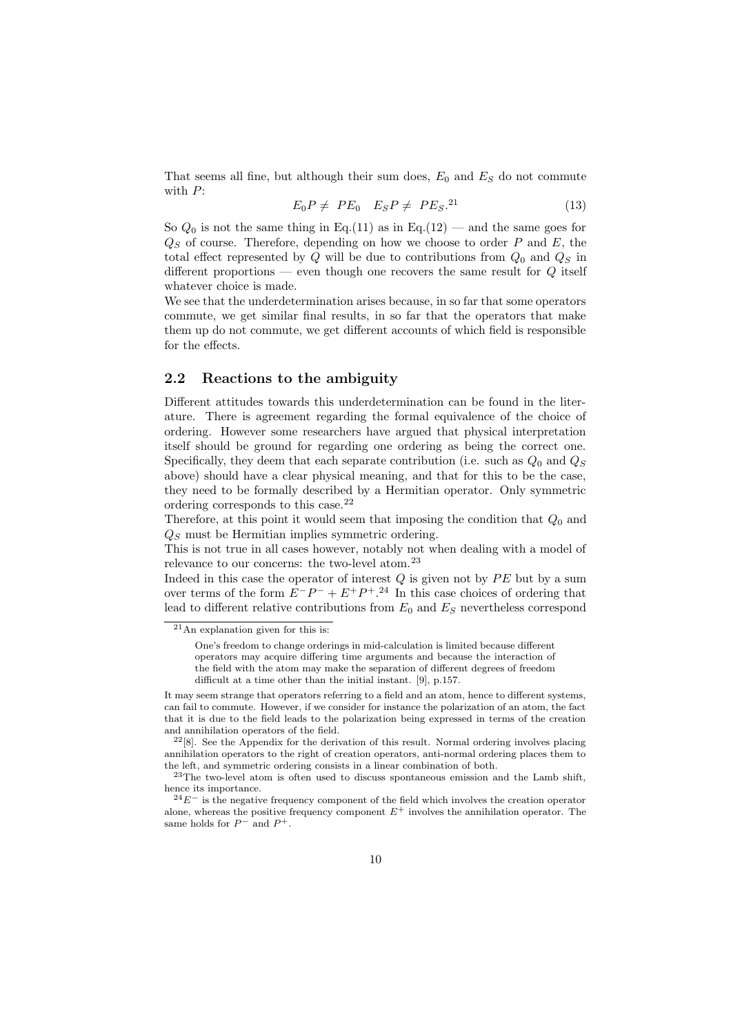<span id="page-9-0"></span>That seems all fine, but although their sum does,  $E_0$  and  $E_S$  do not commute with P:

$$
E_0 P \neq PE_0 \quad E_S P \neq PE_S^{21} \tag{13}
$$

So  $Q_0$  is not the same thing in Eq.(11) as in Eq.(12) — and the same goes for  $Q<sub>S</sub>$  of course. Therefore, depending on how we choose to order P and E, the total effect represented by  $Q$  will be due to contributions from  $Q_0$  and  $Q_S$  in different proportions — even though one recovers the same result for Q itself whatever choice is made.

We see that the underdetermination arises because, in so far that some operators commute, we get similar final results, in so far that the operators that make them up do not commute, we get different accounts of which field is responsible for the effects.

## 2.2 Reactions to the ambiguity

Different attitudes towards this underdetermination can be found in the literature. There is agreement regarding the formal equivalence of the choice of ordering. However some researchers have argued that physical interpretation itself should be ground for regarding one ordering as being the correct one. Specifically, they deem that each separate contribution (i.e. such as  $Q_0$  and  $Q_S$ above) should have a clear physical meaning, and that for this to be the case, they need to be formally described by a Hermitian operator. Only symmetric ordering corresponds to this case.<sup>22</sup>

Therefore, at this point it would seem that imposing the condition that  $Q_0$  and  $Q<sub>S</sub>$  must be Hermitian implies symmetric ordering.

This is not true in all cases however, notably not when dealing with a model of relevance to our concerns: the two-level atom. $^{23}$ 

Indeed in this case the operator of interest  $Q$  is given not by  $PE$  but by a sum over terms of the form  $E^-P^- + E^+P^+$ .<sup>24</sup> In this case choices of ordering that lead to different relative contributions from  $E_0$  and  $E_S$  nevertheless correspond

It may seem strange that operators referring to a field and an atom, hence to different systems, can fail to commute. However, if we consider for instance the polarization of an atom, the fact that it is due to the field leads to the polarization being expressed in terms of the creation and annihilation operators of the field.

 $2^{2}[8]$ . See the Appendix for the derivation of this res[ult](#page-41-0). Normal ordering involves placing annihilation operators to the right of creation operators, anti-normal ordering places them to the left, and symmetric ordering consists in a linear combination of both.

<sup>23</sup>The two-level atom is often used to discuss spontaneous emission and the Lamb shift, hence its importance.

 $24E^ 24E^ 24E^-$  is the negative frequency component of the field which involves the creation operator alone, whereas the positive frequency component  $E^+$  involves the annihilation operator. The same holds for  $P^-$  and  $P^+$ .

 $21$ An explanation given for this is:

One's freedom to change orderings in mid-calculation is limited because different operators may acquire differing time arguments and because the interaction of the field with the atom may make the separation of different degrees of freedom difficult at a time other than the initial instant. [9], p.157.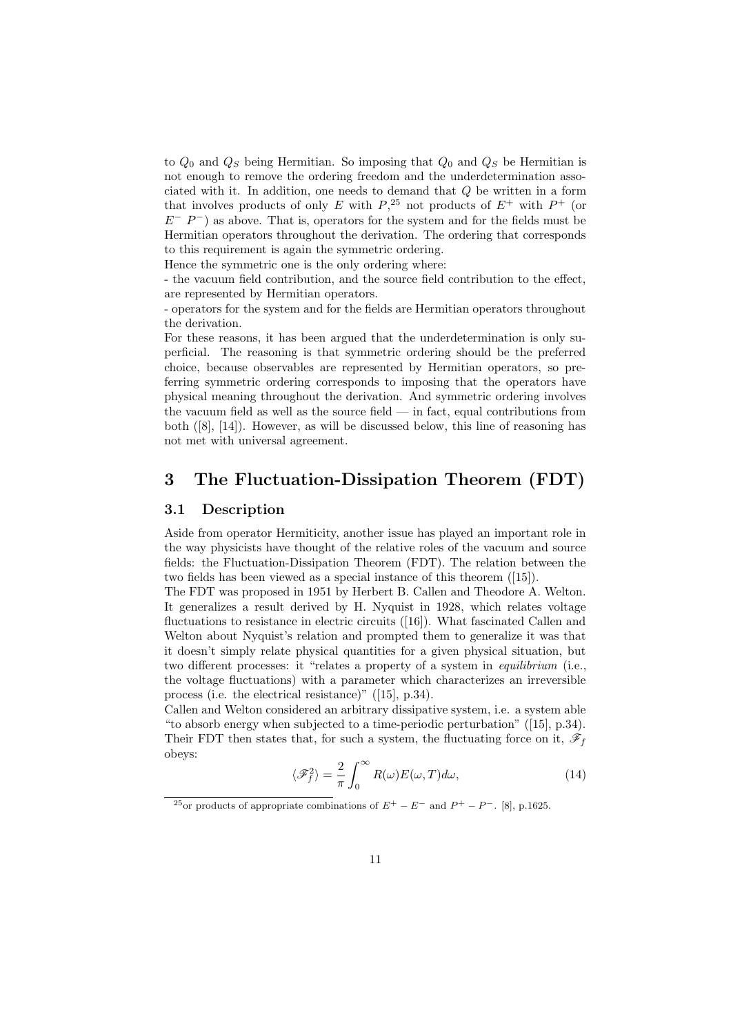<span id="page-10-0"></span>to  $Q_0$  and  $Q_S$  being Hermitian. So imposing that  $Q_0$  and  $Q_S$  be Hermitian is not enough to remove the ordering freedom and the underdetermination associated with it. In addition, one needs to demand that Q be written in a form that involves products of only E with  $P,^{25}$  not products of  $E^+$  with  $P^+$  (or  $E^-$  P<sup>-</sup>) as above. That is, operators for the system and for the fields must be Hermitian operators throughout the derivation. The ordering that corresponds to this requirement is again the symmetric ordering.

Hence the symmetric one is the only ordering where:

- the vacuum field contribution, and the source field contribution to the effect, are represented by Hermitian operators.

- operators for the system and for the fields are Hermitian operators throughout the derivation.

For these reasons, it has been argued that the underdetermination is only superficial. The reasoning is that symmetric ordering should be the preferred choice, because observables are represented by Hermitian operators, so preferring symmetric ordering corresponds to imposing that the operators have physical meaning throughout the derivation. And symmetric ordering involves the vacuum field as well as the source field  $-$  in fact, equal contributions from both ([8], [14]). However, as will be discussed below, this line of reasoning has not met with universal agreement.

## 3 [T](#page-41-0)h[e F](#page-41-0)luctuation-Dissipation Theorem (FDT)

#### 3.1 Description

Aside from operator Hermiticity, another issue has played an important role in the way physicists have thought of the relative roles of the vacuum and source fields: the Fluctuation-Dissipation Theorem (FDT). The relation between the two fields has been viewed as a special instance of this theorem ([15]).

The FDT was proposed in 1951 by Herbert B. Callen and Theodore A. Welton. It generalizes a result derived by H. Nyquist in 1928, which relates voltage fluctuations to resistance in electric circuits ([16]). What fascinated Callen and Welton about Nyquist's relation and prompted them to generali[ze i](#page-42-0)t was that it doesn't simply relate physical quantities for a given physical situation, but two different processes: it "relates a property of a system in equilibrium (i.e., the voltage fluctuations) with a parameter [whic](#page-42-0)h characterizes an irreversible process (i.e. the electrical resistance)" ([15], p.34).

Callen and Welton considered an arbitrary dissipative system, i.e. a system able "to absorb energy when subjected to a time-periodic perturbation" ([15], p.34). Their FDT then states that, for such a system, the fluctuating force on it,  $\mathscr{F}_f$ obeys:

$$
\langle \mathcal{F}_f^2 \rangle = \frac{2}{\pi} \int_0^\infty R(\omega) E(\omega, T) d\omega, \tag{14}
$$

<sup>&</sup>lt;sup>25</sup>or products of appropriate combinations of  $E^+ - E^-$  and  $P^+ - P^-$ . [8], p.1625.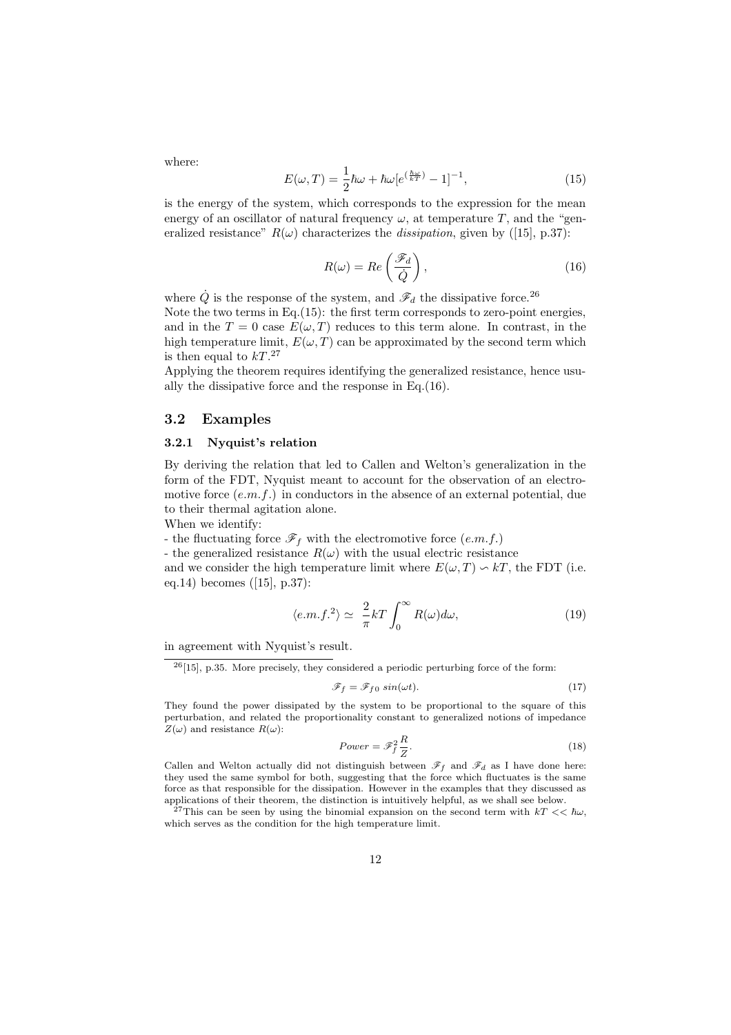<span id="page-11-0"></span>where:

$$
E(\omega, T) = \frac{1}{2}\hbar\omega + \hbar\omega[e^{(\frac{\hbar\omega}{kT})} - 1]^{-1},\tag{15}
$$

is the energy of the system, which corresponds to the expression for the mean energy of an oscillator of natural frequency  $\omega$ , at temperature T, and the "generalized resistance"  $R(\omega)$  characterizes the *dissipation*, given by ([15], p.37):

$$
R(\omega) = Re\left(\frac{\mathcal{F}_d}{\dot{Q}}\right),\tag{16}
$$

where  $\dot{Q}$  is the response of the system, and  $\mathscr{F}_{d}$  the dissipative for[ce.](#page-42-0)  $^{26}$ Note the two terms in Eq.(15): the first term corresponds to zero-point energies, and in the  $T = 0$  case  $E(\omega, T)$  reduces to this term alone. In contrast, in the high temperature limit,  $E(\omega, T)$  can be approximated by the second term which is then equal to  $kT^{27}$ 

Applying the theorem requires identifying the generalized resistance, hence usually the dissipative force and the response in Eq.(16).

#### 3.2 Examples

#### 3.2.1 Nyquist's relation

By deriving the relation that led to Callen and Welton's generalization in the form of the FDT, Nyquist meant to account for the observation of an electromotive force  $(e.m.f.)$  in conductors in the absence of an external potential, due to their thermal agitation alone.

When we identify:

- the fluctuating force  $\mathscr{F}_f$  with the electromotive force  $(e.m.f.)$ 

- the generalized resistance  $R(\omega)$  with the usual electric resistance

and we consider the high temperature limit where  $E(\omega, T) \sim kT$ , the FDT (i.e. eq.14) becomes ([15], p.37):

$$
\langle e.m.f.^2 \rangle \simeq \frac{2}{\pi} kT \int_0^\infty R(\omega) d\omega, \tag{19}
$$

in [agr](#page-10-0)eement wit[h](#page-42-0) [N](#page-42-0)yquist's result.

 $^{26}$ [15], p.35. More precisely, they considered a periodic perturbing force of the form:

$$
\mathcal{F}_f = \mathcal{F}_{f0} \sin(\omega t). \tag{17}
$$

They found the power dissipated by the system to be proportional to the square of this perturbation, and related the proportionality constant to generalized notions of impedance  $Z(\omega)$  and resistance  $R(\omega)$ :

$$
Power = \mathcal{F}_f^2 \frac{R}{Z}.
$$
\n(18)

Callen and Welton actually did not distinguish between  $\mathscr{F}_f$  and  $\mathscr{F}_d$  as I have done here: they used the same symbol for both, suggesting that the force which fluctuates is the same force as that responsible for the dissipation. However in the examples that they discussed as applications of their theorem, the distinction is intuitively helpful, as we shall see below.

<sup>27</sup>This can be seen by using the binomial expansion on the second term with  $kT \ll \hbar \omega$ , which serves as the condition for the high temperature limit.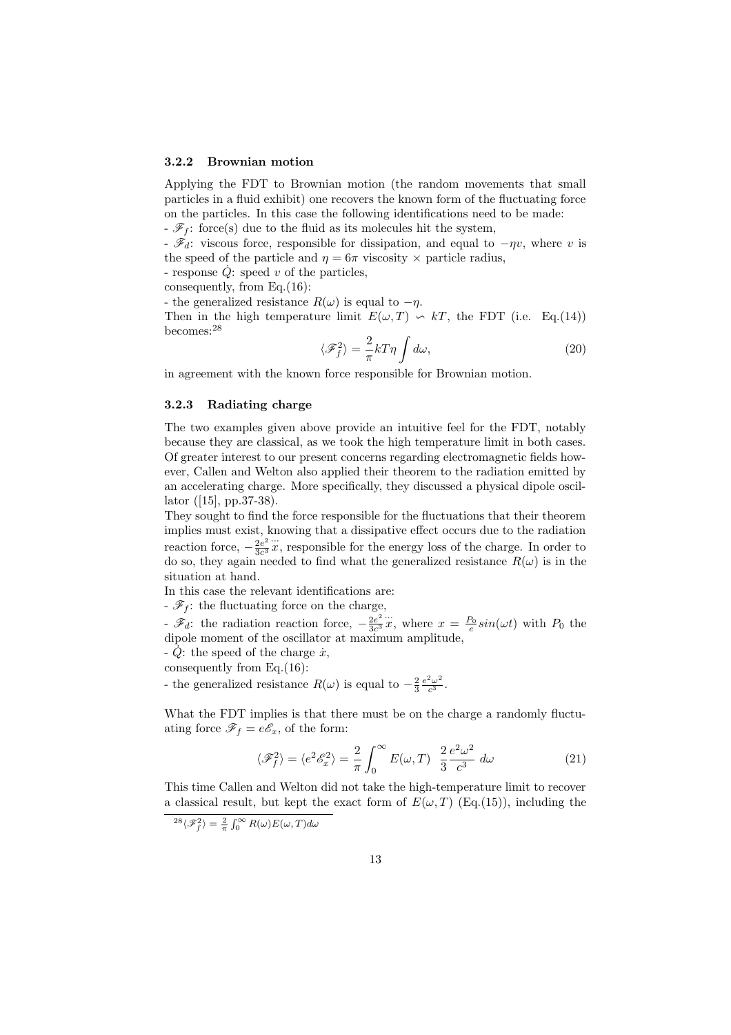#### <span id="page-12-0"></span>3.2.2 Brownian motion

Applying the FDT to Brownian motion (the random movements that small particles in a fluid exhibit) one recovers the known form of the fluctuating force on the particles. In this case the following identifications need to be made:

 $-\mathscr{F}_f$ : force(s) due to the fluid as its molecules hit the system,

-  $\mathscr{F}_d$ : viscous force, responsible for dissipation, and equal to  $-\eta v$ , where v is the speed of the particle and  $\eta = 6\pi$  viscosity  $\times$  particle radius,

- response  $\dot{Q}$ : speed v of the particles,

consequently, from Eq.(16):

- the generalized resistance  $R(\omega)$  is equal to  $-\eta$ .

Then in the high temperature limit  $E(\omega, T) \sim kT$ , the FDT (i.e. Eq.(14)) becomes:<sup>28</sup>

$$
\langle \mathcal{F}_f^2 \rangle = \frac{2}{\pi} kT\eta \int d\omega, \qquad (20)
$$

in agreement with the known force responsible for Brownian motion.

#### 3.2.3 Radiating charge

The two examples given above provide an intuitive feel for the FDT, notably because they are classical, as we took the high temperature limit in both cases. Of greater interest to our present concerns regarding electromagnetic fields however, Callen and Welton also applied their theorem to the radiation emitted by an accelerating charge. More specifically, they discussed a physical dipole oscillator ([15], pp.37-38).

They sought to find the force responsible for the fluctuations that their theorem implies must exist, knowing that a dissipative effect occurs due to the radiation reaction force,  $-\frac{2e^2}{3c^3}x$ , responsible for the energy loss of the charge. In order to do so, [the](#page-42-0)y again needed to find what the generalized resistance  $R(\omega)$  is in the situation at hand.

In this case the relevant identifications are:

-  $\mathscr{F}_f$  : the fluctuating force on the charge,

 $\mathscr{F}_d$ : the radiation reaction force,  $-\frac{2e^2}{3c^3}x$ , where  $x = \frac{P_0}{e}sin(\omega t)$  with  $P_0$  the dipole moment of the oscillator at maximum amplitude,

 $-Q$ : the speed of the charge  $\dot{x}$ ,

consequently from Eq.(16):

- the generalized resistance  $R(\omega)$  is equal to  $-\frac{2}{3}\frac{e^2\omega^2}{c^3}$ .

What the FDT implies is that there must be on the charge a randomly fluctuating force  $\mathscr{F}_f = e\mathscr{E}_x$ , [of t](#page-11-0)he form:

$$
\langle \mathcal{F}_f^2 \rangle = \langle e^2 \mathcal{E}_x^2 \rangle = \frac{2}{\pi} \int_0^\infty E(\omega, T) \frac{2}{3} \frac{e^2 \omega^2}{c^3} d\omega \tag{21}
$$

This time Callen and Welton did not take the high-temperature limit to recover a classical result, but kept the exact form of  $E(\omega, T)$  (Eq.(15)), including the

 $\langle \mathscr{F}_{f}^{2} \rangle = \frac{2}{\pi} \int_{0}^{\infty} R(\omega) E(\omega, T) d\omega$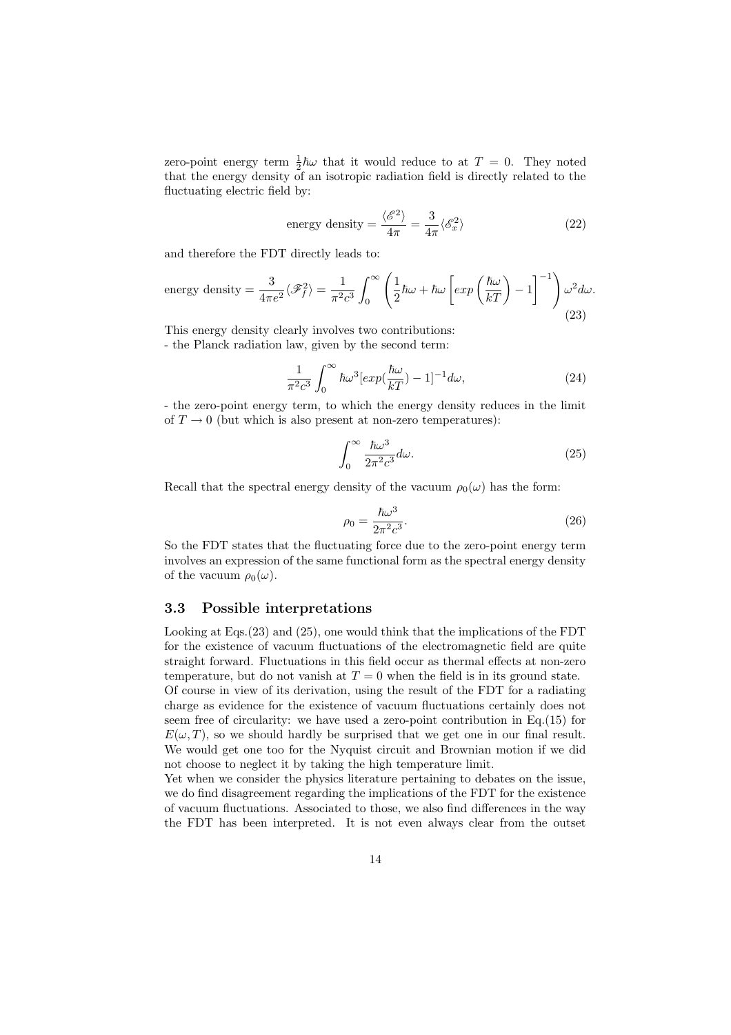<span id="page-13-0"></span>zero-point energy term  $\frac{1}{2}\hbar\omega$  that it would reduce to at  $T = 0$ . They noted that the energy density of an isotropic radiation field is directly related to the fluctuating electric field by:

energy density 
$$
=\frac{\langle \mathcal{E}^2 \rangle}{4\pi} = \frac{3}{4\pi} \langle \mathcal{E}_x^2 \rangle
$$
 (22)

and therefore the FDT directly leads to:

energy density 
$$
=\frac{3}{4\pi e^2}\langle \mathscr{F}_f^2 \rangle = \frac{1}{\pi^2 c^3} \int_0^\infty \left(\frac{1}{2}\hbar\omega + \hbar\omega \left[\exp\left(\frac{\hbar\omega}{kT}\right) - 1\right]^{-1}\right) \omega^2 d\omega.
$$
 (23)

This energy density clearly involves two contributions: - the Planck radiation law, given by the second term:

$$
\frac{1}{\pi^2 c^3} \int_0^\infty \hbar \omega^3 \left[ exp(\frac{\hbar \omega}{kT}) - 1 \right]^{-1} d\omega, \tag{24}
$$

- the zero-point energy term, to which the energy density reduces in the limit of  $T \to 0$  (but which is also present at non-zero temperatures):

$$
\int_0^\infty \frac{\hbar \omega^3}{2\pi^2 c^3} d\omega.
$$
 (25)

Recall that the spectral energy density of the vacuum  $\rho_0(\omega)$  has the form:

$$
\rho_0 = \frac{\hbar\omega^3}{2\pi^2 c^3}.\tag{26}
$$

So the FDT states that the fluctuating force due to the zero-point energy term involves an expression of the same functional form as the spectral energy density of the vacuum  $\rho_0(\omega)$ .

#### 3.3 Possible interpretations

Looking at Eqs.(23) and (25), one would think that the implications of the FDT for the existence of vacuum fluctuations of the electromagnetic field are quite straight forward. Fluctuations in this field occur as thermal effects at non-zero temperature, but do not vanish at  $T = 0$  when the field is in its ground state. Of course in view of its derivation, using the result of the FDT for a radiating charge as evidence for the existence of vacuum fluctuations certainly does not seem free of circularity: we have used a zero-point contribution in Eq.(15) for  $E(\omega, T)$ , so we should hardly be surprised that we get one in our final result.

not choose to neglect it by taking the high temperature limit. Yet when we consider the physics literature pertaining to debates on th[e is](#page-11-0)sue, we do find disagreement regarding the implications of the FDT for the existence of vacuum fluctuations. Associated to those, we also find differences in the way the FDT has been interpreted. It is not even always clear from the outset

We would get one too for the Nyquist circuit and Brownian motion if we did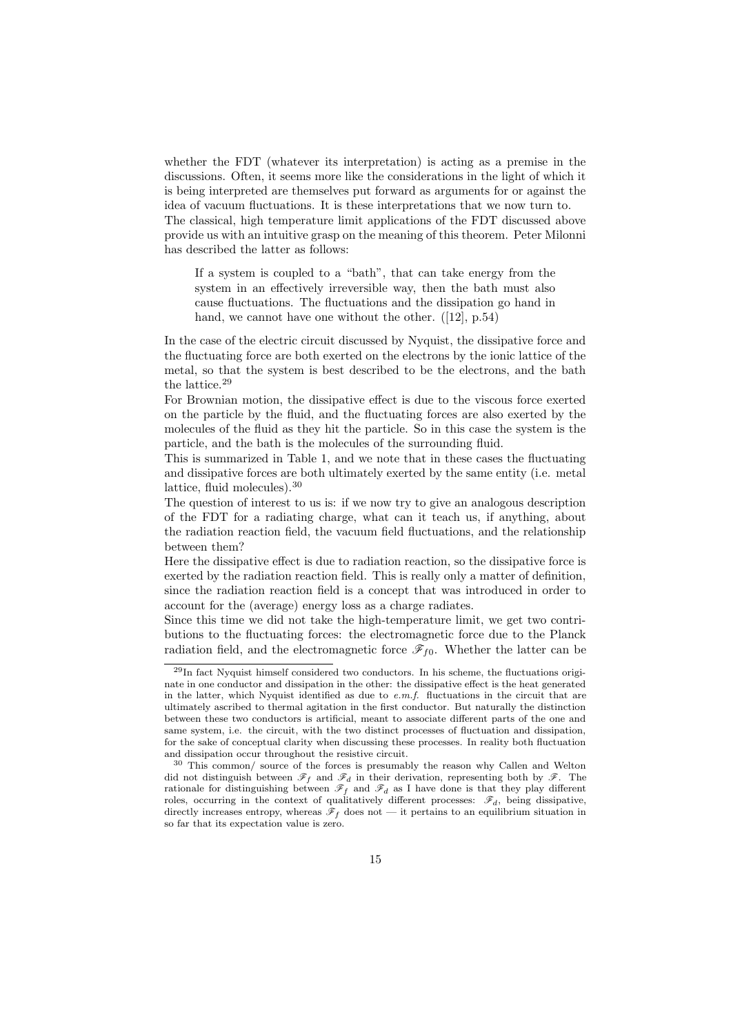whether the FDT (whatever its interpretation) is acting as a premise in the discussions. Often, it seems more like the considerations in the light of which it is being interpreted are themselves put forward as arguments for or against the idea of vacuum fluctuations. It is these interpretations that we now turn to. The classical, high temperature limit applications of the FDT discussed above provide us with an intuitive grasp on the meaning of this theorem. Peter Milonni has described the latter as follows:

If a system is coupled to a "bath", that can take energy from the system in an effectively irreversible way, then the bath must also cause fluctuations. The fluctuations and the dissipation go hand in hand, we cannot have one without the other. ([12], p.54)

In the case of the electric circuit discussed by Nyquist, the dissipative force and the fluctuating force are both exerted on the electrons by the ionic lattice of the metal, so that the system is best described to be th[e e](#page-41-0)lectrons, and the bath the lattice.<sup>29</sup>

For Brownian motion, the dissipative effect is due to the viscous force exerted on the particle by the fluid, and the fluctuating forces are also exerted by the molecules of the fluid as they hit the particle. So in this case the system is the particle, and the bath is the molecules of the surrounding fluid.

This is summarized in Table 1, and we note that in these cases the fluctuating and dissipative forces are both ultimately exerted by the same entity (i.e. metal lattice, fluid molecules).<sup>30</sup>

The question of interest to us is: if we now try to give an analogous description of the FDT for a radiating [ch](#page-15-0)arge, what can it teach us, if anything, about the radiation reaction field, the vacuum field fluctuations, and the relationship between them?

Here the dissipative effect is due to radiation reaction, so the dissipative force is exerted by the radiation reaction field. This is really only a matter of definition, since the radiation reaction field is a concept that was introduced in order to account for the (average) energy loss as a charge radiates.

Since this time we did not take the high-temperature limit, we get two contributions to the fluctuating forces: the electromagnetic force due to the Planck radiation field, and the electromagnetic force  $\mathscr{F}_{f0}$ . Whether the latter can be

 $^{29}$ In fact Nyquist himself considered two conductors. In his scheme, the fluctuations originate in one conductor and dissipation in the other: the dissipative effect is the heat generated in the latter, which Nyquist identified as due to  $e.m.f.$  fluctuations in the circuit that are ultimately ascribed to thermal agitation in the first conductor. But naturally the distinction between these two conductors is artificial, meant to associate different parts of the one and same system, i.e. the circuit, with the two distinct processes of fluctuation and dissipation, for the sake of conceptual clarity when discussing these processes. In reality both fluctuation and dissipation occur throughout the resistive circuit.

<sup>30</sup> This common/ source of the forces is presumably the reason why Callen and Welton did not distinguish between  $\mathscr{F}_f$  and  $\mathscr{F}_d$  in their derivation, representing both by  $\mathscr{F}$ . The rationale for distinguishing between  $\mathscr{F}_f$  and  $\mathscr{F}_d$  as I have done is that they play different roles, occurring in the context of qualitatively different processes:  $\mathscr{F}_d$ , being dissipative, directly increases entropy, whereas  $\mathscr{F}_f$  does not — it pertains to an equilibrium situation in so far that its expectation value is zero.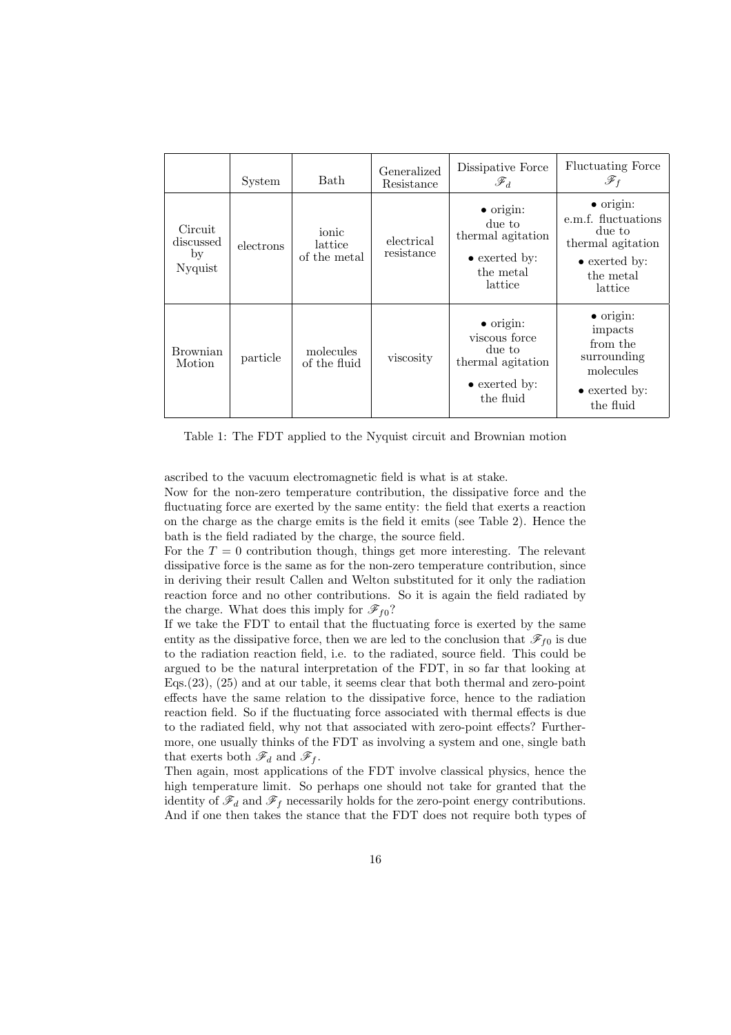<span id="page-15-0"></span>

|                                       | System    | <b>Bath</b>                      | Generalized<br>Resistance | Dissipative Force<br>$\mathscr{F}_d$                                                                    | <b>Fluctuating Force</b><br>$\mathscr{F}_f$                                                                              |
|---------------------------------------|-----------|----------------------------------|---------------------------|---------------------------------------------------------------------------------------------------------|--------------------------------------------------------------------------------------------------------------------------|
| Circuit<br>discussed<br>by<br>Nyquist | electrons | ionic<br>lattice<br>of the metal | electrical<br>resistance  | $\bullet$ origin:<br>due to<br>thermal agitation<br>$\bullet$ exerted by:<br>the metal<br>lattice       | $\bullet$ origin:<br>e.m.f. fluctuations<br>due to<br>thermal agitation<br>$\bullet$ exerted by:<br>the metal<br>lattice |
| <b>Brownian</b><br>Motion             | particle  | molecules<br>of the fluid        | viscosity                 | $\bullet$ origin:<br>viscous force<br>due to<br>thermal agitation<br>$\bullet$ exerted by:<br>the fluid | $\bullet$ origin:<br>impacts<br>from the<br>surrounding<br>molecules<br>$\bullet$ exerted by:<br>the fluid               |

Table 1: The FDT applied to the Nyquist circuit and Brownian motion

ascribed to the vacuum electromagnetic field is what is at stake.

Now for the non-zero temperature contribution, the dissipative force and the fluctuating force are exerted by the same entity: the field that exerts a reaction on the charge as the charge emits is the field it emits (see Table 2). Hence the bath is the field radiated by the charge, the source field.

For the  $T = 0$  contribution though, things get more interesting. The relevant dissipative force is the same as for the non-zero temperature contribution, since in deriving their result Callen and Welton substituted for it only [t](#page-16-0)he radiation reaction force and no other contributions. So it is again the field radiated by the charge. What does this imply for  $\mathscr{F}_{f0}$ ?

If we take the FDT to entail that the fluctuating force is exerted by the same entity as the dissipative force, then we are led to the conclusion that  $\mathscr{F}_{f0}$  is due to the radiation reaction field, i.e. to the radiated, source field. This could be argued to be the natural interpretation of the FDT, in so far that looking at Eqs.(23), (25) and at our table, it seems clear that both thermal and zero-point effects have the same relation to the dissipative force, hence to the radiation reaction field. So if the fluctuating force associated with thermal effects is due to the radiated field, why not that associated with zero-point effects? Furthermore[, o](#page-13-0)ne [usu](#page-13-0)ally thinks of the FDT as involving a system and one, single bath that exerts both  $\mathscr{F}_d$  and  $\mathscr{F}_f$ .

Then again, most applications of the FDT involve classical physics, hence the high temperature limit. So perhaps one should not take for granted that the identity of  $\mathscr{F}_d$  and  $\mathscr{F}_f$  necessarily holds for the zero-point energy contributions. And if one then takes the stance that the FDT does not require both types of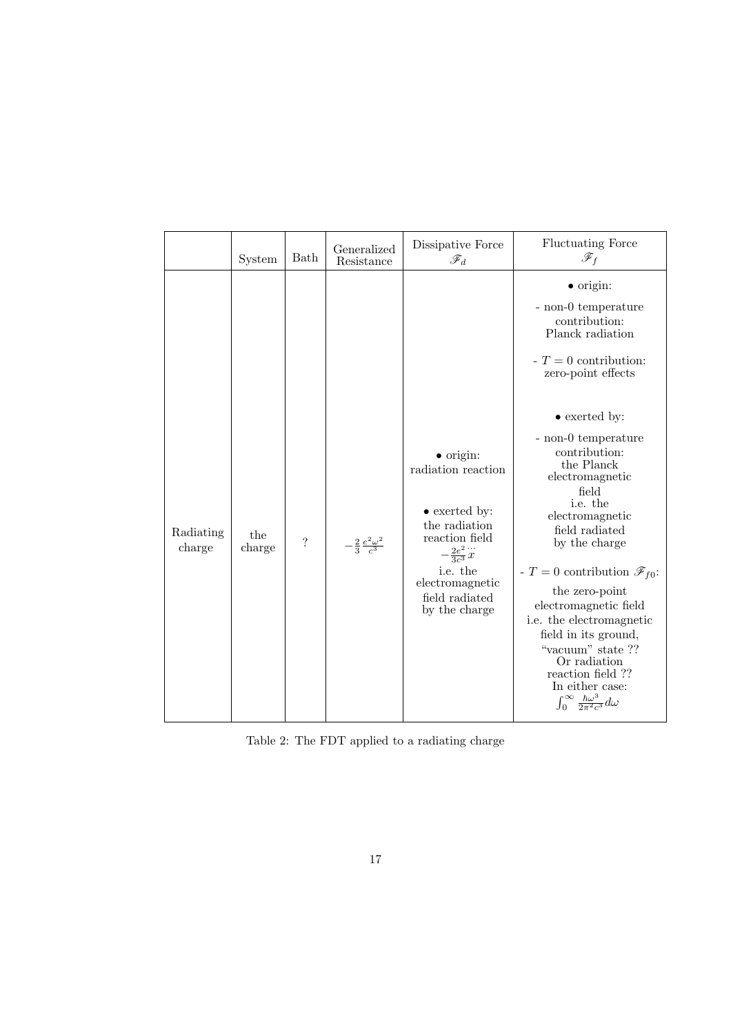<span id="page-16-0"></span>

|                     | System        | Bath       | Generalized<br>Resistance             | Dissipative Force<br>$\mathscr{F}_d$                                                                                                                                                                  | <b>Fluctuating Force</b><br>$\mathscr{F}_f$                                                                                                                                                                                                                                                                                                                                                                                                                                                                                         |
|---------------------|---------------|------------|---------------------------------------|-------------------------------------------------------------------------------------------------------------------------------------------------------------------------------------------------------|-------------------------------------------------------------------------------------------------------------------------------------------------------------------------------------------------------------------------------------------------------------------------------------------------------------------------------------------------------------------------------------------------------------------------------------------------------------------------------------------------------------------------------------|
| Radiating<br>charge | the<br>charge | $\ddot{?}$ | $-\frac{2}{3}\frac{e^2\omega^2}{c^3}$ | $\bullet$ origin:<br>radiation reaction<br>$\bullet$ exerted by:<br>the radiation<br>reaction field<br>$-\frac{2e^2}{3c^3}\ddot{x}$<br>i.e. the<br>electromagnetic<br>field radiated<br>by the charge | $\bullet$ origin:<br>- non-0 temperature<br>contribution:<br>Planck radiation<br>$-T=0$ contribution:<br>zero-point effects<br>$\bullet$ exerted by:<br>- non-0 temperature<br>contribution:<br>the Planck<br>electromagnetic<br>field<br>i.e. the<br>electromagnetic<br>field radiated<br>by the charge<br>- $T = 0$ contribution $\mathscr{F}_{f0}$ :<br>the zero-point<br>electromagnetic field<br>i.e. the electromagnetic<br>field in its ground,<br>"vacuum" state ??<br>Or radiation<br>reaction field ??<br>In either case: |
|                     |               |            |                                       |                                                                                                                                                                                                       | $\int_0^\infty \frac{\hbar \omega^3}{2\pi^2 c^3} d\omega$                                                                                                                                                                                                                                                                                                                                                                                                                                                                           |

Table 2: The FDT applied to a radiating charge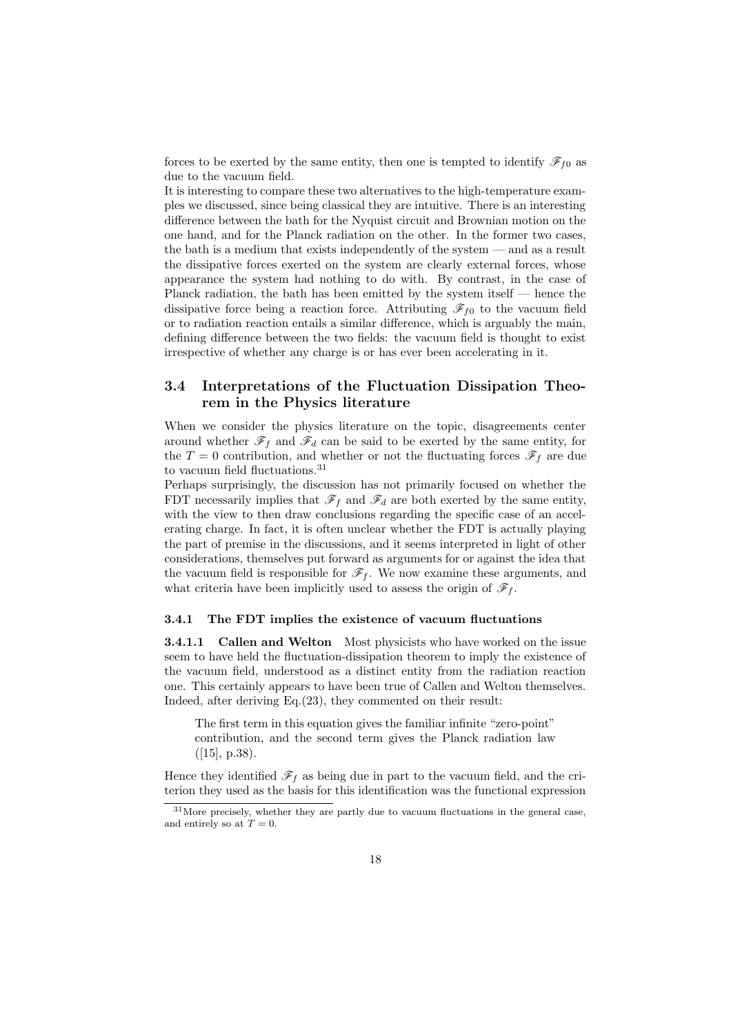<span id="page-17-0"></span>forces to be exerted by the same entity, then one is tempted to identify  $\mathscr{F}_{f0}$  as due to the vacuum field.

It is interesting to compare these two alternatives to the high-temperature examples we discussed, since being classical they are intuitive. There is an interesting difference between the bath for the Nyquist circuit and Brownian motion on the one hand, and for the Planck radiation on the other. In the former two cases, the bath is a medium that exists independently of the system — and as a result the dissipative forces exerted on the system are clearly external forces, whose appearance the system had nothing to do with. By contrast, in the case of Planck radiation, the bath has been emitted by the system itself — hence the dissipative force being a reaction force. Attributing  $\mathcal{F}_{f0}$  to the vacuum field or to radiation reaction entails a similar difference, which is arguably the main, defining difference between the two fields: the vacuum field is thought to exist irrespective of whether any charge is or has ever been accelerating in it.

## 3.4 Interpretations of the Fluctuation Dissipation Theorem in the Physics literature

When we consider the physics literature on the topic, disagreements center around whether  $\mathscr{F}_f$  and  $\mathscr{F}_d$  can be said to be exerted by the same entity, for the  $T = 0$  contribution, and whether or not the fluctuating forces  $\mathscr{F}_f$  are due to vacuum field fluctuations.<sup>31</sup>

Perhaps surprisingly, the discussion has not primarily focused on whether the FDT necessarily implies that  $\mathscr{F}_f$  and  $\mathscr{F}_d$  are both exerted by the same entity, with the view to then draw conclusions regarding the specific case of an accelerating charge. In fact, it is often unclear whether the FDT is actually playing the part of premise in the discussions, and it seems interpreted in light of other considerations, themselves put forward as arguments for or against the idea that the vacuum field is responsible for  $\mathscr{F}_f$ . We now examine these arguments, and what criteria have been implicitly used to assess the origin of  $\mathscr{F}_f$ .

#### 3.4.1 The FDT implies the existence of vacuum fluctuations

**3.4.1.1 Callen and Welton** Most physicists who have worked on the issue seem to have held the fluctuation-dissipation theorem to imply the existence of the vacuum field, understood as a distinct entity from the radiation reaction one. This certainly appears to have been true of Callen and Welton themselves. Indeed, after deriving Eq.(23), they commented on their result:

The first term in this equation gives the familiar infinite "zero-point" contribution, and the second term gives the Planck radiation law  $([15], p.38).$ 

Hence they identified  $\mathscr{F}_f$  as being due in part to the vacuum field, and the criterion they used as the basis for this identification was the functional expression

<sup>&</sup>lt;sup>31</sup>Mor[e p](#page-42-0)recisely, whether they are partly due to vacuum fluctuations in the general case, and entirely so at  $T=0$ .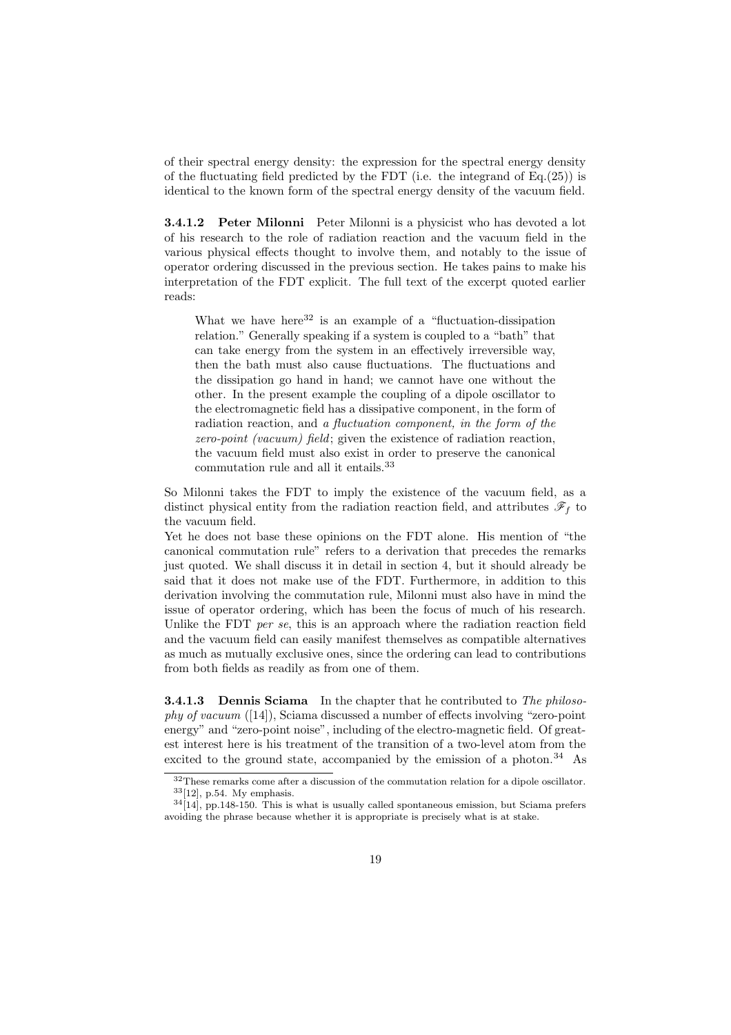of their spectral energy density: the expression for the spectral energy density of the fluctuating field predicted by the FDT (i.e. the integrand of  $Eq.(25)$ ) is identical to the known form of the spectral energy density of the vacuum field.

3.4.1.2 Peter Milonni Peter Milonni is a physicist who has devoted a lot of his research to the role of radiation reaction and the vacuum field [in](#page-13-0) the various physical effects thought to involve them, and notably to the issue of operator ordering discussed in the previous section. He takes pains to make his interpretation of the FDT explicit. The full text of the excerpt quoted earlier reads:

What we have here  $32$  is an example of a "fluctuation-dissipation" relation." Generally speaking if a system is coupled to a "bath" that can take energy from the system in an effectively irreversible way, then the bath must also cause fluctuations. The fluctuations and the dissipation go hand in hand; we cannot have one without the other. In the present example the coupling of a dipole oscillator to the electromagnetic field has a dissipative component, in the form of radiation reaction, and a fluctuation component, in the form of the zero-point (vacuum) field; given the existence of radiation reaction, the vacuum field must also exist in order to preserve the canonical commutation rule and all it entails.<sup>33</sup>

So Milonni takes the FDT to imply the existence of the vacuum field, as a distinct physical entity from the radiation reaction field, and attributes  $\mathscr{F}_f$  to the vacuum field.

Yet he does not base these opinions on the FDT alone. His mention of "the canonical commutation rule" refers to a derivation that precedes the remarks just quoted. We shall discuss it in detail in section 4, but it should already be said that it does not make use of the FDT. Furthermore, in addition to this derivation involving the commutation rule, Milonni must also have in mind the issue of operator ordering, which has been the focus of much of his research. Unlike the FDT per se, this is an approach where the radiation reaction field and the vacuum field can easily manifest themselves as compatible alternatives as much as mutually exclusive ones, since the ordering can lead to contributions from both fields as readily as from one of them.

**3.4.1.3** Dennis Sciama In the chapter that he contributed to The philosophy of vacuum ([14]), Sciama discussed a number of effects involving "zero-point energy" and "zero-point noise", including of the electro-magnetic field. Of greatest interest here is his treatment of the transition of a two-level atom from the excited to the ground state, accompanied by the emission of a photon. $34$  As

<sup>32</sup>These remarks [com](#page-41-0)e after a discussion of the commutation relation for a dipole oscillator.  $33[12]$ , p.54. My emphasis.

 $34[14]$ , pp.148-150. This is what is usually called spontaneous emission, but Sciama prefers avoiding the phrase because whether it is appropriate is precisely what is at stake.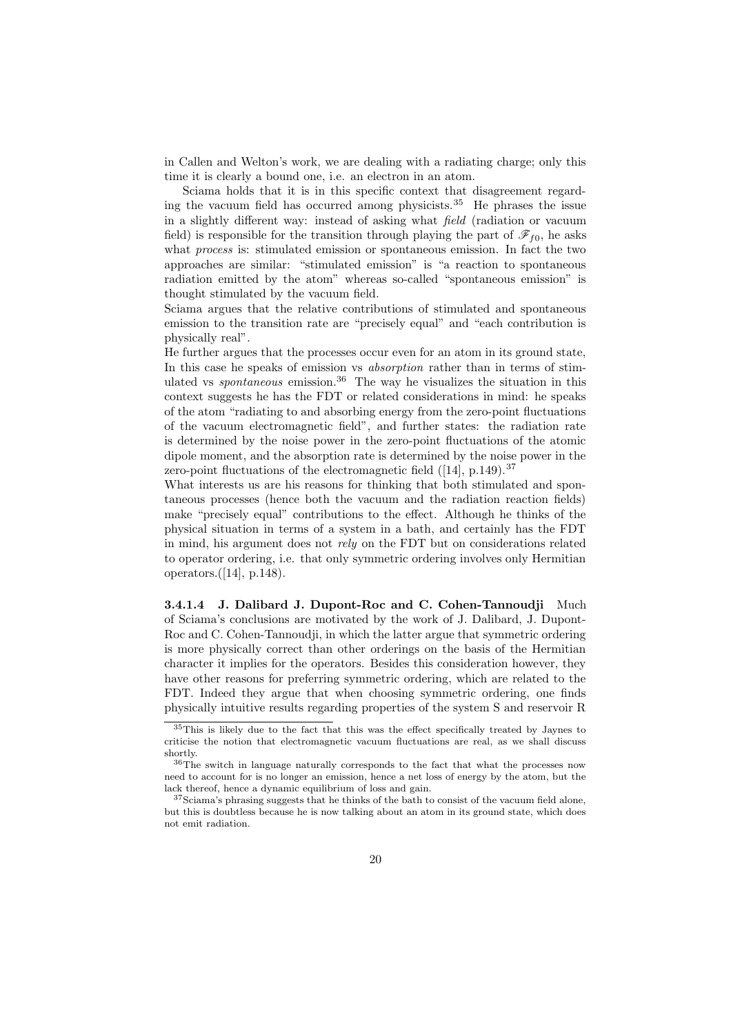in Callen and Welton's work, we are dealing with a radiating charge; only this time it is clearly a bound one, i.e. an electron in an atom.

Sciama holds that it is in this specific context that disagreement regarding the vacuum field has occurred among physicists.<sup>35</sup> He phrases the issue in a slightly different way: instead of asking what field (radiation or vacuum field) is responsible for the transition through playing the part of  $\mathscr{F}_{f0}$ , he asks what *process* is: stimulated emission or spontaneous emission. In fact the two approaches are similar: "stimulated emission" is "a reaction to spontaneous radiation emitted by the atom" whereas so-called "spontaneous emission" is thought stimulated by the vacuum field.

Sciama argues that the relative contributions of stimulated and spontaneous emission to the transition rate are "precisely equal" and "each contribution is physically real".

He further argues that the processes occur even for an atom in its ground state, In this case he speaks of emission vs absorption rather than in terms of stimulated vs *spontaneous* emission.<sup>36</sup> The way he visualizes the situation in this context suggests he has the FDT or related considerations in mind: he speaks of the atom "radiating to and absorbing energy from the zero-point fluctuations of the vacuum electromagnetic field", and further states: the radiation rate is determined by the noise power in the zero-point fluctuations of the atomic dipole moment, and the absorption rate is determined by the noise power in the zero-point fluctuations of the electromagnetic field  $([14], p.149).$ <sup>37</sup>

What interests us are his reasons for thinking that both stimulated and spontaneous processes (hence both the vacuum and the radiation reaction fields) make "precisely equal" contributions to the effect. Although he thinks of the physical situation in terms of a system in a bath, a[nd](#page-41-0) certainly has the FDT in mind, his argument does not rely on the FDT but on considerations related to operator ordering, i.e. that only symmetric ordering involves only Hermitian operators.([14], p.148).

3.4.1.4 J. Dalibard J. Dupont-Roc and C. Cohen-Tannoudji Much of Sciama's conclusions are motivated by the work of J. Dalibard, J. Dupont-Roc and C. [Co](#page-41-0)hen-Tannoudji, in which the latter argue that symmetric ordering is more physically correct than other orderings on the basis of the Hermitian character it implies for the operators. Besides this consideration however, they have other reasons for preferring symmetric ordering, which are related to the FDT. Indeed they argue that when choosing symmetric ordering, one finds physically intuitive results regarding properties of the system S and reservoir R

<sup>35</sup>This is likely due to the fact that this was the effect specifically treated by Jaynes to criticise the notion that electromagnetic vacuum fluctuations are real, as we shall discuss shortly.

<sup>36</sup>The switch in language naturally corresponds to the fact that what the processes now need to account for is no longer an emission, hence a net loss of energy by the atom, but the lack thereof, hence a dynamic equilibrium of loss and gain.

 $^{37}\rm{Sciama's}$  phrasing suggests that he thinks of the bath to consist of the vacuum field alone, but this is doubtless because he is now talking about an atom in its ground state, which does not emit radiation.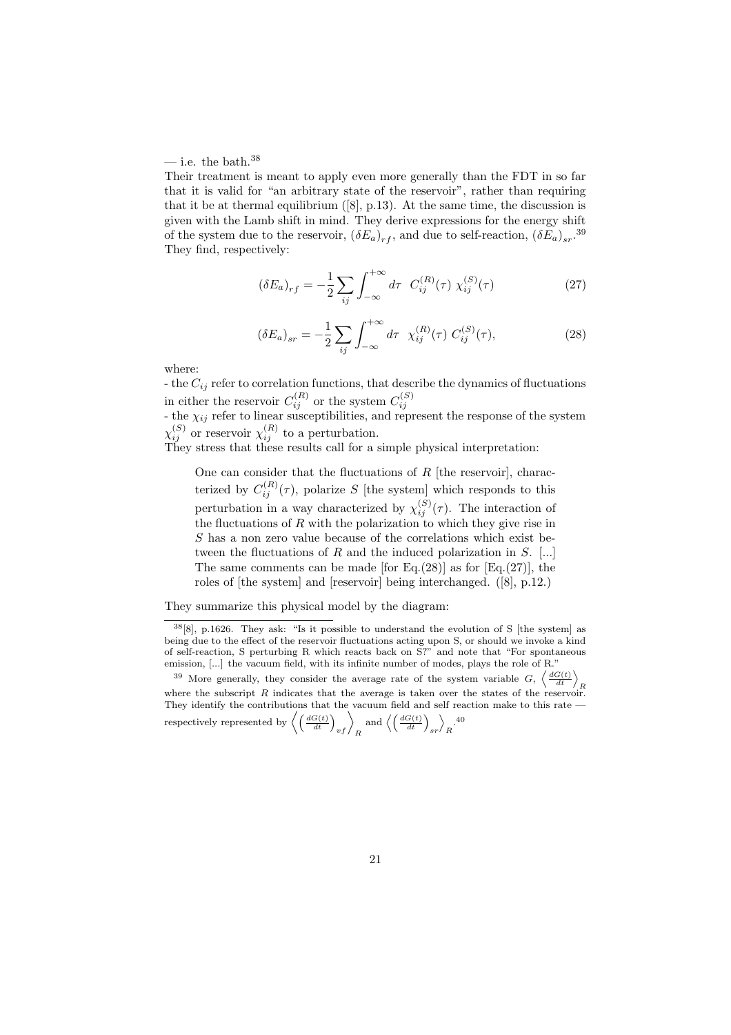#### <span id="page-20-0"></span>— i.e. the bath. $38$

Their treatment is meant to apply even more generally than the FDT in so far that it is valid for "an arbitrary state of the reservoir", rather than requiring that it be at thermal equilibrium  $([8], p.13)$ . At the same time, the discussion is given with the Lamb shift in mind. They derive expressions for the energy shift of the system due to the reservoir,  $(\delta E_a)_{rf}$ , and due to self-reaction,  $(\delta E_a)_{sr}$ .<sup>39</sup> They find, respectively:

$$
(\delta E_a)_{rf} = -\frac{1}{2} \sum_{ij} \int_{-\infty}^{+\infty} d\tau \ C_{ij}^{(R)}(\tau) \ \chi_{ij}^{(S)}(\tau) \tag{27}
$$

$$
(\delta E_a)_{sr} = -\frac{1}{2} \sum_{ij} \int_{-\infty}^{+\infty} d\tau \ \chi_{ij}^{(R)}(\tau) C_{ij}^{(S)}(\tau), \tag{28}
$$

where:

- the  $C_{ij}$  refer to correlation functions, that describe the dynamics of fluctuations in either the reservoir  $C_{ij}^{(R)}$  or the system  $C_{ij}^{(S)}$ <br>- the  $\chi_{ij}$  refer to linear susceptibilities, and represent the response of the system

 $\chi_{ij}^{(S)}$  or reservoir  $\chi_{ij}^{(R)}$  to a perturbation.

They stress that these results call for a simple physical interpretation:

One can consider that the fluctuations of  $R$  [the reservoir], characterized by  $C_{ij}^{(R)}(\tau)$ , polarize S [the system] which responds to this perturbation in a way characterized by  $\chi_{ij}^{(S)}(\tau)$ . The interaction of the fluctuations of  $R$  with the polarization to which they give rise in S has a non zero value because of the correlations which exist between the fluctuations of  $R$  and the induced polarization in  $S$ . [...] The same comments can be made [for Eq.(28)] as for  $[Eq.(27)]$ , the roles of [the system] and [reservoir] being interchanged. ([8], p.12.)

They summarize this physical model by the diagram:

<sup>38</sup>[8], p.1626. They ask: "Is it possible to understand the evolution of S [the system] as being due to the effect of the reservoir fluctuations acting upon S, or shoul[d w](#page-41-0)e invoke a kind of self-reaction, S perturbing R which reacts back on S?" and note that "For spontaneous emission, [...] the vacuum field, with its infinite number of modes, plays the role of R."

<sup>&</sup>lt;sup>39</sup> Mo[re](#page-41-0) generally, they consider the average rate of the system variable  $G$ ,  $\left\langle \frac{dG(t)}{dt} \right\rangle_R$  where the subscript R indicates that the average is taken over the states of the reservoir. They identify the contributions that the vacuum field and self reaction make to this rate  $$ respectively represented by  $\left\langle \left(\frac{dG(t)}{dt}\right)_{vf}\right\rangle_R$  and  $\left\langle \left(\frac{dG(t)}{dt}\right)_{sr}\right\rangle$  $\overline{\phantom{0}}$  $\cdot \frac{40}{R}$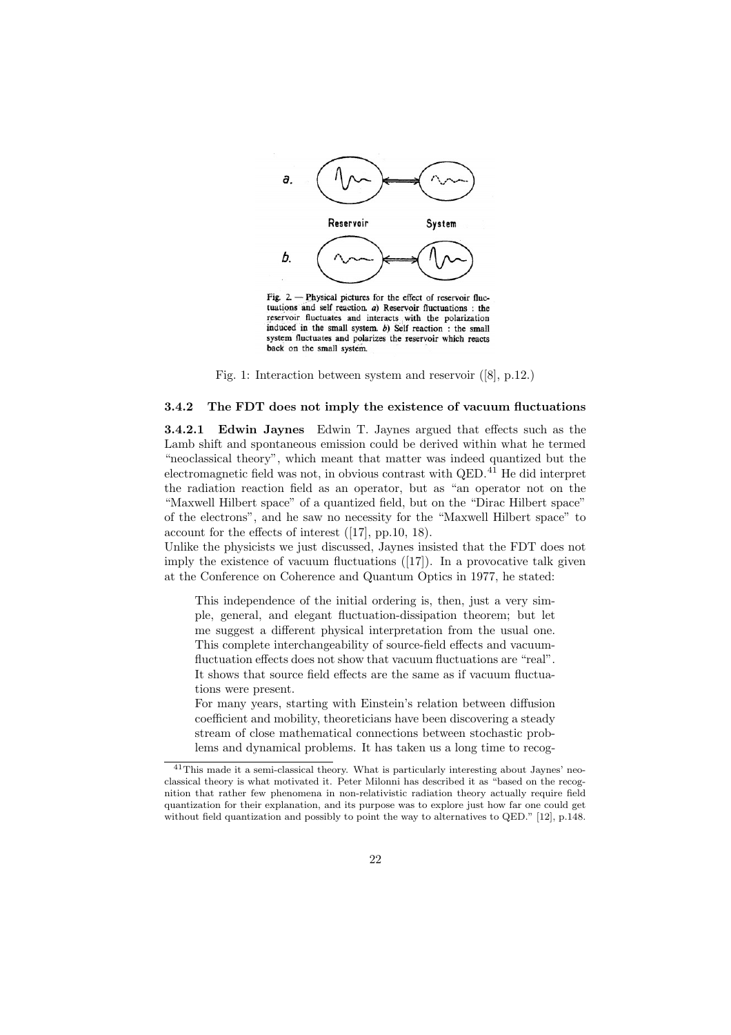<span id="page-21-0"></span>

Fig. 2. - Physical pictures for the effect of reservoir fluctuations and self reaction. a) Reservoir fluctuations : the reservoir fluctuates and interacts with the polarization induced in the small system.  $b$ ) Self reaction : the small system fluctuates and polarizes the reservoir which reacts back on the small system.

Fig. 1: Interaction between system and reservoir ([8], p.12.)

#### 3.4.2 The FDT does not imply the existence of vacuum fluctuations

3.4.2.1 Edwin Jaynes Edwin T. Jaynes argued that [eff](#page-41-0)ects such as the Lamb shift and spontaneous emission could be derived within what he termed "neoclassical theory", which meant that matter was indeed quantized but the electromagnetic field was not, in obvious contrast with QED.<sup>41</sup> He did interpret the radiation reaction field as an operator, but as "an operator not on the "Maxwell Hilbert space" of a quantized field, but on the "Dirac Hilbert space" of the electrons", and he saw no necessity for the "Maxwell Hilbert space" to account for the effects of interest ([17], pp.10, 18).

Unlike the physicists we just discussed, Jaynes insisted that the FDT does not imply the existence of vacuum fluctuations  $(17)$ . In a provocative talk given at the Conference on Coherence and Quantum Optics in 1977, he stated:

This independence of the ini[tial](#page-42-0) ordering is, then, just a very simple, general, and elegant fluctuation-d[issi](#page-42-0)pation theorem; but let me suggest a different physical interpretation from the usual one. This complete interchangeability of source-field effects and vacuumfluctuation effects does not show that vacuum fluctuations are "real". It shows that source field effects are the same as if vacuum fluctuations were present.

For many years, starting with Einstein's relation between diffusion coefficient and mobility, theoreticians have been discovering a steady stream of close mathematical connections between stochastic problems and dynamical problems. It has taken us a long time to recog-

<sup>&</sup>lt;sup>41</sup>This made it a semi-classical theory. What is particularly interesting about Jaynes' neoclassical theory is what motivated it. Peter Milonni has described it as "based on the recognition that rather few phenomena in non-relativistic radiation theory actually require field quantization for their explanation, and its purpose was to explore just how far one could get without field quantization and possibly to point the way to alternatives to QED." [12], p.148.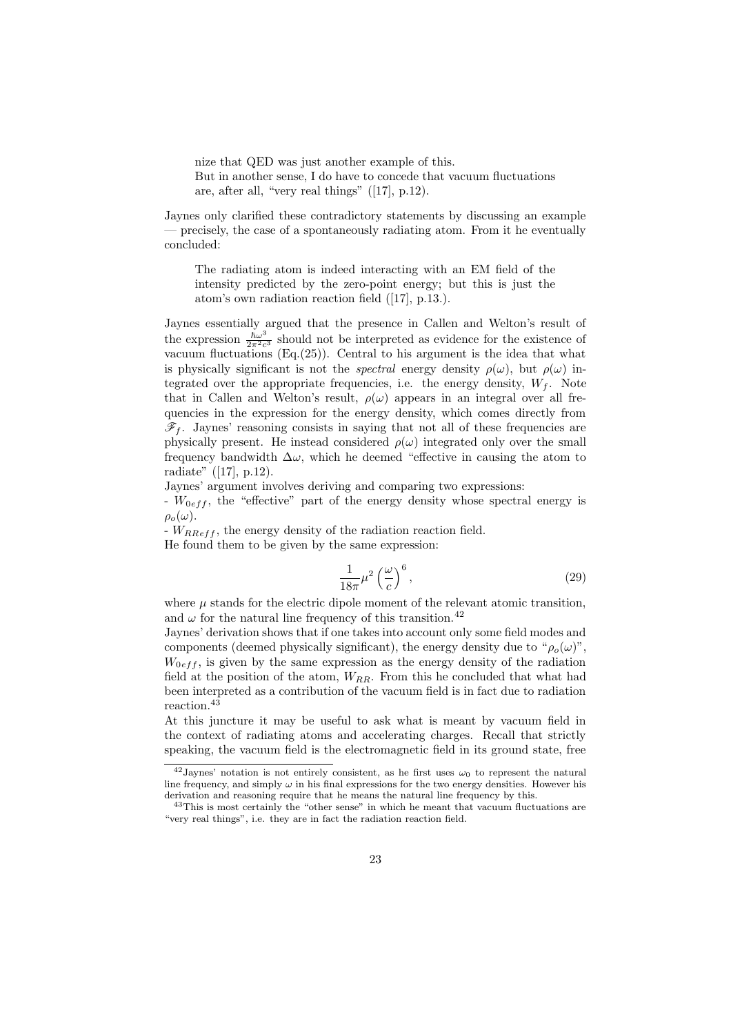nize that QED was just another example of this. But in another sense, I do have to concede that vacuum fluctuations are, after all, "very real things" ([17], p.12).

Jaynes only clarified these contradictory statements by discussing an example — precisely, the case of a spontaneously radiating atom. From it he eventually concluded:

The radiating atom is indeed interacting with an EM field of the intensity predicted by the zero-point energy; but this is just the atom's own radiation reaction field ([17], p.13.).

Jaynes essentially argued that the presence in Callen and Welton's result of the expression  $\frac{\hbar\omega^3}{2\pi^2c^3}$  should not be interpreted as evidence for the existence of vacuum fluctuations  $(Eq.(25))$ . Central to [hi](#page-42-0)s argument is the idea that what is physically significant is not the *spectral* energy density  $\rho(\omega)$ , but  $\rho(\omega)$  integrated over the appropriate frequencies, i.e. the energy density,  $W_f$ . Note that in Callen and Welton's result,  $\rho(\omega)$  appears in an integral over all frequencies in the expressio[n fo](#page-13-0)r the energy density, which comes directly from  $\mathscr{F}_f$ . Jaynes' reasoning consists in saying that not all of these frequencies are physically present. He instead considered  $\rho(\omega)$  integrated only over the small frequency bandwidth  $\Delta\omega$ , which he deemed "effective in causing the atom to radiate" ([17], p.12).

Jaynes' argument involves deriving and comparing two expressions:

 $- W_{0eff}$ , the "effective" part of the energy density whose spectral energy is  $\rho_o(\omega)$ .

 $W<sub>RReff</sub>$ , [th](#page-42-0)e energy density of the radiation reaction field.

He found them to be given by the same expression:

$$
\frac{1}{18\pi}\mu^2\left(\frac{\omega}{c}\right)^6,\tag{29}
$$

where  $\mu$  stands for the electric dipole moment of the relevant atomic transition, and  $\omega$  for the natural line frequency of this transition.<sup>42</sup>

Jaynes' derivation shows that if one takes into account only some field modes and components (deemed physically significant), the energy density due to " $\rho_o(\omega)$ ",  $W_{0eff}$ , is given by the same expression as the energy density of the radiation field at the position of the atom,  $W_{RR}$ . From this he concluded that what had been interpreted as a contribution of the vacuum field is in fact due to radiation reaction.<sup>43</sup>

At this juncture it may be useful to ask what is meant by vacuum field in the context of radiating atoms and accelerating charges. Recall that strictly speaking, the vacuum field is the electromagnetic field in its ground state, free

<sup>&</sup>lt;sup>42</sup> Jaynes' notation is not entirely consistent, as he first uses  $\omega_0$  to represent the natural line frequency, and simply  $\omega$  in his final expressions for the two energy densities. However his derivation and reasoning require that he means the natural line frequency by this.

<sup>&</sup>lt;sup>43</sup>This is most certainly the "other sense" in which he meant that vacuum fluctuations are "very real things", i.e. they are in fact the radiation reaction field.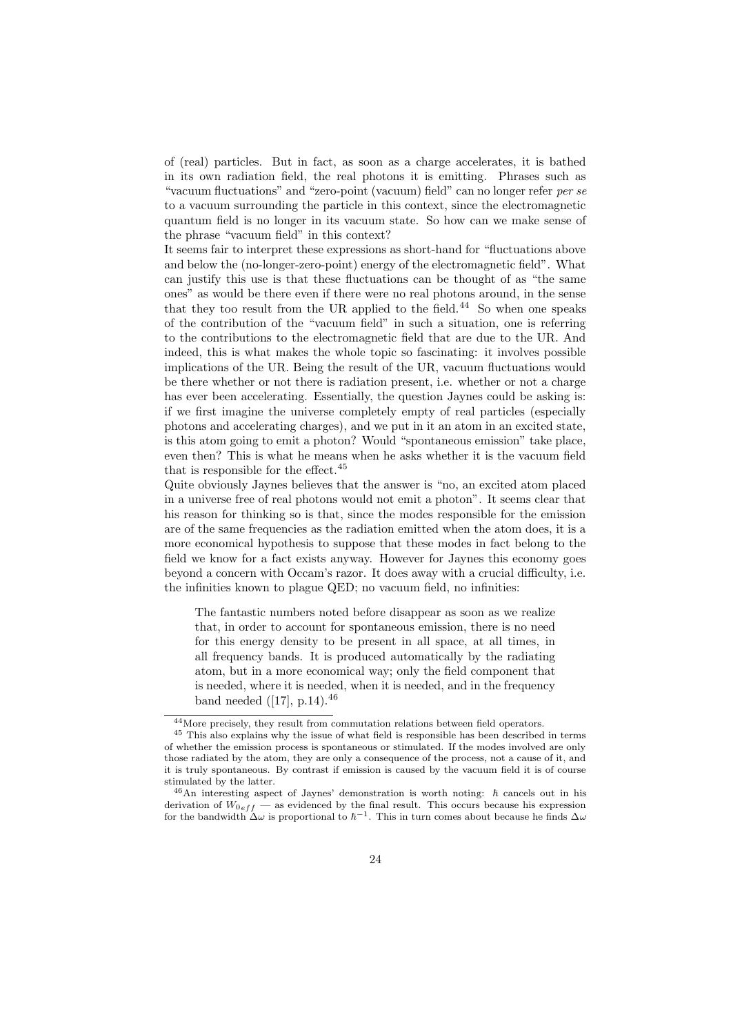of (real) particles. But in fact, as soon as a charge accelerates, it is bathed in its own radiation field, the real photons it is emitting. Phrases such as "vacuum fluctuations" and "zero-point (vacuum) field" can no longer refer per se to a vacuum surrounding the particle in this context, since the electromagnetic quantum field is no longer in its vacuum state. So how can we make sense of the phrase "vacuum field" in this context?

It seems fair to interpret these expressions as short-hand for "fluctuations above and below the (no-longer-zero-point) energy of the electromagnetic field". What can justify this use is that these fluctuations can be thought of as "the same ones" as would be there even if there were no real photons around, in the sense that they too result from the UR applied to the field.<sup>44</sup> So when one speaks of the contribution of the "vacuum field" in such a situation, one is referring to the contributions to the electromagnetic field that are due to the UR. And indeed, this is what makes the whole topic so fascinating: it involves possible implications of the UR. Being the result of the UR, vacuum fluctuations would be there whether or not there is radiation present, i.e. whether or not a charge has ever been accelerating. Essentially, the question Jaynes could be asking is: if we first imagine the universe completely empty of real particles (especially photons and accelerating charges), and we put in it an atom in an excited state, is this atom going to emit a photon? Would "spontaneous emission" take place, even then? This is what he means when he asks whether it is the vacuum field that is responsible for the effect.  $45$ 

Quite obviously Jaynes believes that the answer is "no, an excited atom placed in a universe free of real photons would not emit a photon". It seems clear that his reason for thinking so is that, since the modes responsible for the emission are of the same frequencies as the radiation emitted when the atom does, it is a more economical hypothesis to suppose that these modes in fact belong to the field we know for a fact exists anyway. However for Jaynes this economy goes beyond a concern with Occam's razor. It does away with a crucial difficulty, i.e. the infinities known to plague QED; no vacuum field, no infinities:

The fantastic numbers noted before disappear as soon as we realize that, in order to account for spontaneous emission, there is no need for this energy density to be present in all space, at all times, in all frequency bands. It is produced automatically by the radiating atom, but in a more economical way; only the field component that is needed, where it is needed, when it is needed, and in the frequency band needed  $([17], p.14).^{46}$ 

<sup>44</sup>More precisely, they result from commutation relations between field operators.

<sup>45</sup> This also explains why the issue of what field is responsible has been described in terms of whether the emission process is spontaneous or stimulated. If the modes involved are only those radiated by the at[om](#page-42-0), they are only a consequence of the process, not a cause of it, and it is truly spontaneous. By contrast if emission is caused by the vacuum field it is of course stimulated by the latter.

 $^{46}$ An interesting aspect of Jaynes' demonstration is worth noting:  $\hbar$  cancels out in his derivation of  $W_{0eff}$  — as evidenced by the final result. This occurs because his expression for the bandwidth  $\Delta\omega$  is proportional to  $\hbar^{-1}$ . This in turn comes about because he finds  $\Delta\omega$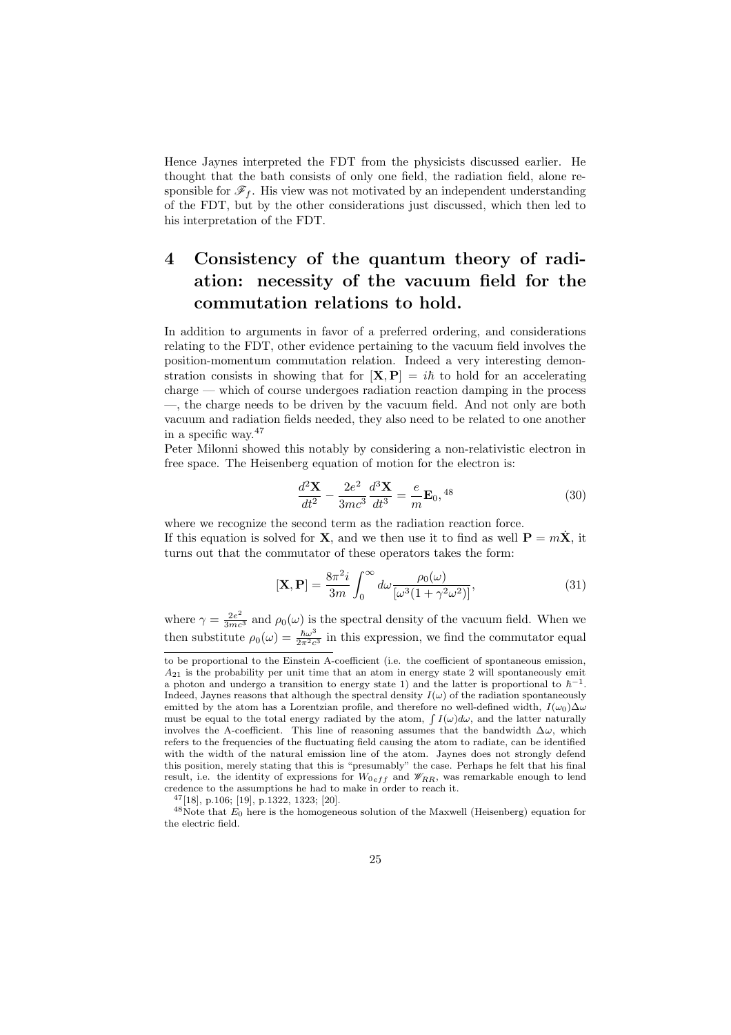<span id="page-24-0"></span>Hence Jaynes interpreted the FDT from the physicists discussed earlier. He thought that the bath consists of only one field, the radiation field, alone responsible for  $\mathscr{F}_f$ . His view was not motivated by an independent understanding of the FDT, but by the other considerations just discussed, which then led to his interpretation of the FDT.

## 4 Consistency of the quantum theory of radiation: necessity of the vacuum field for the commutation relations to hold.

In addition to arguments in favor of a preferred ordering, and considerations relating to the FDT, other evidence pertaining to the vacuum field involves the position-momentum commutation relation. Indeed a very interesting demonstration consists in showing that for  $[\mathbf{X}, \mathbf{P}] = i\hbar$  to hold for an accelerating charge — which of course undergoes radiation reaction damping in the process —, the charge needs to be driven by the vacuum field. And not only are both vacuum and radiation fields needed, they also need to be related to one another in a specific way.<sup>47</sup>

Peter Milonni showed this notably by considering a non-relativistic electron in free space. The Heisenberg equation of motion for the electron is:

$$
\frac{d^2\mathbf{X}}{dt^2} - \frac{2e^2}{3mc^3}\frac{d^3\mathbf{X}}{dt^3} = \frac{e}{m}\mathbf{E}_0,^{48}
$$
(30)

where we recognize the second term as the radiation reaction force. If this equation is solved for **X**, and we then use it to find as well  $P = mX$ , it turns out that the commutator of these operators takes the form:

$$
\left[\mathbf{X}, \mathbf{P}\right] = \frac{8\pi^2 i}{3m} \int_0^\infty d\omega \frac{\rho_0(\omega)}{\left[\omega^3 \left(1 + \gamma^2 \omega^2\right)\right]},\tag{31}
$$

where  $\gamma = \frac{2e^2}{3mc^3}$  and  $\rho_0(\omega)$  is the spectral density of the vacuum field. When we then substitute  $\rho_0(\omega) = \frac{\hbar \omega^3}{2\pi^2 c^3}$  in this expression, we find the commutator equal

<sup>47</sup>[18], p.106; [19], p.1322, 1323; [20].

to be proportional to the Einstein A-coefficient (i.e. the coefficient of spontaneous emission,  $A_{21}$  is the probability per unit time that an atom in energy state 2 will spontaneously emit a photon and undergo a transition to energy state 1) and the latter is proportional to  $\hbar^{-1}$ . Indeed, Jaynes reasons that although the spectral density  $I(\omega)$  of the radiation spontaneously emitted by the atom has a Lorentzian profile, and therefore no well-defined width,  $I(\omega_0)\Delta\omega$ must be equal to the total energy radiated by the atom,  $\int I(\omega)d\omega$ , and the latter naturally involves the A-coefficient. This line of reasoning assumes that the bandwidth  $\Delta\omega$ , which refers to the frequencies of the fluctuating field causing the atom to radiate, can be identified with the width of the natural emission line of the atom. Jaynes does not strongly defend this position, merely stating that this is "presumably" the case. Perhaps he felt that his final result, i.e. the identity of expressions for  $W_{0eff}$  and  $\mathscr{W}_{RR}$ , was remarkable enough to lend credence to the assumptions he had to make in order to reach it.

 $48$ Note that  $E_0$  here is the homogeneous solution of the Maxwell (Heisenberg) equation for the electric field.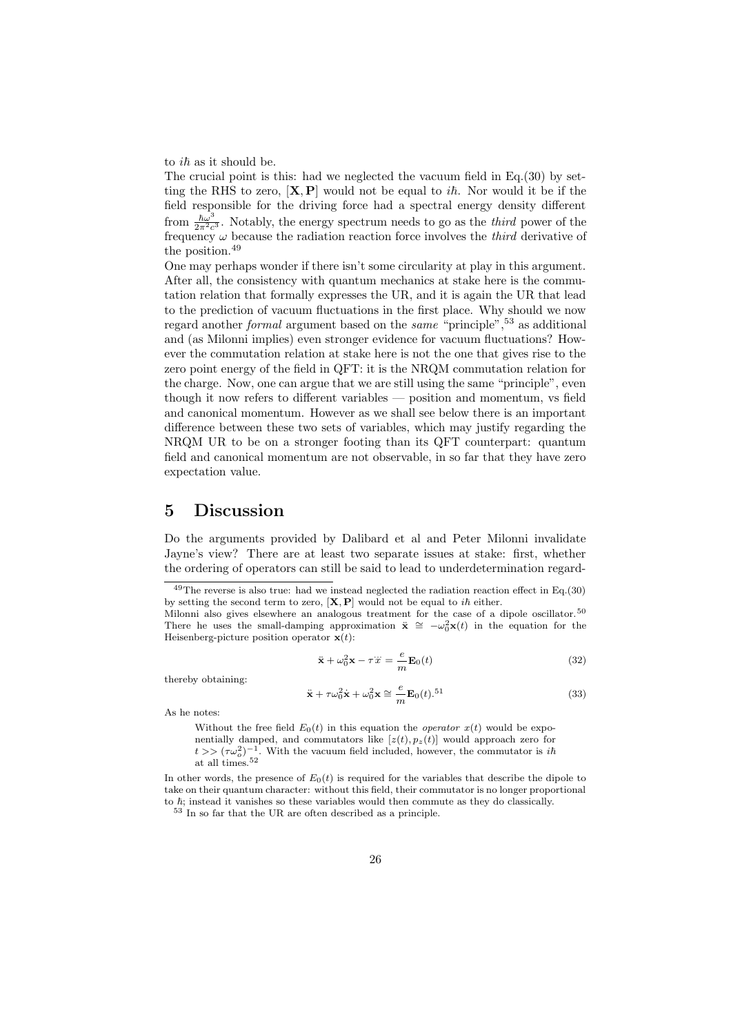to  $i\hbar$  as it should be.

The crucial point is this: had we neglected the vacuum field in Eq.(30) by setting the RHS to zero,  $[X, P]$  would not be equal to *i* $\hbar$ . Nor would it be if the field responsible for the driving force had a spectral energy density different from  $\frac{\hbar \omega^3}{2\pi^2 c^3}$ . Notably, the energy spectrum needs to go as the *third* power of the frequency  $\omega$  because the radiation reaction force involves the *third* d[eriv](#page-24-0)ative of the position.<sup>49</sup>

One may perhaps wonder if there isn't some circularity at play in this argument. After all, the consistency with quantum mechanics at stake here is the commutation relation that formally expresses the UR, and it is again the UR that lead to the prediction of vacuum fluctuations in the first place. Why should we now regard another *formal* argument based on the *same* "principle",<sup>53</sup> as additional and (as Milonni implies) even stronger evidence for vacuum fluctuations? However the commutation relation at stake here is not the one that gives rise to the zero point energy of the field in QFT: it is the NRQM commutation relation for the charge. Now, one can argue that we are still using the same "principle", even though it now refers to different variables — position and momentum, vs field and canonical momentum. However as we shall see below there is an important difference between these two sets of variables, which may justify regarding the NRQM UR to be on a stronger footing than its QFT counterpart: quantum field and canonical momentum are not observable, in so far that they have zero expectation value.

## 5 Discussion

Do the arguments provided by Dalibard et al and Peter Milonni invalidate Jayne's view? There are at least two separate issues at stake: first, whether the ordering of operators can still be said to lead to underdetermination regard-

$$
\ddot{\mathbf{x}} + \omega_0^2 \mathbf{x} - \tau \ddot{x} = \frac{e}{m} \mathbf{E}_0(t)
$$
 (32)

thereby obtaining:

$$
\ddot{\mathbf{x}} + \tau \omega_0^2 \dot{\mathbf{x}} + \omega_0^2 \mathbf{x} \cong \frac{e}{m} \mathbf{E}_0(t).^{51}
$$
 (33)

As he notes:

Without the free field  $E_0(t)$  in this equation the *operator*  $x(t)$  would be exponentially damped, and commutators like  $[z(t), p_z(t)]$  would approach zero for  $t >> (\tau \omega_o^2)^{-1}$ . With the vacuum field included, however, the commutator is in at all times.<sup>52</sup>

In other words, the presence of  $E_0(t)$  is required for the variables that describe the dipole to take on their quantum character: without this field, their commutator is no longer proportional to  $\hbar$ ; instead it vanishes so these variables would then commute as they do classically.

 $^{53}$  In so far that the UR are often described as a principle.

 $49$ The reverse is also true: had we instead neglected the radiation reaction effect in Eq.(30) by setting the second term to zero,  $[X, P]$  would not be equal to *ih* either. Milonni also gives elsewhere an analogous treatment for the case of a dipole oscillator.<sup>50</sup>

There he uses the small-damping approximation  $\ddot{\mathbf{x}} \cong -\omega_0^2 \mathbf{x}(t)$  in the equation for the Heisenberg-picture position operator  $\mathbf{x}(t)$ :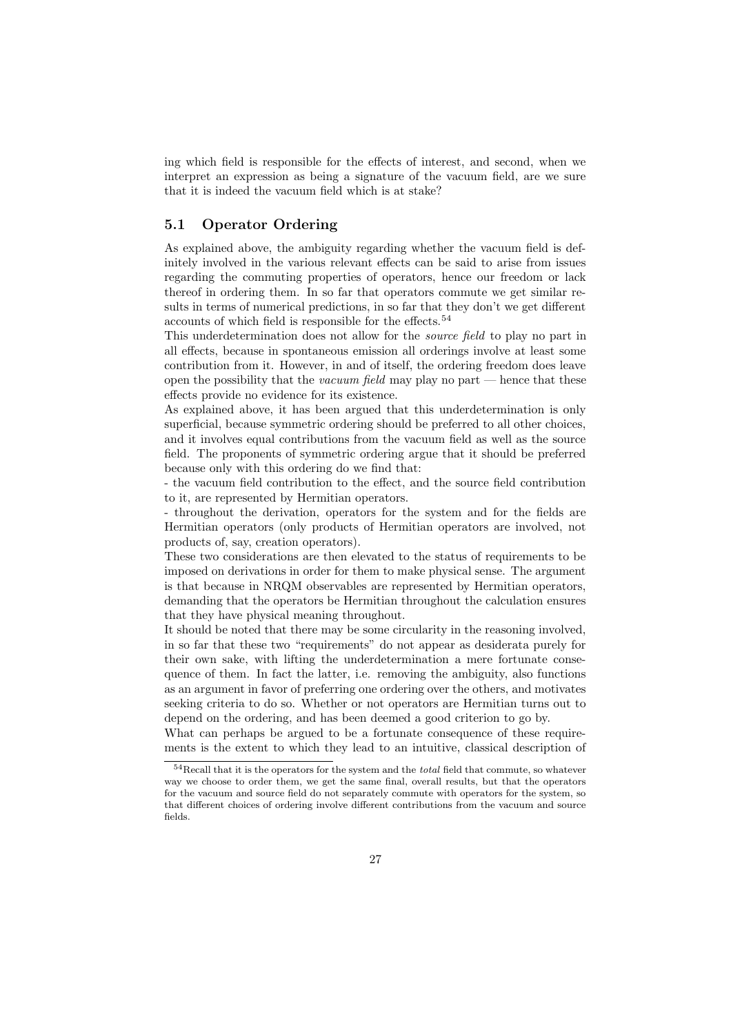<span id="page-26-0"></span>ing which field is responsible for the effects of interest, and second, when we interpret an expression as being a signature of the vacuum field, are we sure that it is indeed the vacuum field which is at stake?

#### 5.1 Operator Ordering

As explained above, the ambiguity regarding whether the vacuum field is definitely involved in the various relevant effects can be said to arise from issues regarding the commuting properties of operators, hence our freedom or lack thereof in ordering them. In so far that operators commute we get similar results in terms of numerical predictions, in so far that they don't we get different accounts of which field is responsible for the effects.<sup>54</sup>

This underdetermination does not allow for the source field to play no part in all effects, because in spontaneous emission all orderings involve at least some contribution from it. However, in and of itself, the ordering freedom does leave open the possibility that the *vacuum field* may play no part  $-$  hence that these effects provide no evidence for its existence.

As explained above, it has been argued that this underdetermination is only superficial, because symmetric ordering should be preferred to all other choices, and it involves equal contributions from the vacuum field as well as the source field. The proponents of symmetric ordering argue that it should be preferred because only with this ordering do we find that:

- the vacuum field contribution to the effect, and the source field contribution to it, are represented by Hermitian operators.

- throughout the derivation, operators for the system and for the fields are Hermitian operators (only products of Hermitian operators are involved, not products of, say, creation operators).

These two considerations are then elevated to the status of requirements to be imposed on derivations in order for them to make physical sense. The argument is that because in NRQM observables are represented by Hermitian operators, demanding that the operators be Hermitian throughout the calculation ensures that they have physical meaning throughout.

It should be noted that there may be some circularity in the reasoning involved, in so far that these two "requirements" do not appear as desiderata purely for their own sake, with lifting the underdetermination a mere fortunate consequence of them. In fact the latter, i.e. removing the ambiguity, also functions as an argument in favor of preferring one ordering over the others, and motivates seeking criteria to do so. Whether or not operators are Hermitian turns out to depend on the ordering, and has been deemed a good criterion to go by.

What can perhaps be argued to be a fortunate consequence of these requirements is the extent to which they lead to an intuitive, classical description of

<sup>54</sup>Recall that it is the operators for the system and the total field that commute, so whatever way we choose to order them, we get the same final, overall results, but that the operators for the vacuum and source field do not separately commute with operators for the system, so that different choices of ordering involve different contributions from the vacuum and source fields.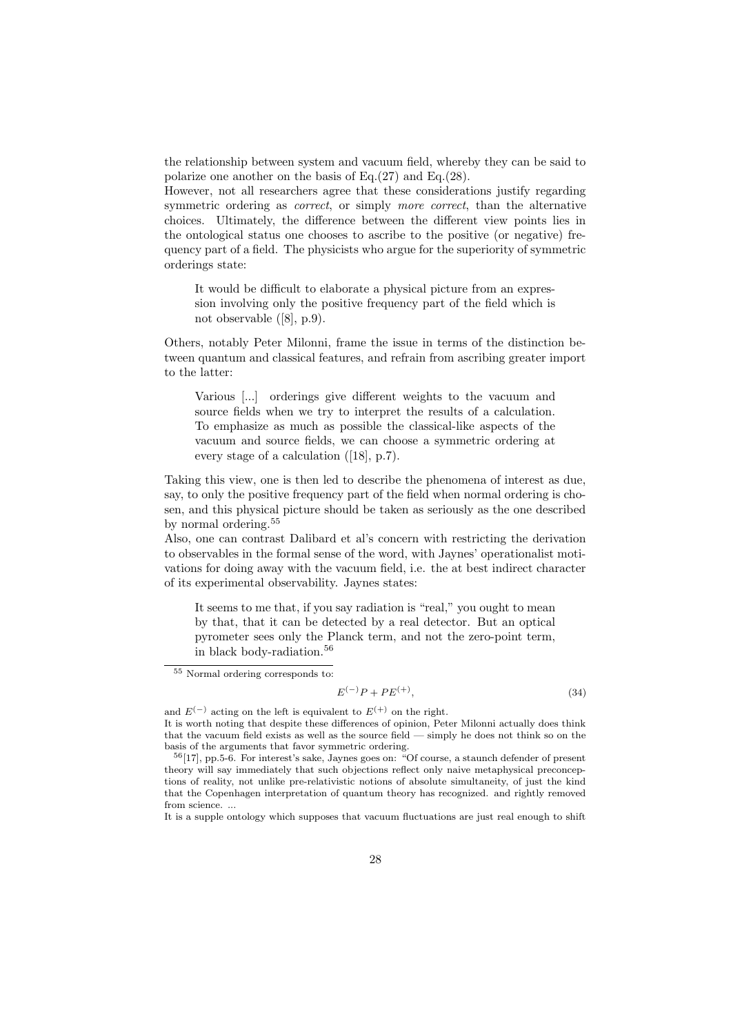the relationship between system and vacuum field, whereby they can be said to polarize one another on the basis of Eq.(27) and Eq.(28).

However, not all researchers agree that these considerations justify regarding symmetric ordering as *correct*, or simply *more correct*, than the alternative choices. Ultimately, the difference between the different view points lies in the ontological status one chooses to as[crib](#page-20-0)e to the [pos](#page-20-0)itive (or negative) frequency part of a field. The physicists who argue for the superiority of symmetric orderings state:

It would be difficult to elaborate a physical picture from an expression involving only the positive frequency part of the field which is not observable ([8], p.9).

Others, notably Peter Milonni, frame the issue in terms of the distinction between quantum and classical features, and refrain from ascribing greater import to the latter:

Various [...] orderings give different weights to the vacuum and source fields when we try to interpret the results of a calculation. To emphasize as much as possible the classical-like aspects of the vacuum and source fields, we can choose a symmetric ordering at every stage of a calculation ([18], p.7).

Taking this view, one is then led to describe the phenomena of interest as due, say, to only the positive frequency part of the field when normal ordering is chosen, and this physical picture shoul[d b](#page-42-0)e taken as seriously as the one described by normal ordering.<sup>55</sup>

Also, one can contrast Dalibard et al's concern with restricting the derivation to observables in the formal sense of the word, with Jaynes' operationalist motivations for doing away with the vacuum field, i.e. the at best indirect character of its experimental observability. Jaynes states:

It seems to me that, if you say radiation is "real," you ought to mean by that, that it can be detected by a real detector. But an optical pyrometer sees only the Planck term, and not the zero-point term, in black body-radiation.<sup>56</sup>

$$
E^{(-)}P + PE^{(+)},\tag{34}
$$

<sup>55</sup> Normal ordering corresponds to:

and  $E^{(-)}$  acting on the left is equivalent to  $E^{(+)}$  on the right. It is worth noting that despite these differences of opinion, Peter Milonni actually does think that the vacuum field exists as well as the source field — simply he does not think so on the basis of the arguments that favor symmetric ordering.

 $56[17]$ , pp.5-6. For interest's sake, Jaynes goes on: "Of course, a staunch defender of present theory will say immediately that such objections reflect only naive metaphysical preconceptions of reality, not unlike pre-relativistic notions of absolute simultaneity, of just the kind that the Copenhagen interpretation of quantum theory has recognized. and rightly removed from science. ...

It is [a s](#page-42-0)upple ontology which supposes that vacuum fluctuations are just real enough to shift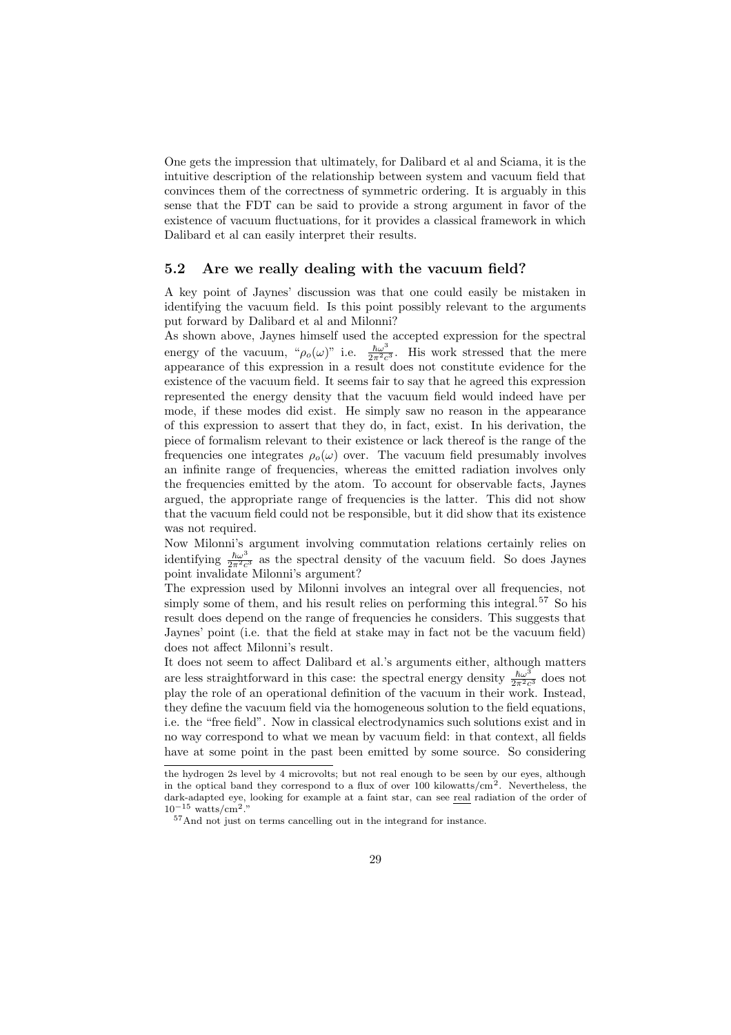One gets the impression that ultimately, for Dalibard et al and Sciama, it is the intuitive description of the relationship between system and vacuum field that convinces them of the correctness of symmetric ordering. It is arguably in this sense that the FDT can be said to provide a strong argument in favor of the existence of vacuum fluctuations, for it provides a classical framework in which Dalibard et al can easily interpret their results.

#### 5.2 Are we really dealing with the vacuum field?

A key point of Jaynes' discussion was that one could easily be mistaken in identifying the vacuum field. Is this point possibly relevant to the arguments put forward by Dalibard et al and Milonni?

As shown above, Jaynes himself used the accepted expression for the spectral energy of the vacuum, " $\rho_o(\omega)$ " i.e.  $\frac{\hbar\omega^3}{2\pi^2c^3}$ . His work stressed that the mere appearance of this expression in a result does not constitute evidence for the existence of the vacuum field. It seems fair to say that he agreed this expression represented the energy density that the vacuum field would indeed have per mode, if these modes did exist. He simply saw no reason in the appearance of this expression to assert that they do, in fact, exist. In his derivation, the piece of formalism relevant to their existence or lack thereof is the range of the frequencies one integrates  $\rho_o(\omega)$  over. The vacuum field presumably involves an infinite range of frequencies, whereas the emitted radiation involves only the frequencies emitted by the atom. To account for observable facts, Jaynes argued, the appropriate range of frequencies is the latter. This did not show that the vacuum field could not be responsible, but it did show that its existence was not required.

Now Milonni's argument involving commutation relations certainly relies on identifying  $\frac{\hbar\omega^3}{2\pi^2c^3}$  as the spectral density of the vacuum field. So does Jaynes point invalidate Milonni's argument?

The expression used by Milonni involves an integral over all frequencies, not simply some of them, and his result relies on performing this integral.<sup>57</sup> So his result does depend on the range of frequencies he considers. This suggests that Jaynes' point (i.e. that the field at stake may in fact not be the vacuum field) does not affect Milonni's result.

It does not seem to affect Dalibard et al.'s arguments either, although matters are less straightforward in this case: the spectral energy density  $\frac{\hbar \omega^3}{2\pi^2 c^3}$  does not play the role of an operational definition of the vacuum in their work. Instead, they define the vacuum field via the homogeneous solution to the field equations, i.e. the "free field". Now in classical electrodynamics such solutions exist and in no way correspond to what we mean by vacuum field: in that context, all fields have at some point in the past been emitted by some source. So considering

the hydrogen 2s level by 4 microvolts; but not real enough to be seen by our eyes, although in the optical band they correspond to a flux of over 100 kilowatts/cm<sup>2</sup>. Nevertheless, the dark-adapted eye, looking for example at a faint star, can see real radiation of the order of  $10^{-15}$  watts/cm<sup>2</sup>."

<sup>57</sup>And not just on terms cancelling out in the integrand for instance.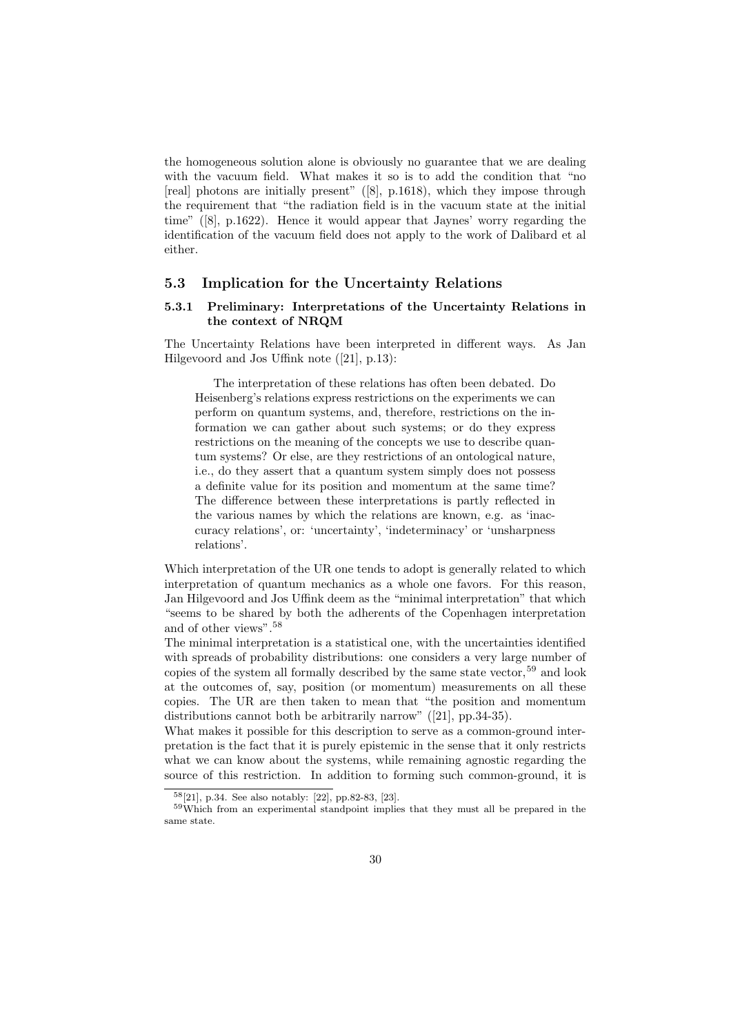<span id="page-29-0"></span>the homogeneous solution alone is obviously no guarantee that we are dealing with the vacuum field. What makes it so is to add the condition that "no [real] photons are initially present" ([8], p.1618), which they impose through the requirement that "the radiation field is in the vacuum state at the initial time" ([8], p.1622). Hence it would appear that Jaynes' worry regarding the identification of the vacuum field does not apply to the work of Dalibard et al either.

### 5.3 [Im](#page-41-0)plication for the Uncertainty Relations

#### 5.3.1 Preliminary: Interpretations of the Uncertainty Relations in the context of NRQM

The Uncertainty Relations have been interpreted in different ways. As Jan Hilgevoord and Jos Uffink note ([21], p.13):

The interpretation of these relations has often been debated. Do Heisenberg's relations express restrictions on the experiments we can perform on quantum syste[ms,](#page-42-0) and, therefore, restrictions on the information we can gather about such systems; or do they express restrictions on the meaning of the concepts we use to describe quantum systems? Or else, are they restrictions of an ontological nature, i.e., do they assert that a quantum system simply does not possess a definite value for its position and momentum at the same time? The difference between these interpretations is partly reflected in the various names by which the relations are known, e.g. as 'inaccuracy relations', or: 'uncertainty', 'indeterminacy' or 'unsharpness relations'.

Which interpretation of the UR one tends to adopt is generally related to which interpretation of quantum mechanics as a whole one favors. For this reason, Jan Hilgevoord and Jos Uffink deem as the "minimal interpretation" that which "seems to be shared by both the adherents of the Copenhagen interpretation and of other views".<sup>58</sup>

The minimal interpretation is a statistical one, with the uncertainties identified with spreads of probability distributions: one considers a very large number of copies of the system all formally described by the same state vector,  $59$  and look at the outcomes of, say, position (or momentum) measurements on all these copies. The UR are then taken to mean that "the position and momentum distributions cannot both be arbitrarily narrow" ([21], pp.34-35).

What makes it possible for this description to serve as a common-ground interpretation is the fact that it is purely epistemic in the sense that it only restricts what we can know about the systems, while remaining agnostic regarding the source of this restriction. In addition to forming [su](#page-42-0)ch common-ground, it is

<sup>58</sup>[21], p.34. See also notably: [22], pp.82-83, [23].

<sup>59</sup>Which from an experimental standpoint implies that they must all be prepared in the same state.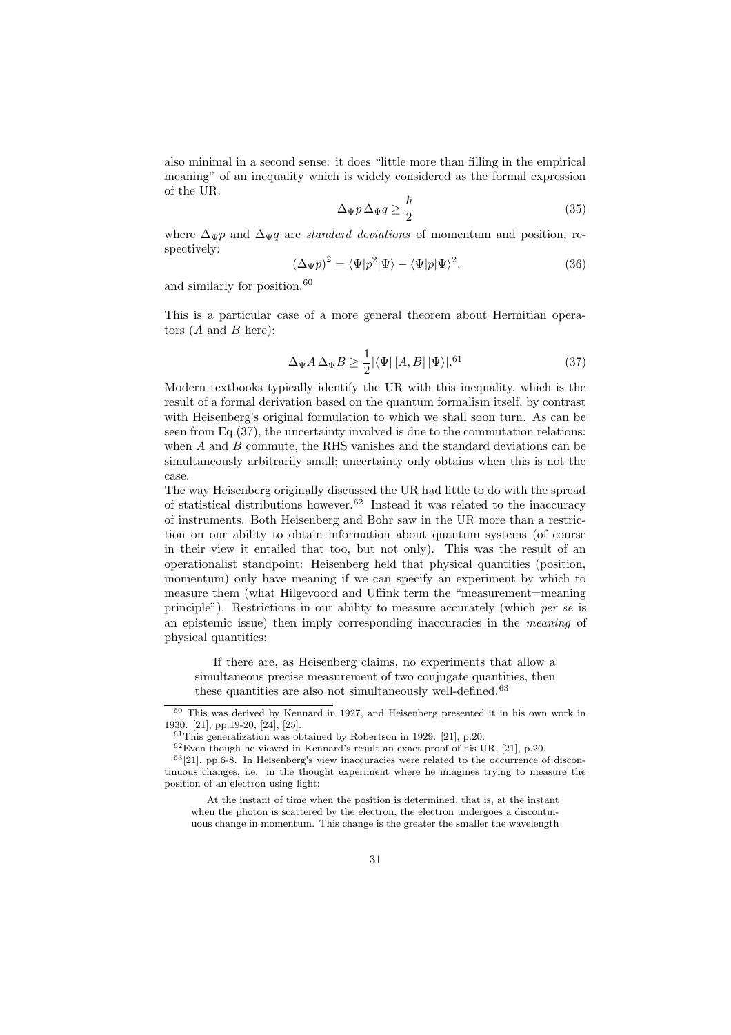also minimal in a second sense: it does "little more than filling in the empirical meaning" of an inequality which is widely considered as the formal expression of the UR:

$$
\Delta_{\Psi} p \,\Delta_{\Psi} q \ge \frac{\hbar}{2} \tag{35}
$$

where  $\Delta_{\Psi}p$  and  $\Delta_{\Psi}q$  are standard deviations of momentum and position, respectively:

$$
(\Delta_{\Psi}p)^2 = \langle \Psi | p^2 | \Psi \rangle - \langle \Psi | p | \Psi \rangle^2, \tag{36}
$$

and similarly for position.<sup>60</sup>

This is a particular case of a more general theorem about Hermitian operators  $(A \text{ and } B \text{ here})$ :

$$
\Delta_{\Psi} A \,\Delta_{\Psi} B \ge \frac{1}{2} |\langle \Psi | \left[ A, B \right] | \Psi \rangle|^{61} \tag{37}
$$

Modern textbooks typically identify the UR with this inequality, which is the result of a formal derivation based on the quantum formalism itself, by contrast with Heisenberg's original formulation to which we shall soon turn. As can be seen from  $Eq.(37)$ , the uncertainty involved is due to the commutation relations: when  $A$  and  $B$  commute, the RHS vanishes and the standard deviations can be simultaneously arbitrarily small; uncertainty only obtains when this is not the case.

The way Heisenberg originally discussed the UR had little to do with the spread of statistical distributions however.<sup>62</sup> Instead it was related to the inaccuracy of instruments. Both Heisenberg and Bohr saw in the UR more than a restriction on our ability to obtain information about quantum systems (of course in their view it entailed that too, but not only). This was the result of an operationalist standpoint: Heisenberg held that physical quantities (position, momentum) only have meaning if we can specify an experiment by which to measure them (what Hilgevoord and Uffink term the "measurement=meaning principle"). Restrictions in our ability to measure accurately (which per se is an epistemic issue) then imply corresponding inaccuracies in the meaning of physical quantities:

If there are, as Heisenberg claims, no experiments that allow a simultaneous precise measurement of two conjugate quantities, then these quantities are also not simultaneously well-defined.<sup>63</sup>

<sup>60</sup> This was derived by Kennard in 1927, and Heisenberg presented it in his own work in 1930. [21], pp.19-20, [24], [25].

 $61$ This generalization was obtained by Robertson in 1929. [21], p.20.

 $62$  Even though he viewed in Kennard's result an exact proof of his UR, [21], p.20.

<sup>63</sup>[21], pp.6-8. In Heisenberg's view inaccuracies were related to the occurrence of discontinuous changes, i.e. in the thought experiment where he imagines trying to measure the positio[n o](#page-42-0)f an electro[n u](#page-42-0)si[ng](#page-42-0) light:

At the instant of time when the position is determi[ned](#page-42-0), that is, at the instant when the photon is sc[a](#page-42-0)ttere[d](#page-42-0) by the electron, the electron undergoes a discontin[u](#page-42-0)ous change in momentum. This change is the greater the smaller the wavelength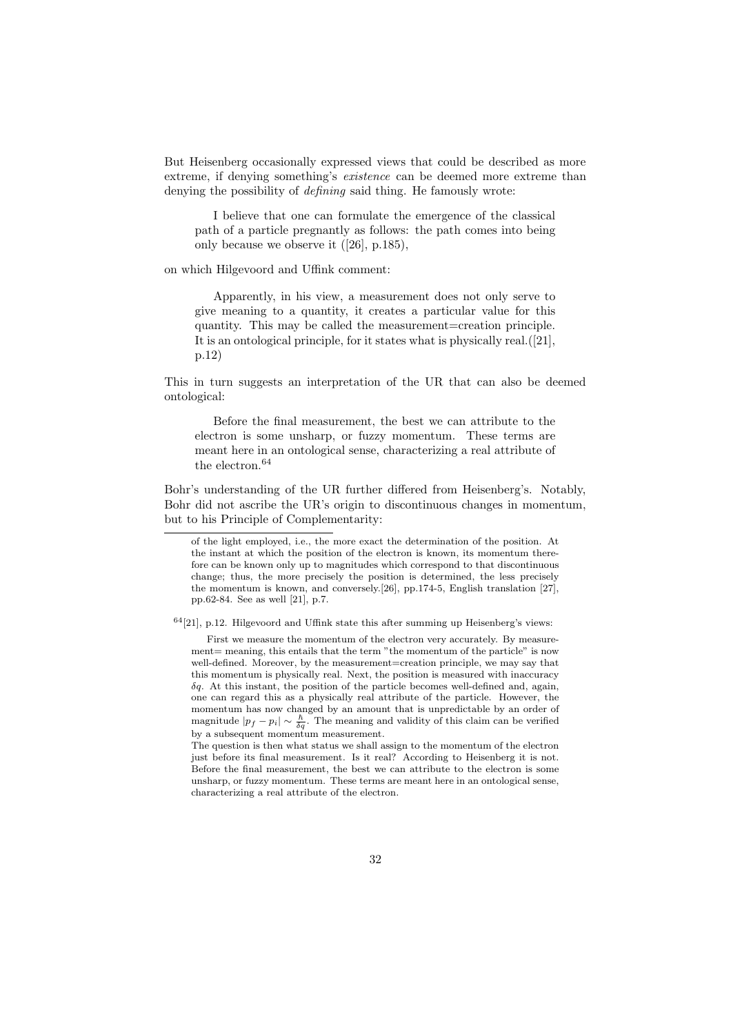But Heisenberg occasionally expressed views that could be described as more extreme, if denying something's existence can be deemed more extreme than denying the possibility of *defining* said thing. He famously wrote:

I believe that one can formulate the emergence of the classical path of a particle pregnantly as follows: the path comes into being only because we observe it ([26], p.185),

on which Hilgevoord and Uffink comment:

Apparently, in his view, a measurement does not only serve to give meaning to a quantity, [it](#page-42-0) creates a particular value for this quantity. This may be called the measurement=creation principle. It is an ontological principle, for it states what is physically real.([21], p.12)

This in turn suggests an interpretation of the UR that can also be deemed ontological:

Before the final measurement, the best we can attribute to the electron is some unsharp, or fuzzy momentum. These terms are meant here in an ontological sense, characterizing a real attribute of the electron.<sup>64</sup>

Bohr's understanding of the UR further differed from Heisenberg's. Notably, Bohr did not ascribe the UR's origin to discontinuous changes in momentum, but to his Principle of Complementarity:

 $^{64}[21],$  p.12. Hilgevoord and Uffink state this after summing up Heisenberg's views:

First we measure the momentum of the electron very accurately. By measure-ment = meaning, this entails that the term ["th](#page-42-0)e momentum of the particle" is [now](#page-42-0) well-defined. Moreove[r,](#page-42-0) [b](#page-42-0)y the measurement=creation principle, we may say that this momentum is physically real. Next, the position is measured with inaccuracy  $\delta q$ . At this instant, the position of the particle becomes well-defined and, again, one can regard this as a physically real attribute of the particle. However, the momentum has now changed by an amount that is unpredictable by an order of magnitude  $|p_f - p_i| \sim \frac{\hbar}{\delta q}$ . The meaning and validity of this claim can be verified by a subsequent momentum measurement.

The question is then what status we shall assign to the momentum of the electron just before its final measurement. Is it real? According to Heisenberg it is not. Before the final measurement, the best we can attribute to the electron is some unsharp, or fuzzy momentum. These terms are meant here in an ontological sense, characterizing a real attribute of the electron.

of the light employed, i.e., the more exact the determination of the position. At the instant at which the position of the electron is known, its momentum therefore can be known only up to magnitudes which correspond to that discontinuous change; thus, the more precisely the position is determined, the less precisely the momentum is known, and conversely.[26], pp.174-5, English translation [27], pp.62-84. See as well [21], p.7.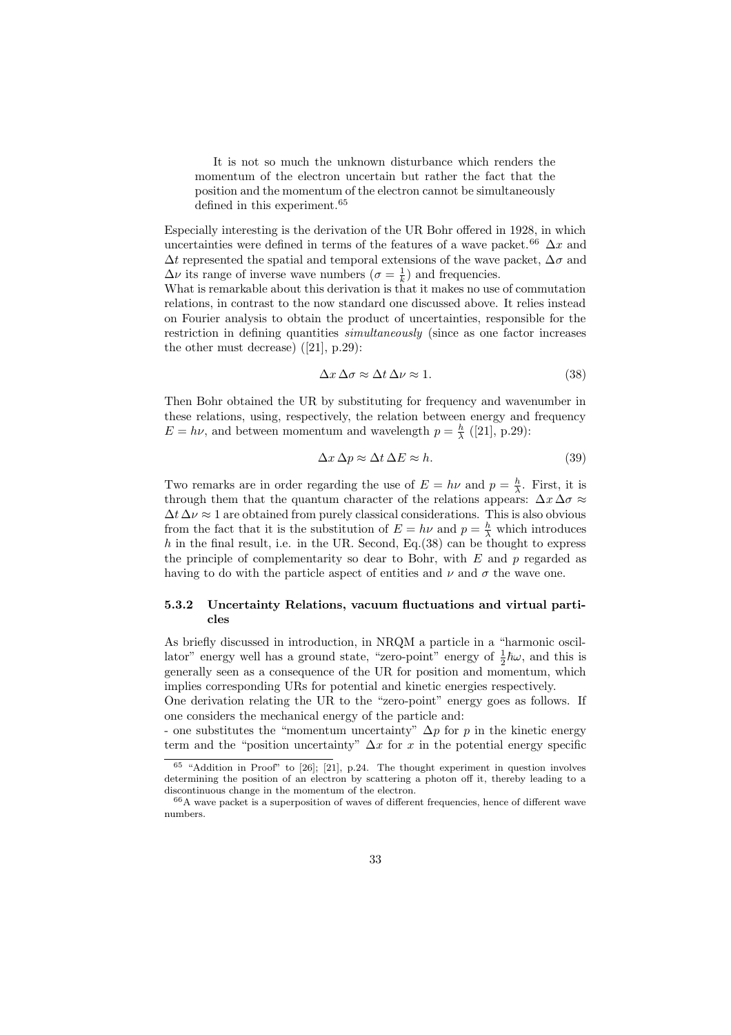<span id="page-32-0"></span>It is not so much the unknown disturbance which renders the momentum of the electron uncertain but rather the fact that the position and the momentum of the electron cannot be simultaneously defined in this experiment.<sup>65</sup>

Especially interesting is the derivation of the UR Bohr offered in 1928, in which uncertainties were defined in terms of the features of a wave packet.<sup>66</sup>  $\Delta x$  and  $\Delta t$  represented the spatial and temporal extensions of the wave packet,  $\Delta \sigma$  and  $\Delta \nu$  its range of inverse wave numbers  $(\sigma = \frac{1}{k})$  and frequencies.

What is remarkable about this derivation is that it makes no use of commutation relations, in contrast to the now standard one discussed above. It relies instead on Fourier analysis to obtain the product of uncertainties, responsible for the restriction in defining quantities simultaneously (since as one factor increases the other must decrease) ([21], p.29):

$$
\Delta x \,\Delta \sigma \approx \Delta t \,\Delta \nu \approx 1. \tag{38}
$$

Then Bohr obtained the U[R b](#page-42-0)y substituting for frequency and wavenumber in these relations, using, respectively, the relation between energy and frequency  $E = h\nu$ , and between momentum and wavelength  $p = \frac{h}{\lambda}$  ([21], p.29):

$$
\Delta x \,\Delta p \approx \Delta t \,\Delta E \approx h. \tag{39}
$$

Two remarks are in order regarding the use of  $E = h\nu$  and  $p = \frac{h}{\lambda}$ . First, it is through them that the quantum character of the relation[s](#page-42-0) [a](#page-42-0)ppears:  $\Delta x \Delta \sigma \approx$  $\Delta t \Delta \nu \approx 1$  are obtained from purely classical considerations. This is also obvious from the fact that it is the substitution of  $E = h\nu$  and  $p = \frac{h}{\lambda}$  which introduces h in the final result, i.e. in the UR. Second, Eq.(38) can be thought to express the principle of complementarity so dear to Bohr, with  $E$  and  $p$  regarded as having to do with the particle aspect of entities and  $\nu$  and  $\sigma$  the wave one.

#### 5.3.2 Uncertainty Relations, vacuum fluctuations and virtual particles

As briefly discussed in introduction, in NRQM a particle in a "harmonic oscillator" energy well has a ground state, "zero-point" energy of  $\frac{1}{2}\hbar\omega$ , and this is generally seen as a consequence of the UR for position and momentum, which implies corresponding URs for potential and kinetic energies respectively.

One derivation relating the UR to the "zero-point" energy goes as follows. If one considers the mechanical energy of the particle and:

- one substitutes the "momentum uncertainty"  $\Delta p$  for p in the kinetic energy term and the "position uncertainty"  $\Delta x$  for x in the potential energy specific

 $65$  "Addition in Proof" to [26]; [21], p.24. The thought experiment in question involves determining the position of an electron by scattering a photon off it, thereby leading to a discontinuous change in the momentum of the electron.

<sup>66</sup>A wave packet is a superposition of waves of different frequencies, hence of different wave numbers.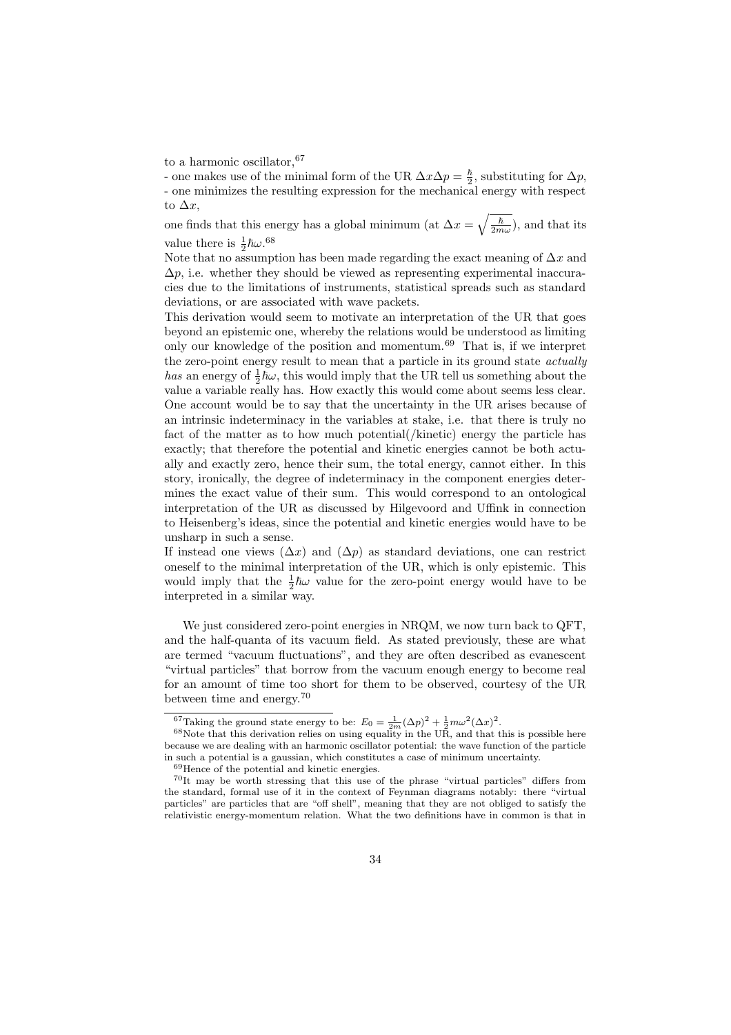to a harmonic oscillator,  $67$ 

- one makes use of the minimal form of the UR  $\Delta x \Delta p = \frac{\hbar}{2}$ , substituting for  $\Delta p$ , - one minimizes the resulting expression for the mechanical energy with respect to  $\Delta x$ ,

one finds that this energy has a global minimum (at  $\Delta x = \sqrt{\frac{\hbar}{2m\omega}}$ ), and that its value there is  $\frac{1}{2} \hbar \omega$ .<sup>68</sup>

Note that no assumption has been made regarding the exact meaning of  $\Delta x$  and  $\Delta p$ , i.e. whether they should be viewed as representing experimental inaccuracies due to the limitations of instruments, statistical spreads such as standard deviations, or are associated with wave packets.

This derivation would seem to motivate an interpretation of the UR that goes beyond an epistemic one, whereby the relations would be understood as limiting only our knowledge of the position and momentum.<sup>69</sup> That is, if we interpret the zero-point energy result to mean that a particle in its ground state *actually* has an energy of  $\frac{1}{2}\hbar\omega$ , this would imply that the UR tell us something about the value a variable really has. How exactly this would come about seems less clear. One account would be to say that the uncertainty in the UR arises because of an intrinsic indeterminacy in the variables at stake, i.e. that there is truly no fact of the matter as to how much potential(/kinetic) energy the particle has exactly; that therefore the potential and kinetic energies cannot be both actually and exactly zero, hence their sum, the total energy, cannot either. In this story, ironically, the degree of indeterminacy in the component energies determines the exact value of their sum. This would correspond to an ontological interpretation of the UR as discussed by Hilgevoord and Uffink in connection to Heisenberg's ideas, since the potential and kinetic energies would have to be unsharp in such a sense.

If instead one views  $(\Delta x)$  and  $(\Delta p)$  as standard deviations, one can restrict oneself to the minimal interpretation of the UR, which is only epistemic. This would imply that the  $\frac{1}{2}\hbar\omega$  value for the zero-point energy would have to be interpreted in a similar way.

We just considered zero-point energies in NRQM, we now turn back to QFT, and the half-quanta of its vacuum field. As stated previously, these are what are termed "vacuum fluctuations", and they are often described as evanescent "virtual particles" that borrow from the vacuum enough energy to become real for an amount of time too short for them to be observed, courtesy of the UR between time and energy.<sup>70</sup>

<sup>&</sup>lt;sup>67</sup>Taking the ground state energy to be:  $E_0 = \frac{1}{2m} (\Delta p)^2 + \frac{1}{2} m \omega^2 (\Delta x)^2$ .<br><sup>68</sup>Note that this derivation relies on using equality in the UR, and that this is possible here because we are dealing with an harmonic oscillator potential: the wave function of the particle in such a potential is a gaussian, which constitutes a case of minimum uncertainty.

<sup>69</sup>Hence of the potential and kinetic energies.

<sup>70</sup>It may be worth stressing that this use of the phrase "virtual particles" differs from the standard, formal use of it in the context of Feynman diagrams notably: there "virtual particles" are particles that are "off shell", meaning that they are not obliged to satisfy the relativistic energy-momentum relation. What the two definitions have in common is that in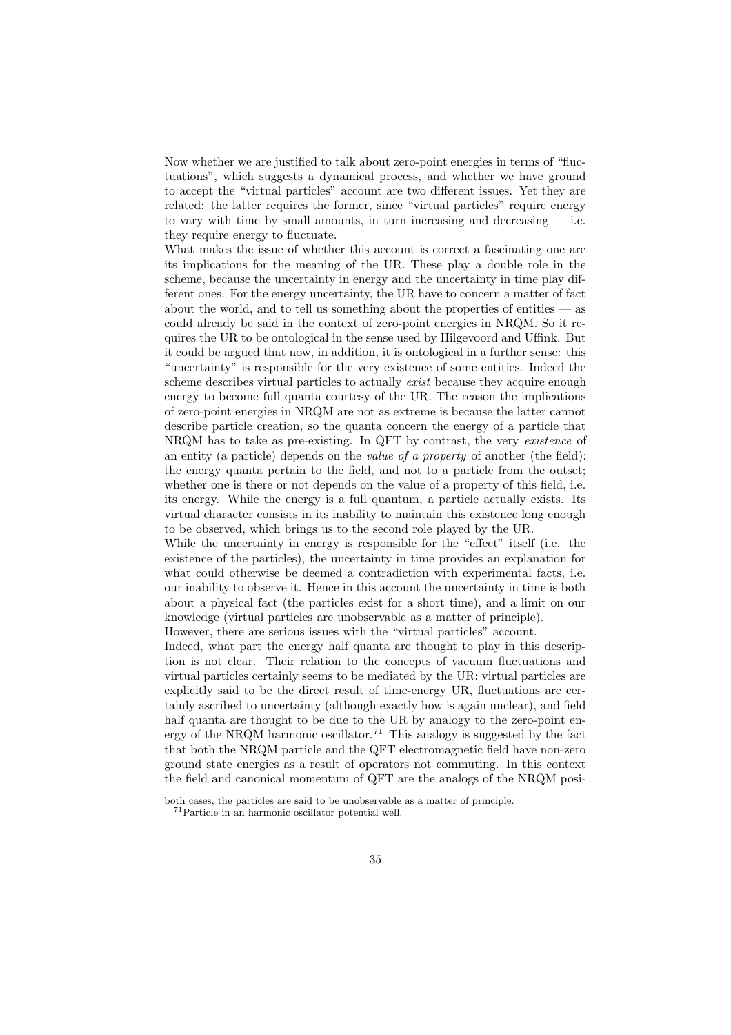Now whether we are justified to talk about zero-point energies in terms of "fluctuations", which suggests a dynamical process, and whether we have ground to accept the "virtual particles" account are two different issues. Yet they are related: the latter requires the former, since "virtual particles" require energy to vary with time by small amounts, in turn increasing and decreasing  $-$  i.e. they require energy to fluctuate.

What makes the issue of whether this account is correct a fascinating one are its implications for the meaning of the UR. These play a double role in the scheme, because the uncertainty in energy and the uncertainty in time play different ones. For the energy uncertainty, the UR have to concern a matter of fact about the world, and to tell us something about the properties of entities  $-$  as could already be said in the context of zero-point energies in NRQM. So it requires the UR to be ontological in the sense used by Hilgevoord and Uffink. But it could be argued that now, in addition, it is ontological in a further sense: this "uncertainty" is responsible for the very existence of some entities. Indeed the scheme describes virtual particles to actually *exist* because they acquire enough energy to become full quanta courtesy of the UR. The reason the implications of zero-point energies in NRQM are not as extreme is because the latter cannot describe particle creation, so the quanta concern the energy of a particle that NRQM has to take as pre-existing. In QFT by contrast, the very existence of an entity (a particle) depends on the value of a property of another (the field): the energy quanta pertain to the field, and not to a particle from the outset; whether one is there or not depends on the value of a property of this field, i.e. its energy. While the energy is a full quantum, a particle actually exists. Its virtual character consists in its inability to maintain this existence long enough to be observed, which brings us to the second role played by the UR.

While the uncertainty in energy is responsible for the "effect" itself (i.e. the existence of the particles), the uncertainty in time provides an explanation for what could otherwise be deemed a contradiction with experimental facts, i.e. our inability to observe it. Hence in this account the uncertainty in time is both about a physical fact (the particles exist for a short time), and a limit on our knowledge (virtual particles are unobservable as a matter of principle).

However, there are serious issues with the "virtual particles" account.

Indeed, what part the energy half quanta are thought to play in this description is not clear. Their relation to the concepts of vacuum fluctuations and virtual particles certainly seems to be mediated by the UR: virtual particles are explicitly said to be the direct result of time-energy UR, fluctuations are certainly ascribed to uncertainty (although exactly how is again unclear), and field half quanta are thought to be due to the UR by analogy to the zero-point energy of the NRQM harmonic oscillator.<sup>71</sup> This analogy is suggested by the fact that both the NRQM particle and the QFT electromagnetic field have non-zero ground state energies as a result of operators not commuting. In this context the field and canonical momentum of QFT are the analogs of the NRQM posi-

both cases, the particles are said to be unobservable as a matter of principle.

<sup>71</sup>Particle in an harmonic oscillator potential well.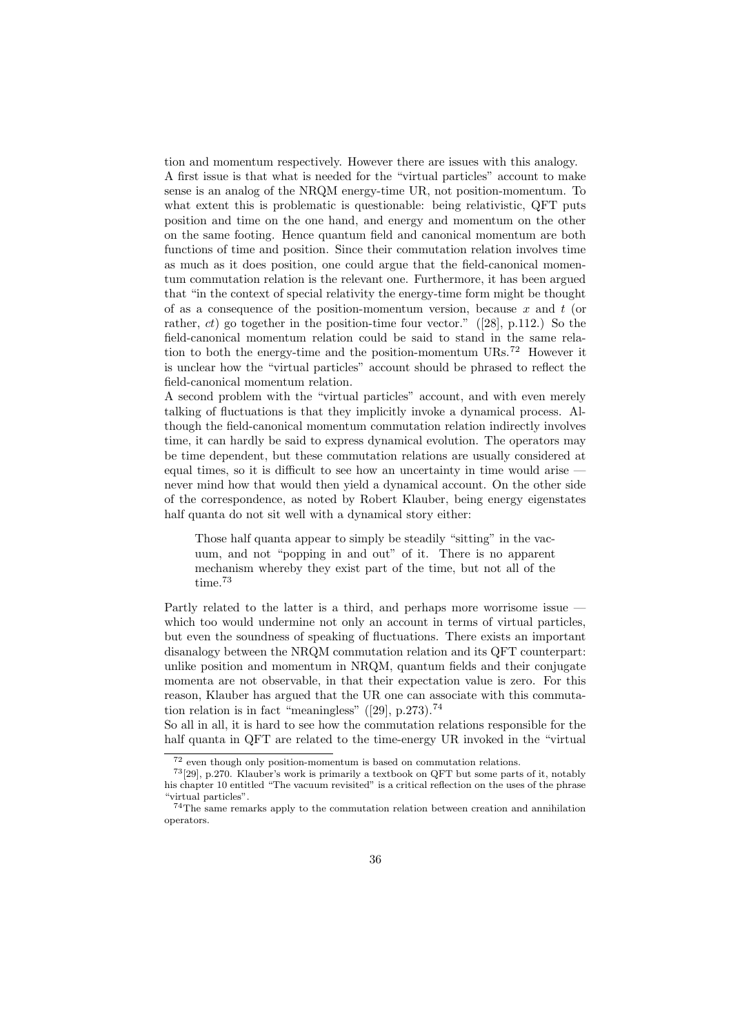tion and momentum respectively. However there are issues with this analogy. A first issue is that what is needed for the "virtual particles" account to make sense is an analog of the NRQM energy-time UR, not position-momentum. To what extent this is problematic is questionable: being relativistic, QFT puts position and time on the one hand, and energy and momentum on the other on the same footing. Hence quantum field and canonical momentum are both functions of time and position. Since their commutation relation involves time as much as it does position, one could argue that the field-canonical momentum commutation relation is the relevant one. Furthermore, it has been argued that "in the context of special relativity the energy-time form might be thought of as a consequence of the position-momentum version, because x and t (or rather,  $ct$ ) go together in the position-time four vector." ([28], p.112.) So the field-canonical momentum relation could be said to stand in the same relation to both the energy-time and the position-momentum  $URs$ <sup>72</sup> However it is unclear how the "virtual particles" account should be phrased to reflect the field-canonical momentum relation.

A second problem with the "virtual particles" account, and with even merely talking of fluctuations is that they implicitly invoke a dynamical process. Although the field-canonical momentum commutation relation indirectly involves time, it can hardly be said to express dynamical evolution. The operators may be time dependent, but these commutation relations are usually considered at equal times, so it is difficult to see how an uncertainty in time would arise never mind how that would then yield a dynamical account. On the other side of the correspondence, as noted by Robert Klauber, being energy eigenstates half quanta do not sit well with a dynamical story either:

Those half quanta appear to simply be steadily "sitting" in the vacuum, and not "popping in and out" of it. There is no apparent mechanism whereby they exist part of the time, but not all of the  $\rm time.^{73}$ 

Partly related to the latter is a third, and perhaps more worrisome issue which too would undermine not only an account in terms of virtual particles, but even the soundness of speaking of fluctuations. There exists an important disanalogy between the NRQM commutation relation and its QFT counterpart: unlike position and momentum in NRQM, quantum fields and their conjugate momenta are not observable, in that their expectation value is zero. For this reason, Klauber has argued that the UR one can associate with this commutation relation is in fact "meaningless"  $([29], p.273$ .<sup>74</sup>

So all in all, it is hard to see how the commutation relations responsible for the half quanta in QFT are related to the time-energy UR invoked in the "virtual

<sup>72</sup> even though only position-momentum is based on commutation relations.

<sup>73</sup>[29], p.270. Klauber's work is primarily a [tex](#page-42-0)tbook on QFT but some parts of it, notably his chapter 10 entitled "The vacuum revisited" is a critical reflection on the uses of the phrase "virtual particles".

<sup>74</sup>The same remarks apply to the commutation relation between creation and annihilation operators.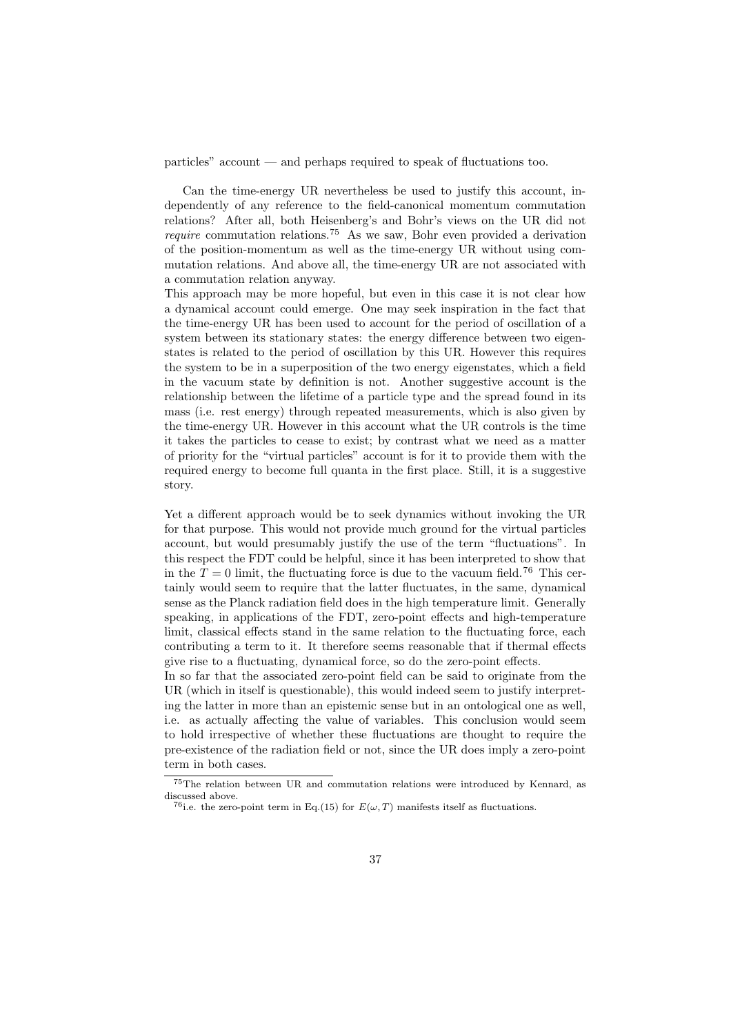particles" account — and perhaps required to speak of fluctuations too.

Can the time-energy UR nevertheless be used to justify this account, independently of any reference to the field-canonical momentum commutation relations? After all, both Heisenberg's and Bohr's views on the UR did not *require* commutation relations.<sup>75</sup> As we saw, Bohr even provided a derivation of the position-momentum as well as the time-energy UR without using commutation relations. And above all, the time-energy UR are not associated with a commutation relation anyway.

This approach may be more hopeful, but even in this case it is not clear how a dynamical account could emerge. One may seek inspiration in the fact that the time-energy UR has been used to account for the period of oscillation of a system between its stationary states: the energy difference between two eigenstates is related to the period of oscillation by this UR. However this requires the system to be in a superposition of the two energy eigenstates, which a field in the vacuum state by definition is not. Another suggestive account is the relationship between the lifetime of a particle type and the spread found in its mass (i.e. rest energy) through repeated measurements, which is also given by the time-energy UR. However in this account what the UR controls is the time it takes the particles to cease to exist; by contrast what we need as a matter of priority for the "virtual particles" account is for it to provide them with the required energy to become full quanta in the first place. Still, it is a suggestive story.

Yet a different approach would be to seek dynamics without invoking the UR for that purpose. This would not provide much ground for the virtual particles account, but would presumably justify the use of the term "fluctuations". In this respect the FDT could be helpful, since it has been interpreted to show that in the  $T = 0$  limit, the fluctuating force is due to the vacuum field.<sup>76</sup> This certainly would seem to require that the latter fluctuates, in the same, dynamical sense as the Planck radiation field does in the high temperature limit. Generally speaking, in applications of the FDT, zero-point effects and high-temperature limit, classical effects stand in the same relation to the fluctuating force, each contributing a term to it. It therefore seems reasonable that if thermal effects give rise to a fluctuating, dynamical force, so do the zero-point effects.

In so far that the associated zero-point field can be said to originate from the UR (which in itself is questionable), this would indeed seem to justify interpreting the latter in more than an epistemic sense but in an ontological one as well, i.e. as actually affecting the value of variables. This conclusion would seem to hold irrespective of whether these fluctuations are thought to require the pre-existence of the radiation field or not, since the UR does imply a zero-point term in both cases.

<sup>75</sup>The relation between UR and commutation relations were introduced by Kennard, as discussed above.

<sup>&</sup>lt;sup>76</sup>i.e. the zero-point term in Eq.(15) for  $E(\omega, T)$  manifests itself as fluctuations.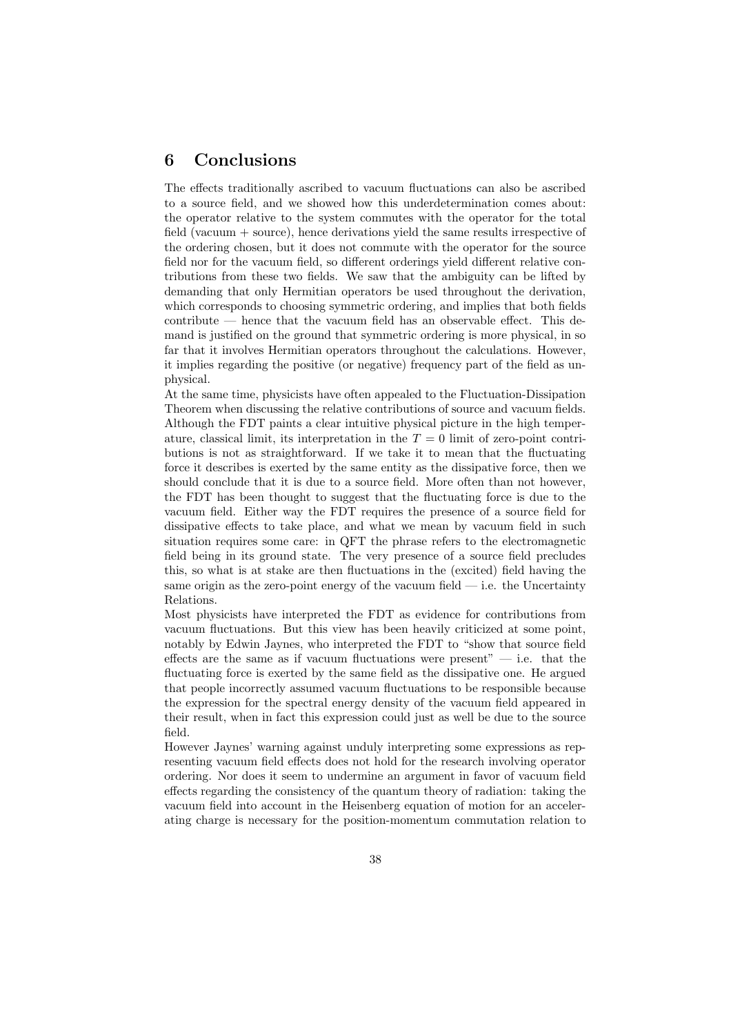## 6 Conclusions

The effects traditionally ascribed to vacuum fluctuations can also be ascribed to a source field, and we showed how this underdetermination comes about: the operator relative to the system commutes with the operator for the total field (vacuum + source), hence derivations yield the same results irrespective of the ordering chosen, but it does not commute with the operator for the source field nor for the vacuum field, so different orderings yield different relative contributions from these two fields. We saw that the ambiguity can be lifted by demanding that only Hermitian operators be used throughout the derivation, which corresponds to choosing symmetric ordering, and implies that both fields contribute — hence that the vacuum field has an observable effect. This demand is justified on the ground that symmetric ordering is more physical, in so far that it involves Hermitian operators throughout the calculations. However, it implies regarding the positive (or negative) frequency part of the field as unphysical.

At the same time, physicists have often appealed to the Fluctuation-Dissipation Theorem when discussing the relative contributions of source and vacuum fields. Although the FDT paints a clear intuitive physical picture in the high temperature, classical limit, its interpretation in the  $T = 0$  limit of zero-point contributions is not as straightforward. If we take it to mean that the fluctuating force it describes is exerted by the same entity as the dissipative force, then we should conclude that it is due to a source field. More often than not however, the FDT has been thought to suggest that the fluctuating force is due to the vacuum field. Either way the FDT requires the presence of a source field for dissipative effects to take place, and what we mean by vacuum field in such situation requires some care: in QFT the phrase refers to the electromagnetic field being in its ground state. The very presence of a source field precludes this, so what is at stake are then fluctuations in the (excited) field having the same origin as the zero-point energy of the vacuum field  $-$  i.e. the Uncertainty Relations.

Most physicists have interpreted the FDT as evidence for contributions from vacuum fluctuations. But this view has been heavily criticized at some point, notably by Edwin Jaynes, who interpreted the FDT to "show that source field effects are the same as if vacuum fluctuations were present"  $-$  i.e. that the fluctuating force is exerted by the same field as the dissipative one. He argued that people incorrectly assumed vacuum fluctuations to be responsible because the expression for the spectral energy density of the vacuum field appeared in their result, when in fact this expression could just as well be due to the source field.

However Jaynes' warning against unduly interpreting some expressions as representing vacuum field effects does not hold for the research involving operator ordering. Nor does it seem to undermine an argument in favor of vacuum field effects regarding the consistency of the quantum theory of radiation: taking the vacuum field into account in the Heisenberg equation of motion for an accelerating charge is necessary for the position-momentum commutation relation to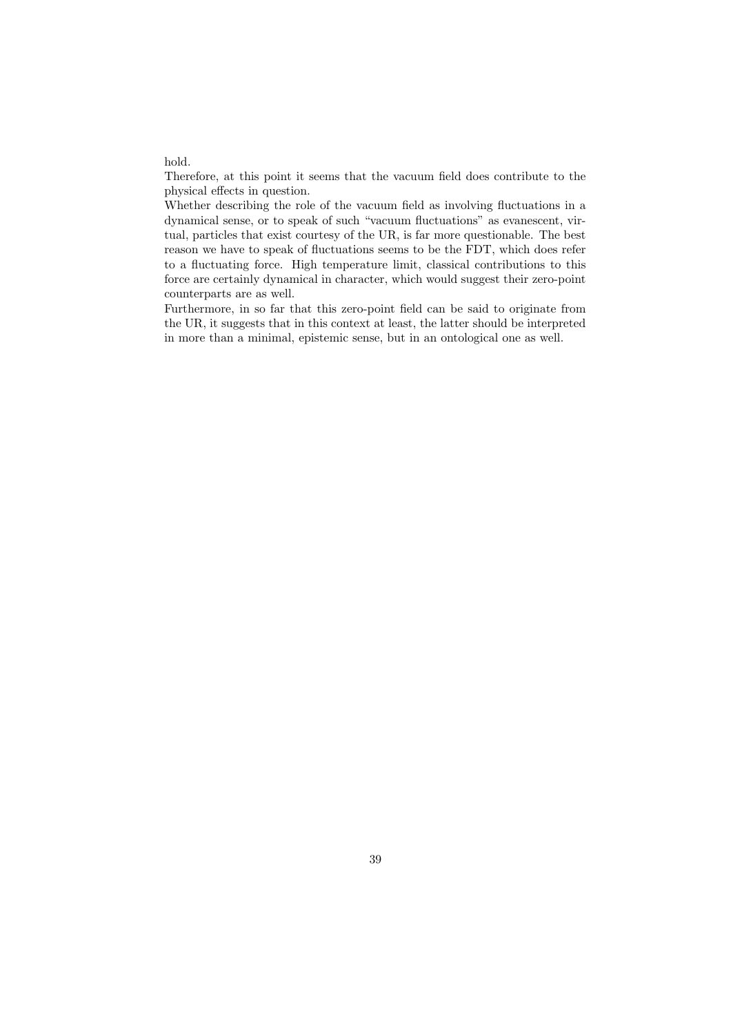hold.

Therefore, at this point it seems that the vacuum field does contribute to the physical effects in question.

Whether describing the role of the vacuum field as involving fluctuations in a dynamical sense, or to speak of such "vacuum fluctuations" as evanescent, virtual, particles that exist courtesy of the UR, is far more questionable. The best reason we have to speak of fluctuations seems to be the FDT, which does refer to a fluctuating force. High temperature limit, classical contributions to this force are certainly dynamical in character, which would suggest their zero-point counterparts are as well.

Furthermore, in so far that this zero-point field can be said to originate from the UR, it suggests that in this context at least, the latter should be interpreted in more than a minimal, epistemic sense, but in an ontological one as well.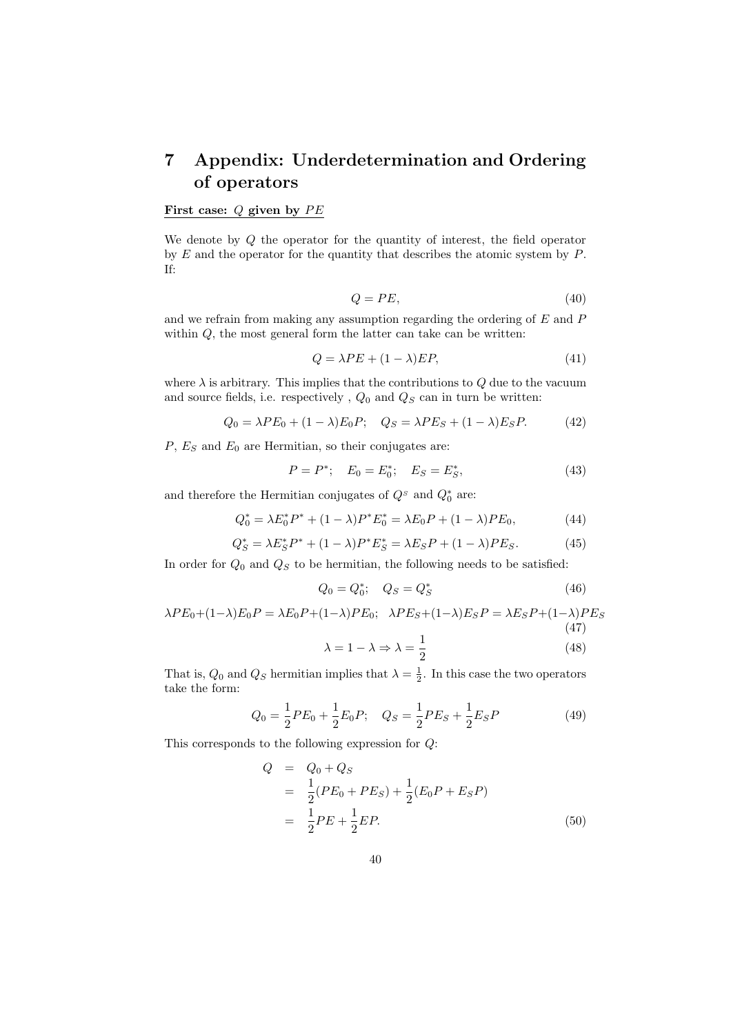## 7 Appendix: Underdetermination and Ordering of operators

### First case:  $Q$  given by  $PE$

We denote by Q the operator for the quantity of interest, the field operator by  $E$  and the operator for the quantity that describes the atomic system by  $P$ . If:

$$
Q = PE,\t\t(40)
$$

and we refrain from making any assumption regarding the ordering of E and P within  $Q$ , the most general form the latter can take can be written:

$$
Q = \lambda PE + (1 - \lambda)EP,\tag{41}
$$

where  $\lambda$  is arbitrary. This implies that the contributions to  $Q$  due to the vacuum and source fields, i.e. respectively,  $Q_0$  and  $Q_S$  can in turn be written:

$$
Q_0 = \lambda PE_0 + (1 - \lambda)E_0P; \quad Q_S = \lambda PE_S + (1 - \lambda)E_SP. \tag{42}
$$

 $P, E<sub>S</sub>$  and  $E<sub>0</sub>$  are Hermitian, so their conjugates are:

$$
P = P^*; \quad E_0 = E_0^*; \quad E_S = E_S^*, \tag{43}
$$

and therefore the Hermitian conjugates of  $Q^s$  and  $Q_0^*$  are:

$$
Q_0^* = \lambda E_0^* P^* + (1 - \lambda) P^* E_0^* = \lambda E_0 P + (1 - \lambda) P E_0,
$$
\n(44)

$$
Q_S^* = \lambda E_S^* P^* + (1 - \lambda) P^* E_S^* = \lambda E_S P + (1 - \lambda) P E_S.
$$
 (45)

In order for  $Q_0$  and  $Q_S$  to be hermitian, the following needs to be satisfied:

$$
Q_0 = Q_0^*; \quad Q_S = Q_S^* \tag{46}
$$

$$
\lambda PE_0 + (1 - \lambda)E_0P = \lambda E_0P + (1 - \lambda)PE_0; \quad \lambda PE_S + (1 - \lambda)E_SP = \lambda E_SP + (1 - \lambda)PE_S
$$
\n(47)

$$
\lambda = 1 - \lambda \Rightarrow \lambda = \frac{1}{2} \tag{48}
$$

That is,  $Q_0$  and  $Q_S$  hermitian implies that  $\lambda = \frac{1}{2}$ . In this case the two operators take the form:

$$
Q_0 = \frac{1}{2}PE_0 + \frac{1}{2}E_0P; \quad Q_S = \frac{1}{2}PE_S + \frac{1}{2}E_SP
$$
(49)

This corresponds to the following expression for Q:

 $Q$ 

$$
= Q_0 + Q_S
$$
  
=  $\frac{1}{2}(PE_0 + PE_S) + \frac{1}{2}(E_0P + E_SP)$   
=  $\frac{1}{2}PE + \frac{1}{2}EP.$  (50)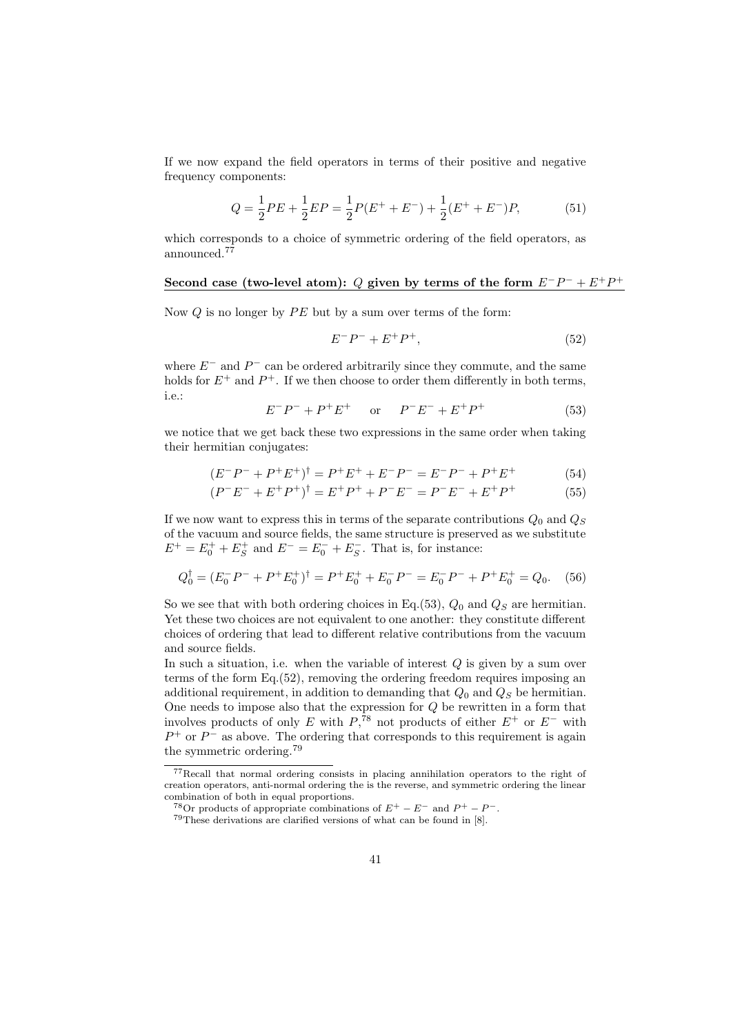If we now expand the field operators in terms of their positive and negative frequency components:

$$
Q = \frac{1}{2}PE + \frac{1}{2}EP = \frac{1}{2}P(E^{+} + E^{-}) + \frac{1}{2}(E^{+} + E^{-})P,
$$
 (51)

which corresponds to a choice of symmetric ordering of the field operators, as announced.<sup>77</sup>

#### Second case (two-level atom): Q given by terms of the form  $E^-P^- + E^+P^+$

Now  $Q$  is no longer by  $PE$  but by a sum over terms of the form:

$$
E^-P^- + E^+P^+, \tag{52}
$$

where  $E^-$  and  $P^-$  can be ordered arbitrarily since they commute, and the same holds for  $E^+$  and  $P^+$ . If we then choose to order them differently in both terms, i.e.:

$$
E^-P^- + P^+E^+ \quad \text{or} \quad P^-E^- + E^+P^+ \tag{53}
$$

we notice that we get back these two expressions in the same order when taking their hermitian conjugates:

$$
(E^-P^- + P^+E^+)^{\dagger} = P^+E^+ + E^-P^- = E^-P^- + P^+E^+ \tag{54}
$$

$$
(P^{-}E^{-} + E^{+}P^{+})^{\dagger} = E^{+}P^{+} + P^{-}E^{-} = P^{-}E^{-} + E^{+}P^{+}
$$
(55)

If we now want to express this in terms of the separate contributions  $Q_0$  and  $Q_S$ of the vacuum and source fields, the same structure is preserved as we substitute  $E^+ = E_0^+ + E_S^+$  and  $E^- = E_0^- + E_S^-$ . That is, for instance:

$$
Q_0^{\dagger} = (E_0^- P^- + P^+ E_0^+)^{\dagger} = P^+ E_0^+ + E_0^- P^- = E_0^- P^- + P^+ E_0^+ = Q_0. \tag{56}
$$

So we see that with both ordering choices in Eq.(53),  $Q_0$  and  $Q_S$  are hermitian. Yet these two choices are not equivalent to one another: they constitute different choices of ordering that lead to different relative contributions from the vacuum and source fields.

In such a situation, i.e. when the variable of interest  $Q$  is given by a sum over terms of the form Eq.(52), removing the ordering freedom requires imposing an additional requirement, in addition to demanding that  $Q_0$  and  $Q_S$  be hermitian. One needs to impose also that the expression for  $Q$  be rewritten in a form that involves products of only E with  $P,$ <sup>78</sup> not products of either  $E^+$  or  $E^-$  with  $P^+$  or  $P^-$  as above. The ordering that corresponds to this requirement is again the symmetric ordering.<sup>79</sup>

<sup>77</sup>Recall that normal ordering consists in placing annihilation operators to the right of creation operators, anti-normal ordering the is the reverse, and symmetric ordering the linear combination of both in equal proportions.<br><sup>78</sup>Or products of appropriate combinations of  $E^+ - E^-$  and  $P^+ - P^-$ .

 $79$ These derivations are clarified versions of what can be found in [8].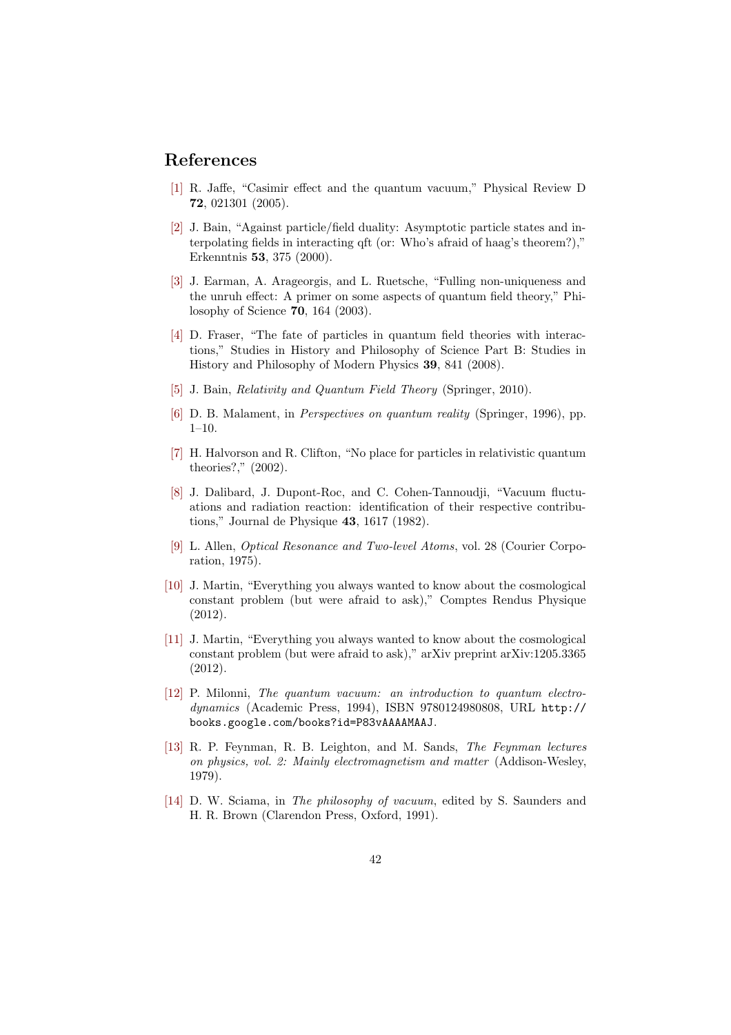## <span id="page-41-0"></span>References

- [1] R. Jaffe, "Casimir effect and the quantum vacuum," Physical Review D 72, 021301 (2005).
- [2] J. Bain, "Against particle/field duality: Asymptotic particle states and interpolating fields in interacting qft (or: Who's afraid of haag's theorem?)," Erkenntnis 53, 375 (2000).
- [3] J. Earman, A. Arageorgis, and L. Ruetsche, "Fulling non-uniqueness and the unruh effect: A primer on some aspects of quantum field theory," Philosophy of Science 70, 164 (2003).
- [4] D. Fraser, "The fate of particles in quantum field theories with interactions," Studies in History and Philosophy of Science Part B: Studies in History and Philosophy of Modern Physics 39, 841 (2008).
- [5] J. Bain, Relativity and Quantum Field Theory (Springer, 2010).
- [6] D. B. Malament, in Perspectives on quantum reality (Springer, 1996), pp. 1–10.
- [7] H. Halvorson and R. Clifton, "No place for particles in relativistic quantum theories?," (2002).
- [8] J. Dalibard, J. Dupont-Roc, and C. Cohen-Tannoudji, "Vacuum fluctuations and radiation reaction: identification of their respective contributions," Journal de Physique 43, 1617 (1982).
- [9] L. Allen, Optical Resonance and Two-level Atoms, vol. 28 (Courier Corporation, 1975).
- [10] J. Martin, "Everything you always wanted to know about the cosmological constant problem (but were afraid to ask)," Comptes Rendus Physique (2012).
- [11] J. Martin, "Everything you always wanted to know about the cosmological constant problem (but were afraid to ask)," arXiv preprint arXiv:1205.3365 (2012).
- [12] P. Milonni, The quantum vacuum: an introduction to quantum electrodynamics (Academic Press, 1994), ISBN 9780124980808, URL http:// books.google.com/books?id=P83vAAAAMAAJ.
- [13] R. P. Feynman, R. B. Leighton, and M. Sands, The Feynman lectures on physics, vol. 2: Mainly electromagnetism and matter (Addiso[n-Wesley,](http://books.google.com/books?id=P83vAAAAMAAJ) [1979\).](http://books.google.com/books?id=P83vAAAAMAAJ)
- [14] D. W. Sciama, in The philosophy of vacuum, edited by S. Saunders and H. R. Brown (Clarendon Press, Oxford, 1991).